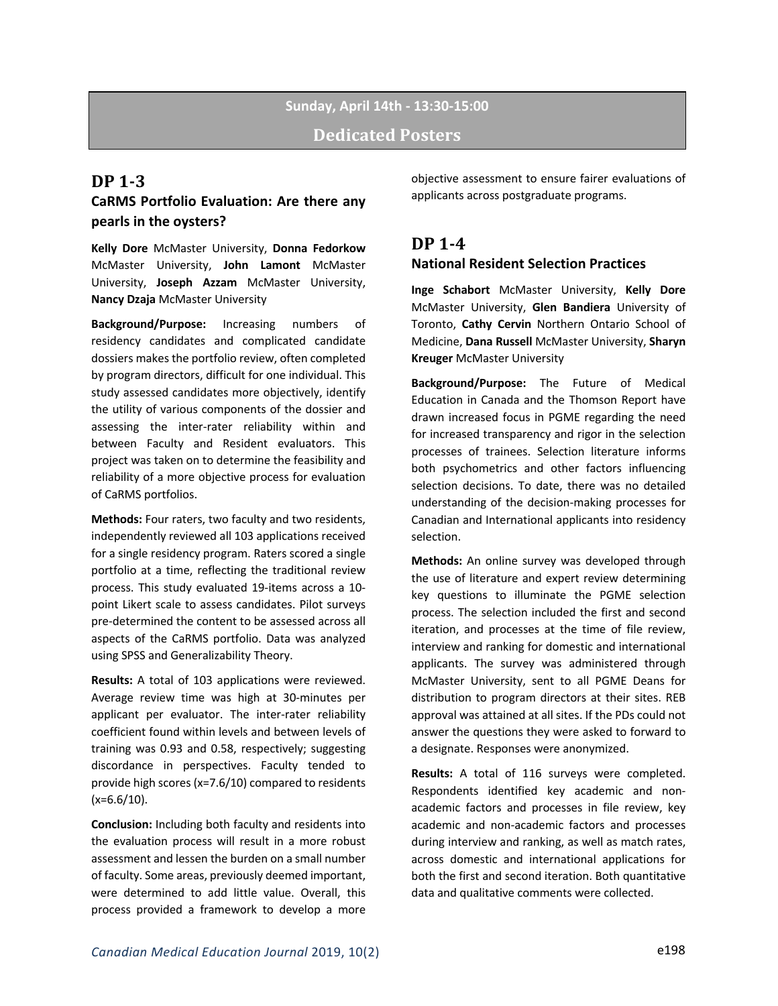# **Sunday, April 14th - 13:30-15:00 Dedicated Posters**

### **DP 1-3**

## **CaRMS Portfolio Evaluation: Are there any pearls in the oysters?**

**Kelly Dore** McMaster University, **Donna Fedorkow** McMaster University, **John Lamont** McMaster University, **Joseph Azzam** McMaster University, **Nancy Dzaja** McMaster University

**Background/Purpose:** Increasing numbers of residency candidates and complicated candidate dossiers makes the portfolio review, often completed by program directors, difficult for one individual. This study assessed candidates more objectively, identify the utility of various components of the dossier and assessing the inter-rater reliability within and between Faculty and Resident evaluators. This project was taken on to determine the feasibility and reliability of a more objective process for evaluation of CaRMS portfolios.

**Methods:** Four raters, two faculty and two residents, independently reviewed all 103 applications received for a single residency program. Raters scored a single portfolio at a time, reflecting the traditional review process. This study evaluated 19-items across a 10 point Likert scale to assess candidates. Pilot surveys pre-determined the content to be assessed across all aspects of the CaRMS portfolio. Data was analyzed using SPSS and Generalizability Theory.

**Results:** A total of 103 applications were reviewed. Average review time was high at 30-minutes per applicant per evaluator. The inter-rater reliability coefficient found within levels and between levels of training was 0.93 and 0.58, respectively; suggesting discordance in perspectives. Faculty tended to provide high scores (x=7.6/10) compared to residents  $(x=6.6/10)$ .

**Conclusion:** Including both faculty and residents into the evaluation process will result in a more robust assessment and lessen the burden on a small number of faculty. Some areas, previously deemed important, were determined to add little value. Overall, this process provided a framework to develop a more

objective assessment to ensure fairer evaluations of applicants across postgraduate programs.

### **DP 1-4 National Resident Selection Practices**

**Inge Schabort** McMaster University, **Kelly Dore** McMaster University, **Glen Bandiera** University of Toronto, **Cathy Cervin** Northern Ontario School of Medicine, **Dana Russell** McMaster University, **Sharyn Kreuger** McMaster University

**Background/Purpose:** The Future of Medical Education in Canada and the Thomson Report have drawn increased focus in PGME regarding the need for increased transparency and rigor in the selection processes of trainees. Selection literature informs both psychometrics and other factors influencing selection decisions. To date, there was no detailed understanding of the decision-making processes for Canadian and International applicants into residency selection.

**Methods:** An online survey was developed through the use of literature and expert review determining key questions to illuminate the PGME selection process. The selection included the first and second iteration, and processes at the time of file review, interview and ranking for domestic and international applicants. The survey was administered through McMaster University, sent to all PGME Deans for distribution to program directors at their sites. REB approval was attained at all sites. If the PDs could not answer the questions they were asked to forward to a designate. Responses were anonymized.

**Results:** A total of 116 surveys were completed. Respondents identified key academic and nonacademic factors and processes in file review, key academic and non-academic factors and processes during interview and ranking, as well as match rates, across domestic and international applications for both the first and second iteration. Both quantitative data and qualitative comments were collected.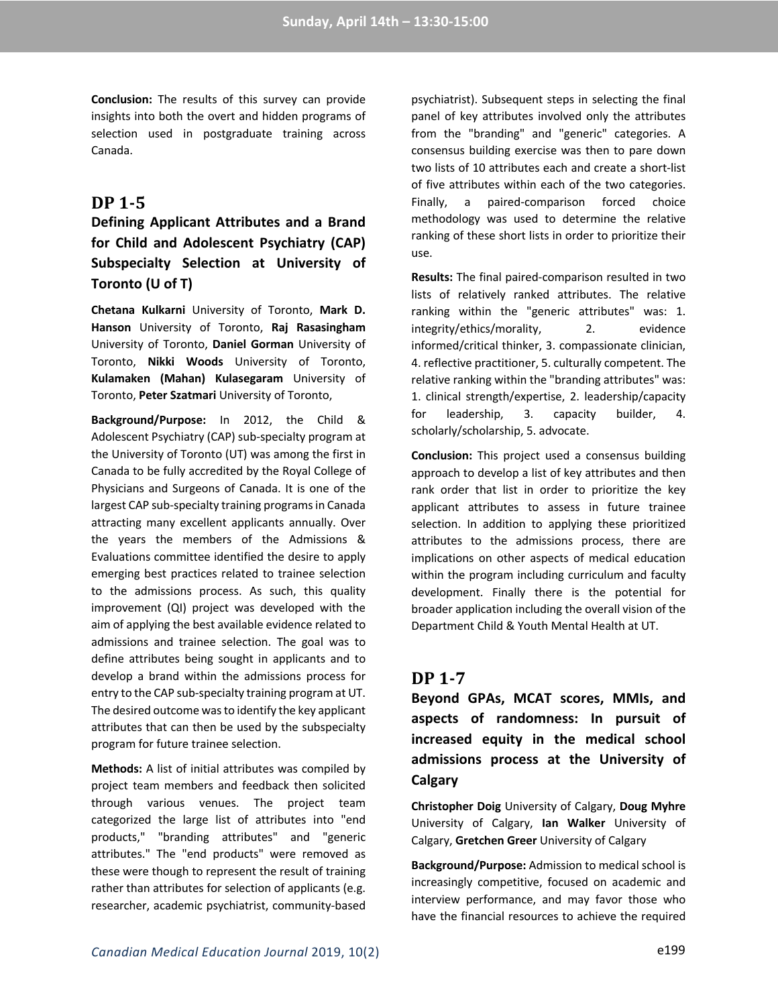**Conclusion:** The results of this survey can provide insights into both the overt and hidden programs of selection used in postgraduate training across Canada.

## **DP 1-5**

## **Defining Applicant Attributes and a Brand for Child and Adolescent Psychiatry (CAP) Subspecialty Selection at University of Toronto (U of T)**

**Chetana Kulkarni** University of Toronto, **Mark D. Hanson** University of Toronto, **Raj Rasasingham** University of Toronto, **Daniel Gorman** University of Toronto, **Nikki Woods** University of Toronto, **Kulamaken (Mahan) Kulasegaram** University of Toronto, **Peter Szatmari** University of Toronto,

**Background/Purpose:** In 2012, the Child & Adolescent Psychiatry (CAP) sub-specialty program at the University of Toronto (UT) was among the first in Canada to be fully accredited by the Royal College of Physicians and Surgeons of Canada. It is one of the largest CAP sub-specialty training programs in Canada attracting many excellent applicants annually. Over the years the members of the Admissions & Evaluations committee identified the desire to apply emerging best practices related to trainee selection to the admissions process. As such, this quality improvement (QI) project was developed with the aim of applying the best available evidence related to admissions and trainee selection. The goal was to define attributes being sought in applicants and to develop a brand within the admissions process for entry to the CAP sub-specialty training program at UT. The desired outcome was to identify the key applicant attributes that can then be used by the subspecialty program for future trainee selection.

**Methods:** A list of initial attributes was compiled by project team members and feedback then solicited through various venues. The project team categorized the large list of attributes into "end products," "branding attributes" and "generic attributes." The "end products" were removed as these were though to represent the result of training rather than attributes for selection of applicants (e.g. researcher, academic psychiatrist, community-based

psychiatrist). Subsequent steps in selecting the final panel of key attributes involved only the attributes from the "branding" and "generic" categories. A consensus building exercise was then to pare down two lists of 10 attributes each and create a short-list of five attributes within each of the two categories. Finally, a paired-comparison forced choice methodology was used to determine the relative ranking of these short lists in order to prioritize their use.

**Results:** The final paired-comparison resulted in two lists of relatively ranked attributes. The relative ranking within the "generic attributes" was: 1. integrity/ethics/morality, 2. evidence informed/critical thinker, 3. compassionate clinician, 4. reflective practitioner, 5. culturally competent. The relative ranking within the "branding attributes" was: 1. clinical strength/expertise, 2. leadership/capacity for leadership, 3. capacity builder, 4. scholarly/scholarship, 5. advocate.

**Conclusion:** This project used a consensus building approach to develop a list of key attributes and then rank order that list in order to prioritize the key applicant attributes to assess in future trainee selection. In addition to applying these prioritized attributes to the admissions process, there are implications on other aspects of medical education within the program including curriculum and faculty development. Finally there is the potential for broader application including the overall vision of the Department Child & Youth Mental Health at UT.

## **DP 1-7**

**Beyond GPAs, MCAT scores, MMIs, and aspects of randomness: In pursuit of increased equity in the medical school admissions process at the University of Calgary** 

**Christopher Doig** University of Calgary, **Doug Myhre** University of Calgary, **Ian Walker** University of Calgary, **Gretchen Greer** University of Calgary

**Background/Purpose:** Admission to medical school is increasingly competitive, focused on academic and interview performance, and may favor those who have the financial resources to achieve the required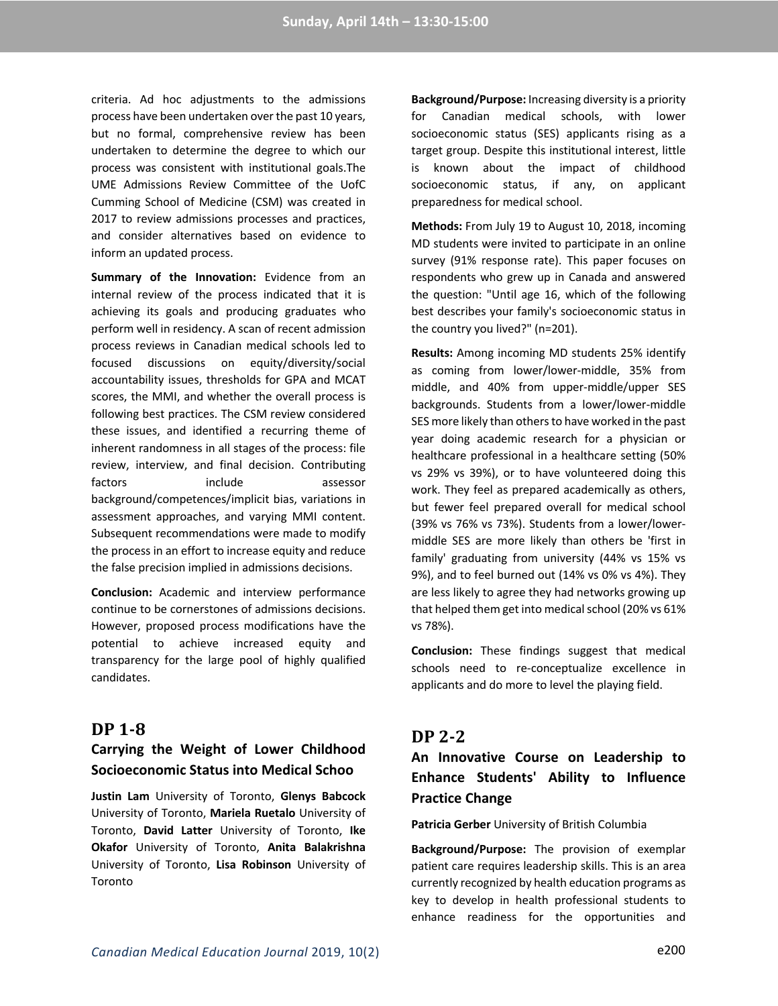criteria. Ad hoc adjustments to the admissions process have been undertaken over the past 10 years, but no formal, comprehensive review has been undertaken to determine the degree to which our process was consistent with institutional goals.The UME Admissions Review Committee of the UofC Cumming School of Medicine (CSM) was created in 2017 to review admissions processes and practices, and consider alternatives based on evidence to inform an updated process.

**Summary of the Innovation:** Evidence from an internal review of the process indicated that it is achieving its goals and producing graduates who perform well in residency. A scan of recent admission process reviews in Canadian medical schools led to focused discussions on equity/diversity/social accountability issues, thresholds for GPA and MCAT scores, the MMI, and whether the overall process is following best practices. The CSM review considered these issues, and identified a recurring theme of inherent randomness in all stages of the process: file review, interview, and final decision. Contributing factors include assessor background/competences/implicit bias, variations in assessment approaches, and varying MMI content. Subsequent recommendations were made to modify the process in an effort to increase equity and reduce the false precision implied in admissions decisions.

**Conclusion:** Academic and interview performance continue to be cornerstones of admissions decisions. However, proposed process modifications have the potential to achieve increased equity and transparency for the large pool of highly qualified candidates.

### **DP 1-8**

## **Carrying the Weight of Lower Childhood Socioeconomic Status into Medical Schoo**

**Justin Lam** University of Toronto, **Glenys Babcock** University of Toronto, **Mariela Ruetalo** University of Toronto, **David Latter** University of Toronto, **Ike Okafor** University of Toronto, **Anita Balakrishna** University of Toronto, **Lisa Robinson** University of Toronto

**Background/Purpose:** Increasing diversity is a priority for Canadian medical schools, with lower socioeconomic status (SES) applicants rising as a target group. Despite this institutional interest, little is known about the impact of childhood socioeconomic status, if any, on applicant preparedness for medical school.

**Methods:** From July 19 to August 10, 2018, incoming MD students were invited to participate in an online survey (91% response rate). This paper focuses on respondents who grew up in Canada and answered the question: "Until age 16, which of the following best describes your family's socioeconomic status in the country you lived?" (n=201).

**Results:** Among incoming MD students 25% identify as coming from lower/lower-middle, 35% from middle, and 40% from upper-middle/upper SES backgrounds. Students from a lower/lower-middle SES more likely than others to have worked in the past year doing academic research for a physician or healthcare professional in a healthcare setting (50% vs 29% vs 39%), or to have volunteered doing this work. They feel as prepared academically as others, but fewer feel prepared overall for medical school (39% vs 76% vs 73%). Students from a lower/lowermiddle SES are more likely than others be 'first in family' graduating from university (44% vs 15% vs 9%), and to feel burned out (14% vs 0% vs 4%). They are less likely to agree they had networks growing up that helped them get into medical school (20% vs 61% vs 78%).

**Conclusion:** These findings suggest that medical schools need to re-conceptualize excellence in applicants and do more to level the playing field.

### **DP 2-2**

**An Innovative Course on Leadership to Enhance Students' Ability to Influence Practice Change** 

**Patricia Gerber** University of British Columbia

**Background/Purpose:** The provision of exemplar patient care requires leadership skills. This is an area currently recognized by health education programs as key to develop in health professional students to enhance readiness for the opportunities and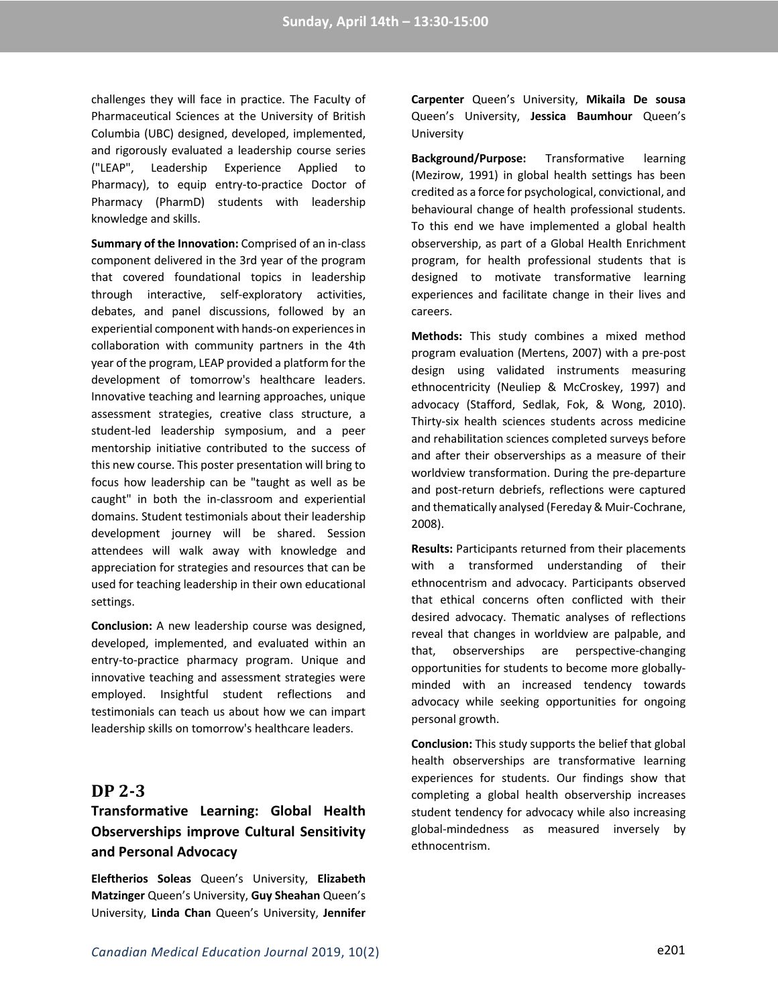challenges they will face in practice. The Faculty of Pharmaceutical Sciences at the University of British Columbia (UBC) designed, developed, implemented, and rigorously evaluated a leadership course series ("LEAP", Leadership Experience Applied to Pharmacy), to equip entry-to-practice Doctor of Pharmacy (PharmD) students with leadership knowledge and skills.

**Summary of the Innovation:** Comprised of an in-class component delivered in the 3rd year of the program that covered foundational topics in leadership through interactive, self-exploratory activities, debates, and panel discussions, followed by an experiential component with hands-on experiences in collaboration with community partners in the 4th year of the program, LEAP provided a platform for the development of tomorrow's healthcare leaders. Innovative teaching and learning approaches, unique assessment strategies, creative class structure, a student-led leadership symposium, and a peer mentorship initiative contributed to the success of this new course. This poster presentation will bring to focus how leadership can be "taught as well as be caught" in both the in-classroom and experiential domains. Student testimonials about their leadership development journey will be shared. Session attendees will walk away with knowledge and appreciation for strategies and resources that can be used for teaching leadership in their own educational settings.

**Conclusion:** A new leadership course was designed, developed, implemented, and evaluated within an entry-to-practice pharmacy program. Unique and innovative teaching and assessment strategies were employed. Insightful student reflections and testimonials can teach us about how we can impart leadership skills on tomorrow's healthcare leaders.

### **DP 2-3**

# **Transformative Learning: Global Health Observerships improve Cultural Sensitivity and Personal Advocacy**

**Eleftherios Soleas** Queen's University, **Elizabeth Matzinger** Queen's University, **Guy Sheahan** Queen's University, **Linda Chan** Queen's University, **Jennifer**  **Carpenter** Queen's University, **Mikaila De sousa** Queen's University, **Jessica Baumhour** Queen's University

**Background/Purpose:** Transformative learning (Mezirow, 1991) in global health settings has been credited as a force for psychological, convictional, and behavioural change of health professional students. To this end we have implemented a global health observership, as part of a Global Health Enrichment program, for health professional students that is designed to motivate transformative learning experiences and facilitate change in their lives and careers.

**Methods:** This study combines a mixed method program evaluation (Mertens, 2007) with a pre-post design using validated instruments measuring ethnocentricity (Neuliep & McCroskey, 1997) and advocacy (Stafford, Sedlak, Fok, & Wong, 2010). Thirty-six health sciences students across medicine and rehabilitation sciences completed surveys before and after their observerships as a measure of their worldview transformation. During the pre-departure and post-return debriefs, reflections were captured and thematically analysed (Fereday & Muir-Cochrane, 2008).

**Results:** Participants returned from their placements with a transformed understanding of their ethnocentrism and advocacy. Participants observed that ethical concerns often conflicted with their desired advocacy. Thematic analyses of reflections reveal that changes in worldview are palpable, and that, observerships are perspective-changing opportunities for students to become more globallyminded with an increased tendency towards advocacy while seeking opportunities for ongoing personal growth.

**Conclusion:** This study supports the belief that global health observerships are transformative learning experiences for students. Our findings show that completing a global health observership increases student tendency for advocacy while also increasing global-mindedness as measured inversely by ethnocentrism.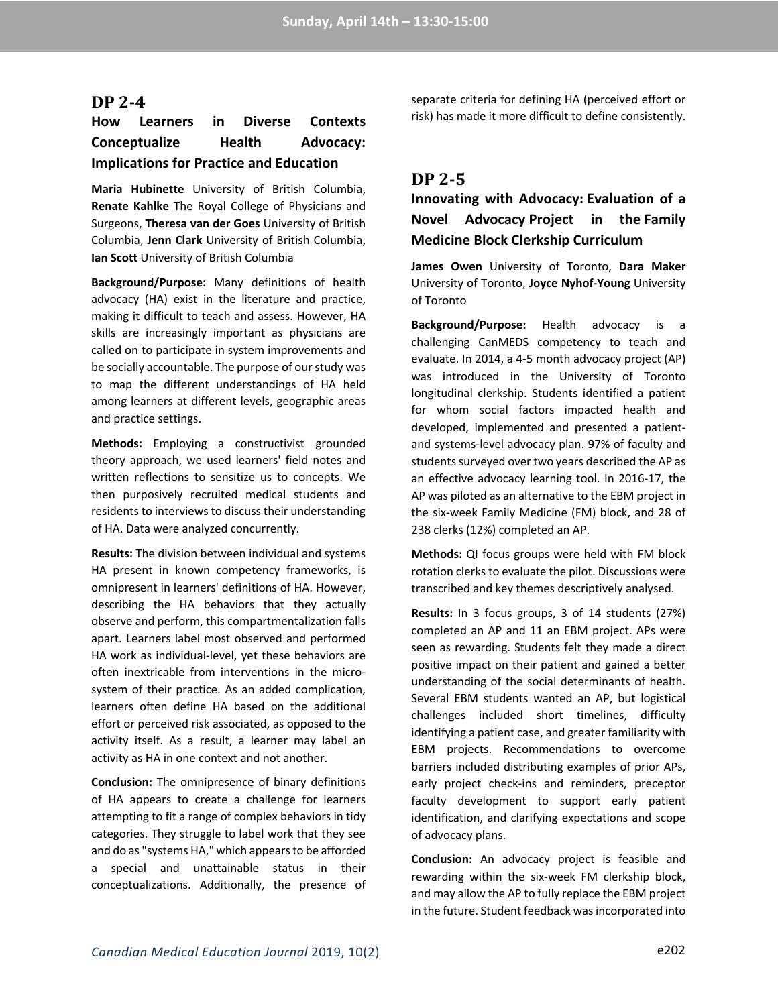#### **DP 2-4**

## **How Learners in Diverse Contexts Conceptualize Health Advocacy: Implications for Practice and Education**

**Maria Hubinette** University of British Columbia, **Renate Kahlke** The Royal College of Physicians and Surgeons, **Theresa van der Goes** University of British Columbia, **Jenn Clark** University of British Columbia, **Ian Scott** University of British Columbia

**Background/Purpose:** Many definitions of health advocacy (HA) exist in the literature and practice, making it difficult to teach and assess. However, HA skills are increasingly important as physicians are called on to participate in system improvements and be socially accountable. The purpose of our study was to map the different understandings of HA held among learners at different levels, geographic areas and practice settings.

**Methods:** Employing a constructivist grounded theory approach, we used learners' field notes and written reflections to sensitize us to concepts. We then purposively recruited medical students and residents to interviews to discuss their understanding of HA. Data were analyzed concurrently.

**Results:** The division between individual and systems HA present in known competency frameworks, is omnipresent in learners' definitions of HA. However, describing the HA behaviors that they actually observe and perform, this compartmentalization falls apart. Learners label most observed and performed HA work as individual-level, yet these behaviors are often inextricable from interventions in the microsystem of their practice. As an added complication, learners often define HA based on the additional effort or perceived risk associated, as opposed to the activity itself. As a result, a learner may label an activity as HA in one context and not another.

**Conclusion:** The omnipresence of binary definitions of HA appears to create a challenge for learners attempting to fit a range of complex behaviors in tidy categories. They struggle to label work that they see and do as "systems HA," which appears to be afforded a special and unattainable status in their conceptualizations. Additionally, the presence of separate criteria for defining HA (perceived effort or risk) has made it more difficult to define consistently.

### **DP 2-5**

## **Innovating with Advocacy: Evaluation of a Novel Advocacy Project in the Family Medicine Block Clerkship Curriculum**

**James Owen** University of Toronto, **Dara Maker** University of Toronto, **Joyce Nyhof-Young** University of Toronto

**Background/Purpose:** Health advocacy is a challenging CanMEDS competency to teach and evaluate. In 2014, a 4-5 month advocacy project (AP) was introduced in the University of Toronto longitudinal clerkship. Students identified a patient for whom social factors impacted health and developed, implemented and presented a patientand systems-level advocacy plan. 97% of faculty and students surveyed over two years described the AP as an effective advocacy learning tool. In 2016-17, the AP was piloted as an alternative to the EBM project in the six-week Family Medicine (FM) block, and 28 of 238 clerks (12%) completed an AP.

**Methods:** QI focus groups were held with FM block rotation clerks to evaluate the pilot. Discussions were transcribed and key themes descriptively analysed.

**Results:** In 3 focus groups, 3 of 14 students (27%) completed an AP and 11 an EBM project. APs were seen as rewarding. Students felt they made a direct positive impact on their patient and gained a better understanding of the social determinants of health. Several EBM students wanted an AP, but logistical challenges included short timelines, difficulty identifying a patient case, and greater familiarity with EBM projects. Recommendations to overcome barriers included distributing examples of prior APs, early project check-ins and reminders, preceptor faculty development to support early patient identification, and clarifying expectations and scope of advocacy plans.

**Conclusion:** An advocacy project is feasible and rewarding within the six-week FM clerkship block, and may allow the AP to fully replace the EBM project in the future. Student feedback was incorporated into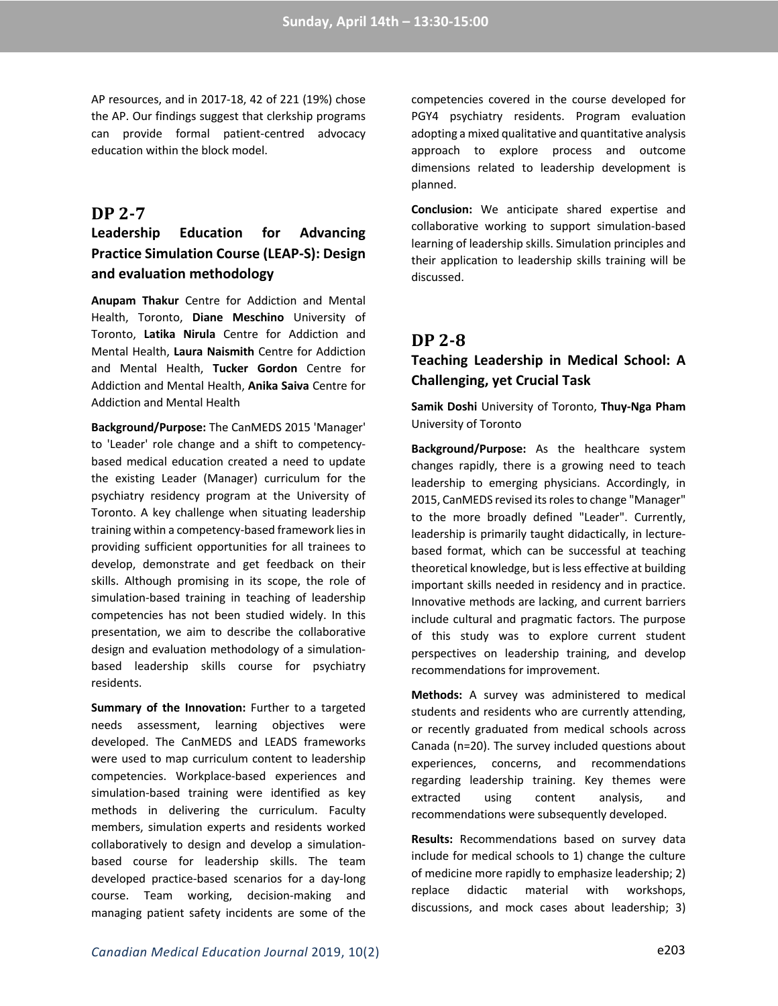AP resources, and in 2017-18, 42 of 221 (19%) chose the AP. Our findings suggest that clerkship programs can provide formal patient-centred advocacy education within the block model.

### **DP 2-7**

## **Leadership Education for Advancing Practice Simulation Course (LEAP-S): Design and evaluation methodology**

**Anupam Thakur** Centre for Addiction and Mental Health, Toronto, **Diane Meschino** University of Toronto, **Latika Nirula** Centre for Addiction and Mental Health, **Laura Naismith** Centre for Addiction and Mental Health, **Tucker Gordon** Centre for Addiction and Mental Health, **Anika Saiva** Centre for Addiction and Mental Health

**Background/Purpose:** The CanMEDS 2015 'Manager' to 'Leader' role change and a shift to competencybased medical education created a need to update the existing Leader (Manager) curriculum for the psychiatry residency program at the University of Toronto. A key challenge when situating leadership training within a competency-based framework lies in providing sufficient opportunities for all trainees to develop, demonstrate and get feedback on their skills. Although promising in its scope, the role of simulation-based training in teaching of leadership competencies has not been studied widely. In this presentation, we aim to describe the collaborative design and evaluation methodology of a simulationbased leadership skills course for psychiatry residents.

**Summary of the Innovation:** Further to a targeted needs assessment, learning objectives were developed. The CanMEDS and LEADS frameworks were used to map curriculum content to leadership competencies. Workplace-based experiences and simulation-based training were identified as key methods in delivering the curriculum. Faculty members, simulation experts and residents worked collaboratively to design and develop a simulationbased course for leadership skills. The team developed practice-based scenarios for a day-long course. Team working, decision-making and managing patient safety incidents are some of the competencies covered in the course developed for PGY4 psychiatry residents. Program evaluation adopting a mixed qualitative and quantitative analysis approach to explore process and outcome dimensions related to leadership development is planned.

**Conclusion:** We anticipate shared expertise and collaborative working to support simulation-based learning of leadership skills. Simulation principles and their application to leadership skills training will be discussed.

## **DP 2-8**

### **Teaching Leadership in Medical School: A Challenging, yet Crucial Task**

**Samik Doshi** University of Toronto, **Thuy-Nga Pham** University of Toronto

**Background/Purpose:** As the healthcare system changes rapidly, there is a growing need to teach leadership to emerging physicians. Accordingly, in 2015, CanMEDS revised its roles to change "Manager" to the more broadly defined "Leader". Currently, leadership is primarily taught didactically, in lecturebased format, which can be successful at teaching theoretical knowledge, but is less effective at building important skills needed in residency and in practice. Innovative methods are lacking, and current barriers include cultural and pragmatic factors. The purpose of this study was to explore current student perspectives on leadership training, and develop recommendations for improvement.

**Methods:** A survey was administered to medical students and residents who are currently attending, or recently graduated from medical schools across Canada (n=20). The survey included questions about experiences, concerns, and recommendations regarding leadership training. Key themes were extracted using content analysis, and recommendations were subsequently developed.

**Results:** Recommendations based on survey data include for medical schools to 1) change the culture of medicine more rapidly to emphasize leadership; 2) replace didactic material with workshops, discussions, and mock cases about leadership; 3)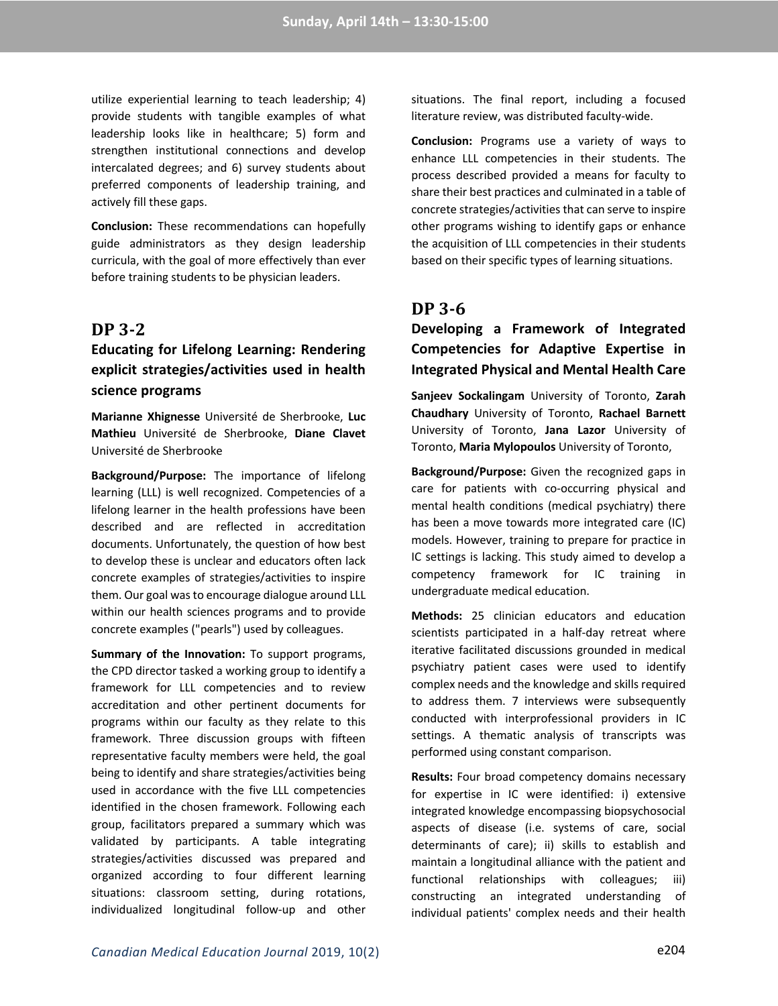utilize experiential learning to teach leadership; 4) provide students with tangible examples of what leadership looks like in healthcare; 5) form and strengthen institutional connections and develop intercalated degrees; and 6) survey students about preferred components of leadership training, and actively fill these gaps.

**Conclusion:** These recommendations can hopefully guide administrators as they design leadership curricula, with the goal of more effectively than ever before training students to be physician leaders.

## **DP 3-2**

## **Educating for Lifelong Learning: Rendering explicit strategies/activities used in health science programs**

**Marianne Xhignesse** Université de Sherbrooke, **Luc Mathieu** Université de Sherbrooke, **Diane Clavet** Université de Sherbrooke

**Background/Purpose:** The importance of lifelong learning (LLL) is well recognized. Competencies of a lifelong learner in the health professions have been described and are reflected in accreditation documents. Unfortunately, the question of how best to develop these is unclear and educators often lack concrete examples of strategies/activities to inspire them. Our goal was to encourage dialogue around LLL within our health sciences programs and to provide concrete examples ("pearls") used by colleagues.

**Summary of the Innovation:** To support programs, the CPD director tasked a working group to identify a framework for LLL competencies and to review accreditation and other pertinent documents for programs within our faculty as they relate to this framework. Three discussion groups with fifteen representative faculty members were held, the goal being to identify and share strategies/activities being used in accordance with the five LLL competencies identified in the chosen framework. Following each group, facilitators prepared a summary which was validated by participants. A table integrating strategies/activities discussed was prepared and organized according to four different learning situations: classroom setting, during rotations, individualized longitudinal follow-up and other

situations. The final report, including a focused literature review, was distributed faculty-wide.

**Conclusion:** Programs use a variety of ways to enhance LLL competencies in their students. The process described provided a means for faculty to share their best practices and culminated in a table of concrete strategies/activities that can serve to inspire other programs wishing to identify gaps or enhance the acquisition of LLL competencies in their students based on their specific types of learning situations.

## **DP 3-6**

**Developing a Framework of Integrated Competencies for Adaptive Expertise in Integrated Physical and Mental Health Care**

**Sanjeev Sockalingam** University of Toronto, **Zarah Chaudhary** University of Toronto, **Rachael Barnett** University of Toronto, **Jana Lazor** University of Toronto, **Maria Mylopoulos** University of Toronto,

**Background/Purpose:** Given the recognized gaps in care for patients with co-occurring physical and mental health conditions (medical psychiatry) there has been a move towards more integrated care (IC) models. However, training to prepare for practice in IC settings is lacking. This study aimed to develop a competency framework for IC training in undergraduate medical education.

**Methods:** 25 clinician educators and education scientists participated in a half-day retreat where iterative facilitated discussions grounded in medical psychiatry patient cases were used to identify complex needs and the knowledge and skills required to address them. 7 interviews were subsequently conducted with interprofessional providers in IC settings. A thematic analysis of transcripts was performed using constant comparison.

**Results:** Four broad competency domains necessary for expertise in IC were identified: i) extensive integrated knowledge encompassing biopsychosocial aspects of disease (i.e. systems of care, social determinants of care); ii) skills to establish and maintain a longitudinal alliance with the patient and functional relationships with colleagues; iii) constructing an integrated understanding of individual patients' complex needs and their health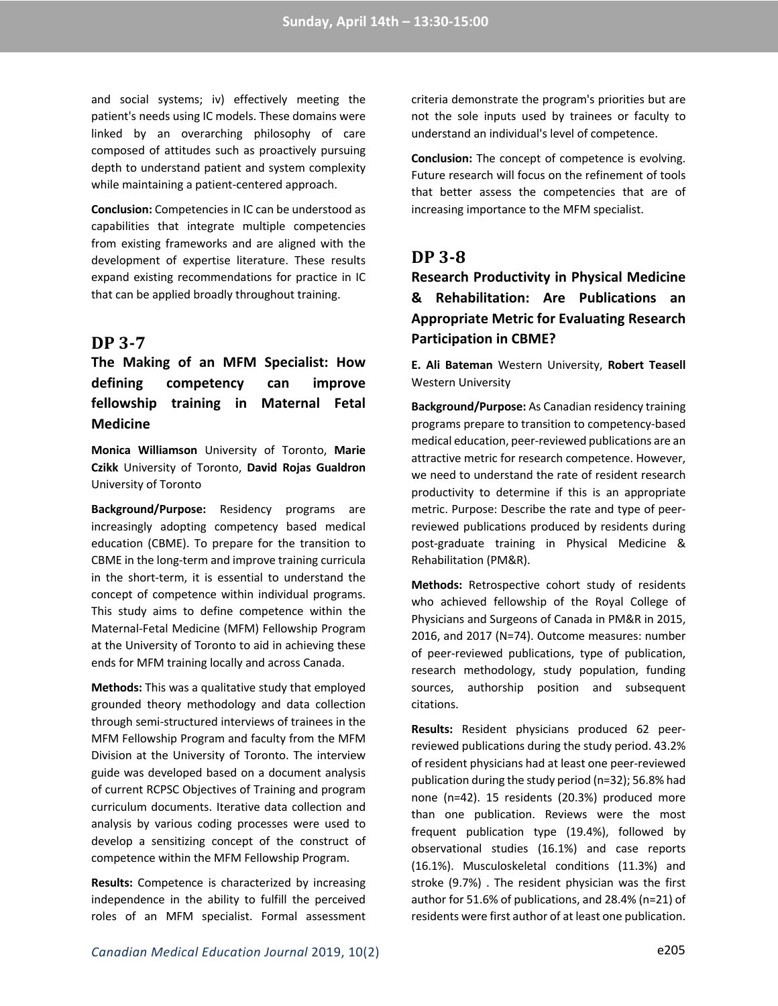and social systems; iv) effectively meeting the patient's needs using IC models. These domains were linked by an overarching philosophy of care composed of attitudes such as proactively pursuing depth to understand patient and system complexity while maintaining a patient-centered approach.

**Conclusion:** Competencies in IC can be understood as capabilities that integrate multiple competencies from existing frameworks and are aligned with the development of expertise literature. These results expand existing recommendations for practice in IC that can be applied broadly throughout training.

### **DP 3-7**

**The Making of an MFM Specialist: How defining competency can improve fellowship training in Maternal Fetal Medicine**

**Monica Williamson** University of Toronto, **Marie Czikk** University of Toronto, **David Rojas Gualdron** University of Toronto

**Background/Purpose:** Residency programs are increasingly adopting competency based medical education (CBME). To prepare for the transition to CBME in the long-term and improve training curricula in the short-term, it is essential to understand the concept of competence within individual programs. This study aims to define competence within the Maternal-Fetal Medicine (MFM) Fellowship Program at the University of Toronto to aid in achieving these ends for MFM training locally and across Canada.

**Methods:** This was a qualitative study that employed grounded theory methodology and data collection through semi-structured interviews of trainees in the MFM Fellowship Program and faculty from the MFM Division at the University of Toronto. The interview guide was developed based on a document analysis of current RCPSC Objectives of Training and program curriculum documents. Iterative data collection and analysis by various coding processes were used to develop a sensitizing concept of the construct of competence within the MFM Fellowship Program.

**Results:** Competence is characterized by increasing independence in the ability to fulfill the perceived roles of an MFM specialist. Formal assessment criteria demonstrate the program's priorities but are not the sole inputs used by trainees or faculty to understand an individual's level of competence.

**Conclusion:** The concept of competence is evolving. Future research will focus on the refinement of tools that better assess the competencies that are of increasing importance to the MFM specialist.

### **DP 3-8**

**Research Productivity in Physical Medicine & Rehabilitation: Are Publications an Appropriate Metric for Evaluating Research Participation in CBME?**

**E. Ali Bateman** Western University, **Robert Teasell** Western University

**Background/Purpose:** As Canadian residency training programs prepare to transition to competency-based medical education, peer-reviewed publications are an attractive metric for research competence. However, we need to understand the rate of resident research productivity to determine if this is an appropriate metric. Purpose: Describe the rate and type of peerreviewed publications produced by residents during post-graduate training in Physical Medicine & Rehabilitation (PM&R).

**Methods:** Retrospective cohort study of residents who achieved fellowship of the Royal College of Physicians and Surgeons of Canada in PM&R in 2015, 2016, and 2017 (N=74). Outcome measures: number of peer-reviewed publications, type of publication, research methodology, study population, funding sources, authorship position and subsequent citations.

**Results:** Resident physicians produced 62 peerreviewed publications during the study period. 43.2% of resident physicians had at least one peer-reviewed publication during the study period (n=32); 56.8% had none (n=42). 15 residents (20.3%) produced more than one publication. Reviews were the most frequent publication type (19.4%), followed by observational studies (16.1%) and case reports (16.1%). Musculoskeletal conditions (11.3%) and stroke (9.7%) . The resident physician was the first author for 51.6% of publications, and 28.4% (n=21) of residents were first author of at least one publication.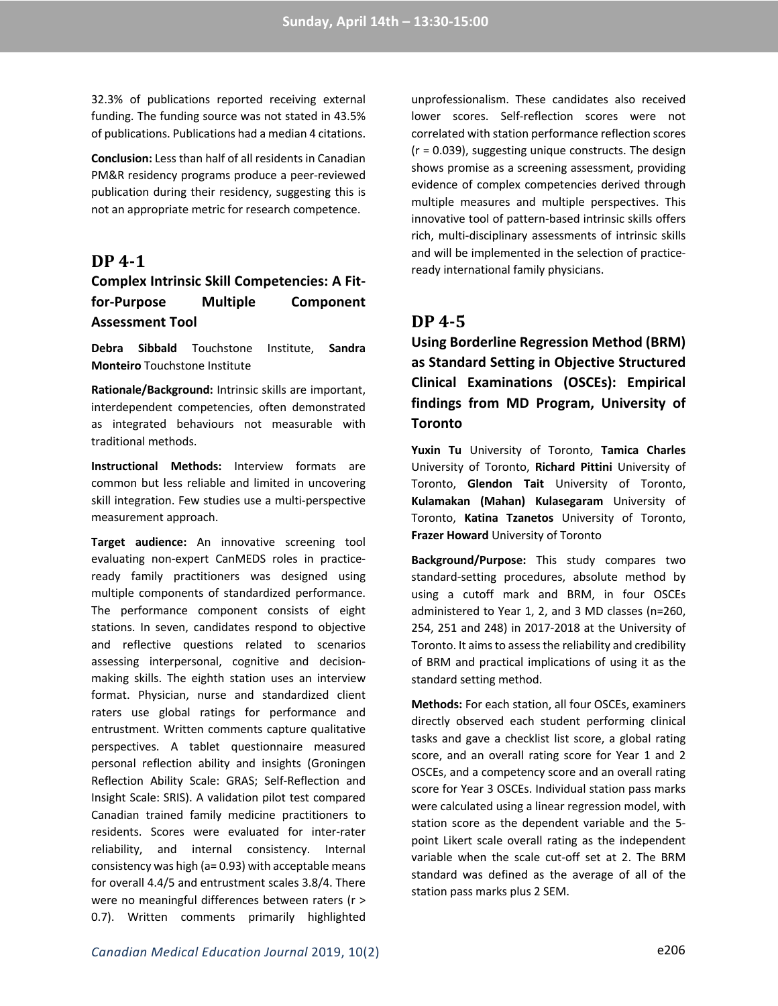32.3% of publications reported receiving external funding. The funding source was not stated in 43.5% of publications. Publications had a median 4 citations.

**Conclusion:** Less than half of all residents in Canadian PM&R residency programs produce a peer-reviewed publication during their residency, suggesting this is not an appropriate metric for research competence.

### **DP 4-1**

## **Complex Intrinsic Skill Competencies: A Fitfor-Purpose Multiple Component Assessment Tool**

**Debra Sibbald** Touchstone Institute, **Sandra Monteiro** Touchstone Institute

**Rationale/Background:** Intrinsic skills are important, interdependent competencies, often demonstrated as integrated behaviours not measurable with traditional methods.

**Instructional Methods:** Interview formats are common but less reliable and limited in uncovering skill integration. Few studies use a multi-perspective measurement approach.

**Target audience:** An innovative screening tool evaluating non-expert CanMEDS roles in practiceready family practitioners was designed using multiple components of standardized performance. The performance component consists of eight stations. In seven, candidates respond to objective and reflective questions related to scenarios assessing interpersonal, cognitive and decisionmaking skills. The eighth station uses an interview format. Physician, nurse and standardized client raters use global ratings for performance and entrustment. Written comments capture qualitative perspectives. A tablet questionnaire measured personal reflection ability and insights (Groningen Reflection Ability Scale: GRAS; Self-Reflection and Insight Scale: SRIS). A validation pilot test compared Canadian trained family medicine practitioners to residents. Scores were evaluated for inter-rater reliability, and internal consistency. Internal consistency was high (a= 0.93) with acceptable means for overall 4.4/5 and entrustment scales 3.8/4. There were no meaningful differences between raters (r > 0.7). Written comments primarily highlighted

unprofessionalism. These candidates also received lower scores. Self-reflection scores were not correlated with station performance reflection scores (r = 0.039), suggesting unique constructs. The design shows promise as a screening assessment, providing evidence of complex competencies derived through multiple measures and multiple perspectives. This innovative tool of pattern-based intrinsic skills offers rich, multi-disciplinary assessments of intrinsic skills and will be implemented in the selection of practiceready international family physicians.

## **DP 4-5**

**Using Borderline Regression Method (BRM) as Standard Setting in Objective Structured Clinical Examinations (OSCEs): Empirical findings from MD Program, University of Toronto**

**Yuxin Tu** University of Toronto, **Tamica Charles** University of Toronto, **Richard Pittini** University of Toronto, **Glendon Tait** University of Toronto, **Kulamakan (Mahan) Kulasegaram** University of Toronto, **Katina Tzanetos** University of Toronto, **Frazer Howard** University of Toronto

**Background/Purpose:** This study compares two standard-setting procedures, absolute method by using a cutoff mark and BRM, in four OSCEs administered to Year 1, 2, and 3 MD classes (n=260, 254, 251 and 248) in 2017-2018 at the University of Toronto. It aims to assess the reliability and credibility of BRM and practical implications of using it as the standard setting method.

**Methods:** For each station, all four OSCEs, examiners directly observed each student performing clinical tasks and gave a checklist list score, a global rating score, and an overall rating score for Year 1 and 2 OSCEs, and a competency score and an overall rating score for Year 3 OSCEs. Individual station pass marks were calculated using a linear regression model, with station score as the dependent variable and the 5 point Likert scale overall rating as the independent variable when the scale cut-off set at 2. The BRM standard was defined as the average of all of the station pass marks plus 2 SEM.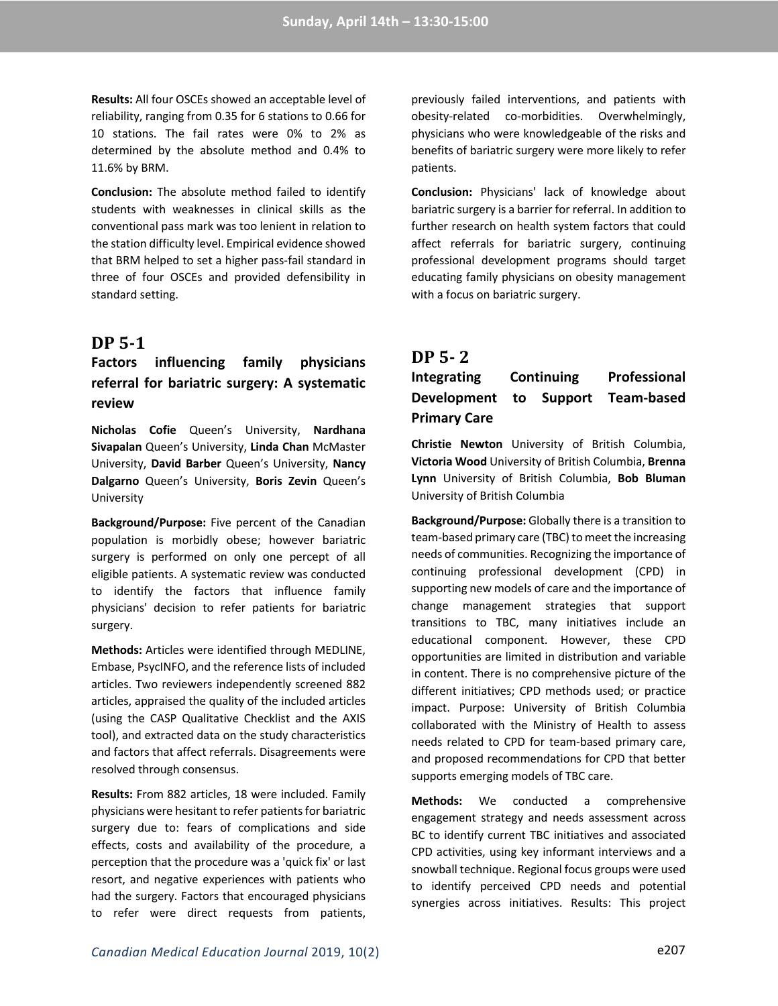**Results:** All four OSCEs showed an acceptable level of reliability, ranging from 0.35 for 6 stations to 0.66 for 10 stations. The fail rates were 0% to 2% as determined by the absolute method and 0.4% to 11.6% by BRM.

**Conclusion:** The absolute method failed to identify students with weaknesses in clinical skills as the conventional pass mark was too lenient in relation to the station difficulty level. Empirical evidence showed that BRM helped to set a higher pass-fail standard in three of four OSCEs and provided defensibility in standard setting.

### **DP 5-1**

## **Factors influencing family physicians referral for bariatric surgery: A systematic review**

**Nicholas Cofie** Queen's University, **Nardhana Sivapalan** Queen's University, **Linda Chan** McMaster University, **David Barber** Queen's University, **Nancy Dalgarno** Queen's University, **Boris Zevin** Queen's University

**Background/Purpose:** Five percent of the Canadian population is morbidly obese; however bariatric surgery is performed on only one percept of all eligible patients. A systematic review was conducted to identify the factors that influence family physicians' decision to refer patients for bariatric surgery.

**Methods:** Articles were identified through MEDLINE, Embase, PsycINFO, and the reference lists of included articles. Two reviewers independently screened 882 articles, appraised the quality of the included articles (using the CASP Qualitative Checklist and the AXIS tool), and extracted data on the study characteristics and factors that affect referrals. Disagreements were resolved through consensus.

**Results:** From 882 articles, 18 were included. Family physicians were hesitant to refer patients for bariatric surgery due to: fears of complications and side effects, costs and availability of the procedure, a perception that the procedure was a 'quick fix' or last resort, and negative experiences with patients who had the surgery. Factors that encouraged physicians to refer were direct requests from patients,

previously failed interventions, and patients with obesity-related co-morbidities. Overwhelmingly, physicians who were knowledgeable of the risks and benefits of bariatric surgery were more likely to refer patients.

**Conclusion:** Physicians' lack of knowledge about bariatric surgery is a barrier for referral. In addition to further research on health system factors that could affect referrals for bariatric surgery, continuing professional development programs should target educating family physicians on obesity management with a focus on bariatric surgery.

### **DP 5- 2**

# **Integrating Continuing Professional Development to Support Team-based Primary Care**

**Christie Newton** University of British Columbia, **Victoria Wood** University of British Columbia, **Brenna Lynn** University of British Columbia, **Bob Bluman** University of British Columbia

**Background/Purpose:** Globally there is a transition to team-based primary care (TBC) to meet the increasing needs of communities. Recognizing the importance of continuing professional development (CPD) in supporting new models of care and the importance of change management strategies that support transitions to TBC, many initiatives include an educational component. However, these CPD opportunities are limited in distribution and variable in content. There is no comprehensive picture of the different initiatives; CPD methods used; or practice impact. Purpose: University of British Columbia collaborated with the Ministry of Health to assess needs related to CPD for team-based primary care, and proposed recommendations for CPD that better supports emerging models of TBC care.

**Methods:** We conducted a comprehensive engagement strategy and needs assessment across BC to identify current TBC initiatives and associated CPD activities, using key informant interviews and a snowball technique. Regional focus groups were used to identify perceived CPD needs and potential synergies across initiatives. Results: This project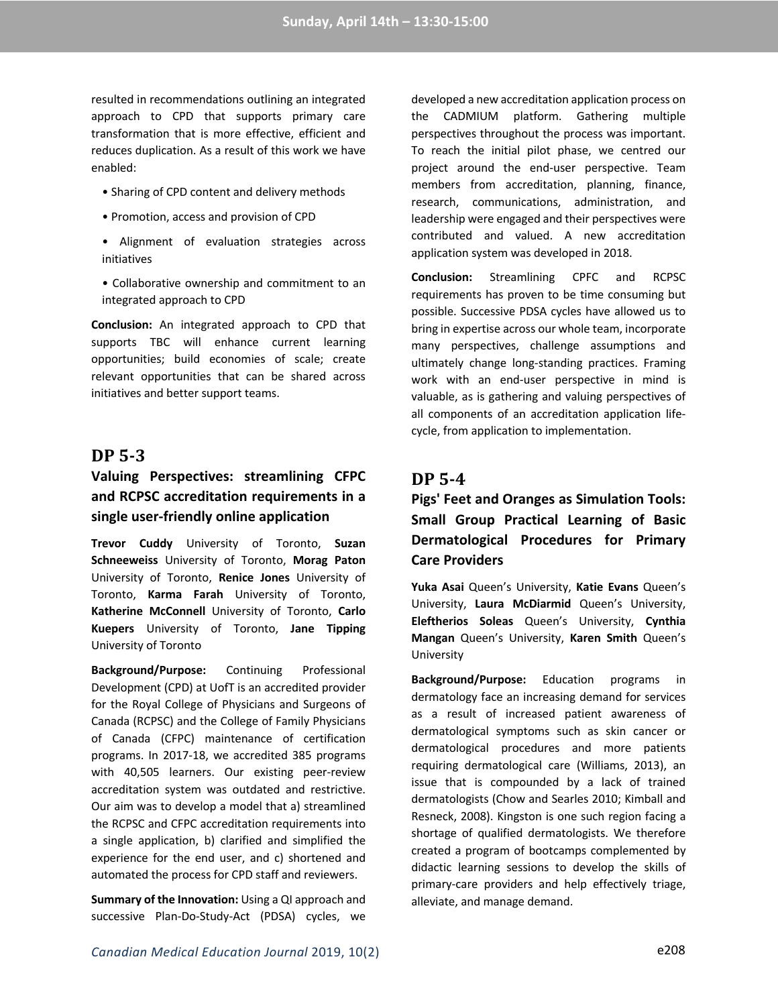resulted in recommendations outlining an integrated approach to CPD that supports primary care transformation that is more effective, efficient and reduces duplication. As a result of this work we have enabled:

- Sharing of CPD content and delivery methods
- Promotion, access and provision of CPD
- Alignment of evaluation strategies across initiatives
- Collaborative ownership and commitment to an integrated approach to CPD

**Conclusion:** An integrated approach to CPD that supports TBC will enhance current learning opportunities; build economies of scale; create relevant opportunities that can be shared across initiatives and better support teams.

## **DP 5-3**

## **Valuing Perspectives: streamlining CFPC and RCPSC accreditation requirements in a single user-friendly online application**

**Trevor Cuddy** University of Toronto, **Suzan Schneeweiss** University of Toronto, **Morag Paton** University of Toronto, **Renice Jones** University of Toronto, **Karma Farah** University of Toronto, **Katherine McConnell** University of Toronto, **Carlo Kuepers** University of Toronto, **Jane Tipping** University of Toronto

**Background/Purpose:** Continuing Professional Development (CPD) at UofT is an accredited provider for the Royal College of Physicians and Surgeons of Canada (RCPSC) and the College of Family Physicians of Canada (CFPC) maintenance of certification programs. In 2017-18, we accredited 385 programs with 40,505 learners. Our existing peer-review accreditation system was outdated and restrictive. Our aim was to develop a model that a) streamlined the RCPSC and CFPC accreditation requirements into a single application, b) clarified and simplified the experience for the end user, and c) shortened and automated the process for CPD staff and reviewers.

**Summary of the Innovation:** Using a QI approach and successive Plan-Do-Study-Act (PDSA) cycles, we

developed a new accreditation application process on the CADMIUM platform. Gathering multiple perspectives throughout the process was important. To reach the initial pilot phase, we centred our project around the end-user perspective. Team members from accreditation, planning, finance, research, communications, administration, and leadership were engaged and their perspectives were contributed and valued. A new accreditation application system was developed in 2018.

**Conclusion:** Streamlining CPFC and RCPSC requirements has proven to be time consuming but possible. Successive PDSA cycles have allowed us to bring in expertise across our whole team, incorporate many perspectives, challenge assumptions and ultimately change long-standing practices. Framing work with an end-user perspective in mind is valuable, as is gathering and valuing perspectives of all components of an accreditation application lifecycle, from application to implementation.

## **DP 5-4**

## **Pigs' Feet and Oranges as Simulation Tools: Small Group Practical Learning of Basic Dermatological Procedures for Primary Care Providers**

**Yuka Asai** Queen's University, **Katie Evans** Queen's University, **Laura McDiarmid** Queen's University, **Eleftherios Soleas** Queen's University, **Cynthia Mangan** Queen's University, **Karen Smith** Queen's University

**Background/Purpose:** Education programs in dermatology face an increasing demand for services as a result of increased patient awareness of dermatological symptoms such as skin cancer or dermatological procedures and more patients requiring dermatological care (Williams, 2013), an issue that is compounded by a lack of trained dermatologists (Chow and Searles 2010; Kimball and Resneck, 2008). Kingston is one such region facing a shortage of qualified dermatologists. We therefore created a program of bootcamps complemented by didactic learning sessions to develop the skills of primary-care providers and help effectively triage, alleviate, and manage demand.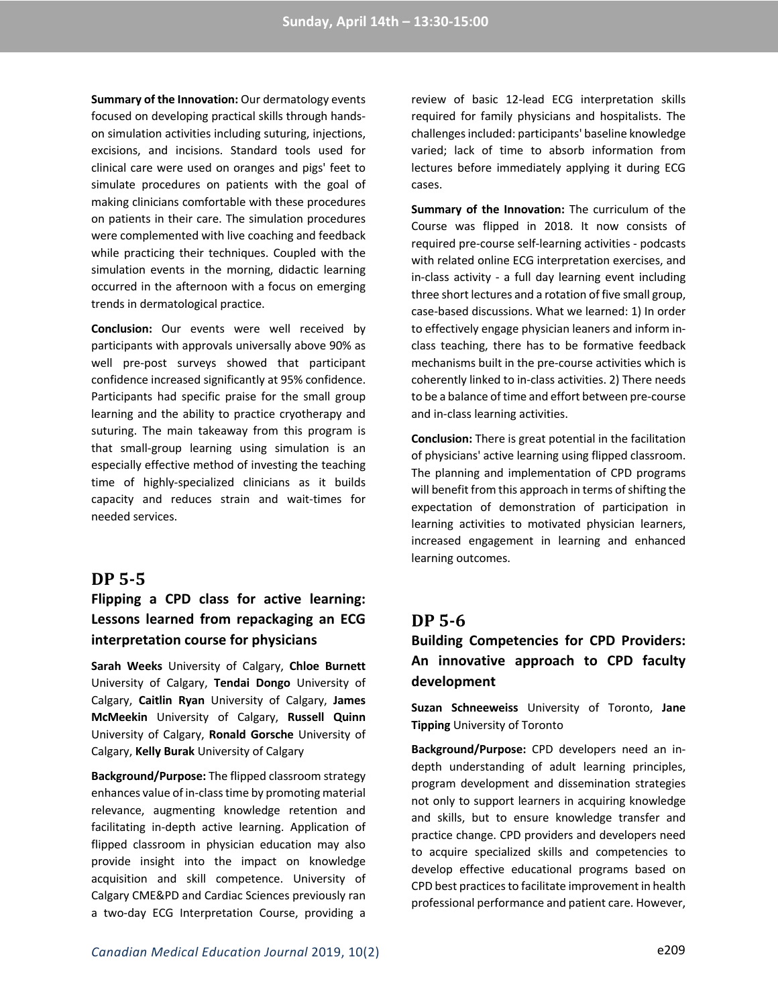**Summary of the Innovation:** Our dermatology events focused on developing practical skills through handson simulation activities including suturing, injections, excisions, and incisions. Standard tools used for clinical care were used on oranges and pigs' feet to simulate procedures on patients with the goal of making clinicians comfortable with these procedures on patients in their care. The simulation procedures were complemented with live coaching and feedback while practicing their techniques. Coupled with the simulation events in the morning, didactic learning occurred in the afternoon with a focus on emerging trends in dermatological practice.

**Conclusion:** Our events were well received by participants with approvals universally above 90% as well pre-post surveys showed that participant confidence increased significantly at 95% confidence. Participants had specific praise for the small group learning and the ability to practice cryotherapy and suturing. The main takeaway from this program is that small-group learning using simulation is an especially effective method of investing the teaching time of highly-specialized clinicians as it builds capacity and reduces strain and wait-times for needed services.

### **DP 5-5**

## **Flipping a CPD class for active learning: Lessons learned from repackaging an ECG interpretation course for physicians**

**Sarah Weeks** University of Calgary, **Chloe Burnett** University of Calgary, **Tendai Dongo** University of Calgary, **Caitlin Ryan** University of Calgary, **James McMeekin** University of Calgary, **Russell Quinn** University of Calgary, **Ronald Gorsche** University of Calgary, **Kelly Burak** University of Calgary

**Background/Purpose:** The flipped classroom strategy enhances value of in-class time by promoting material relevance, augmenting knowledge retention and facilitating in-depth active learning. Application of flipped classroom in physician education may also provide insight into the impact on knowledge acquisition and skill competence. University of Calgary CME&PD and Cardiac Sciences previously ran a two-day ECG Interpretation Course, providing a

review of basic 12-lead ECG interpretation skills required for family physicians and hospitalists. The challenges included: participants' baseline knowledge varied; lack of time to absorb information from lectures before immediately applying it during ECG cases.

**Summary of the Innovation:** The curriculum of the Course was flipped in 2018. It now consists of required pre-course self-learning activities - podcasts with related online ECG interpretation exercises, and in-class activity - a full day learning event including three short lectures and a rotation of five small group, case-based discussions. What we learned: 1) In order to effectively engage physician leaners and inform inclass teaching, there has to be formative feedback mechanisms built in the pre-course activities which is coherently linked to in-class activities. 2) There needs to be a balance of time and effort between pre-course and in-class learning activities.

**Conclusion:** There is great potential in the facilitation of physicians' active learning using flipped classroom. The planning and implementation of CPD programs will benefit from this approach in terms of shifting the expectation of demonstration of participation in learning activities to motivated physician learners, increased engagement in learning and enhanced learning outcomes.

### **DP 5-6**

## **Building Competencies for CPD Providers: An innovative approach to CPD faculty development**

**Suzan Schneeweiss** University of Toronto, **Jane Tipping** University of Toronto

**Background/Purpose:** CPD developers need an indepth understanding of adult learning principles, program development and dissemination strategies not only to support learners in acquiring knowledge and skills, but to ensure knowledge transfer and practice change. CPD providers and developers need to acquire specialized skills and competencies to develop effective educational programs based on CPD best practices to facilitate improvement in health professional performance and patient care. However,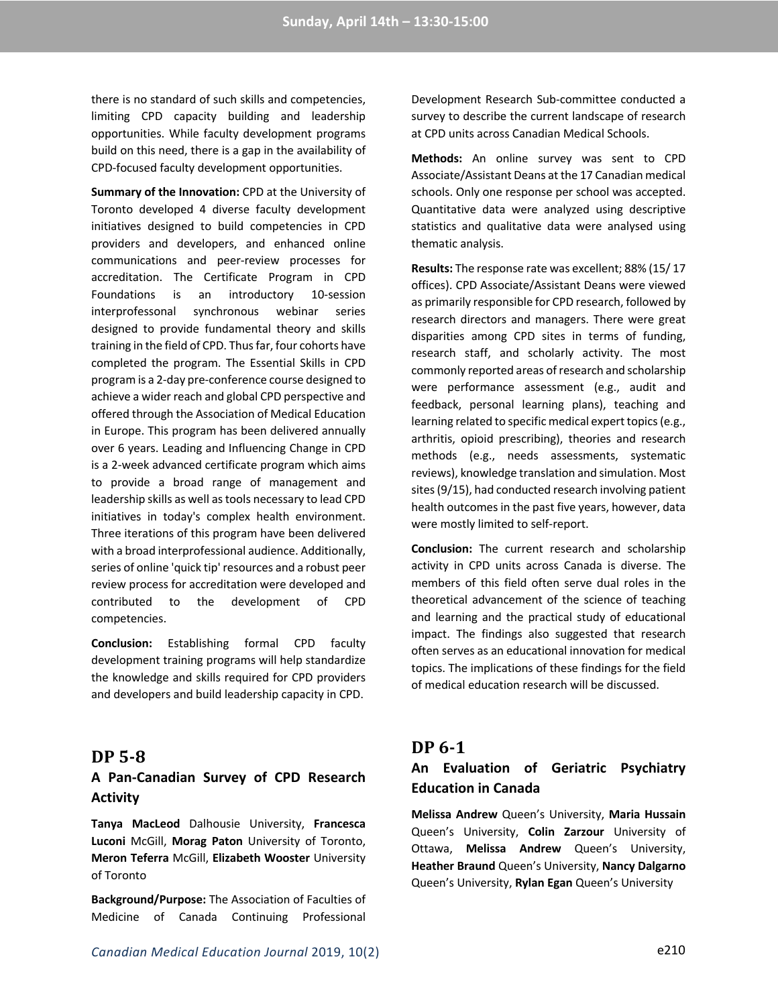there is no standard of such skills and competencies, limiting CPD capacity building and leadership opportunities. While faculty development programs build on this need, there is a gap in the availability of CPD-focused faculty development opportunities.

**Summary of the Innovation:** CPD at the University of Toronto developed 4 diverse faculty development initiatives designed to build competencies in CPD providers and developers, and enhanced online communications and peer-review processes for accreditation. The Certificate Program in CPD Foundations is an introductory 10-session interprofessonal synchronous webinar series designed to provide fundamental theory and skills training in the field of CPD. Thus far, four cohorts have completed the program. The Essential Skills in CPD program is a 2-day pre-conference course designed to achieve a wider reach and global CPD perspective and offered through the Association of Medical Education in Europe. This program has been delivered annually over 6 years. Leading and Influencing Change in CPD is a 2-week advanced certificate program which aims to provide a broad range of management and leadership skills as well as tools necessary to lead CPD initiatives in today's complex health environment. Three iterations of this program have been delivered with a broad interprofessional audience. Additionally, series of online 'quick tip' resources and a robust peer review process for accreditation were developed and contributed to the development of CPD competencies.

**Conclusion:** Establishing formal CPD faculty development training programs will help standardize the knowledge and skills required for CPD providers and developers and build leadership capacity in CPD.

### **DP 5-8**

### **A Pan-Canadian Survey of CPD Research Activity**

**Tanya MacLeod** Dalhousie University, **Francesca Luconi** McGill, **Morag Paton** University of Toronto, **Meron Teferra** McGill, **Elizabeth Wooster** University of Toronto

**Background/Purpose:** The Association of Faculties of Medicine of Canada Continuing Professional Development Research Sub-committee conducted a survey to describe the current landscape of research at CPD units across Canadian Medical Schools.

**Methods:** An online survey was sent to CPD Associate/Assistant Deans at the 17 Canadian medical schools. Only one response per school was accepted. Quantitative data were analyzed using descriptive statistics and qualitative data were analysed using thematic analysis.

**Results:** The response rate was excellent; 88% (15/ 17 offices). CPD Associate/Assistant Deans were viewed as primarily responsible for CPD research, followed by research directors and managers. There were great disparities among CPD sites in terms of funding, research staff, and scholarly activity. The most commonly reported areas of research and scholarship were performance assessment (e.g., audit and feedback, personal learning plans), teaching and learning related to specific medical expert topics (e.g., arthritis, opioid prescribing), theories and research methods (e.g., needs assessments, systematic reviews), knowledge translation and simulation. Most sites (9/15), had conducted research involving patient health outcomes in the past five years, however, data were mostly limited to self-report.

**Conclusion:** The current research and scholarship activity in CPD units across Canada is diverse. The members of this field often serve dual roles in the theoretical advancement of the science of teaching and learning and the practical study of educational impact. The findings also suggested that research often serves as an educational innovation for medical topics. The implications of these findings for the field of medical education research will be discussed.

### **DP 6-1**

## **An Evaluation of Geriatric Psychiatry Education in Canada**

**Melissa Andrew** Queen's University, **Maria Hussain** Queen's University, **Colin Zarzour** University of Ottawa, **Melissa Andrew** Queen's University, **Heather Braund** Queen's University, **Nancy Dalgarno** Queen's University, **Rylan Egan** Queen's University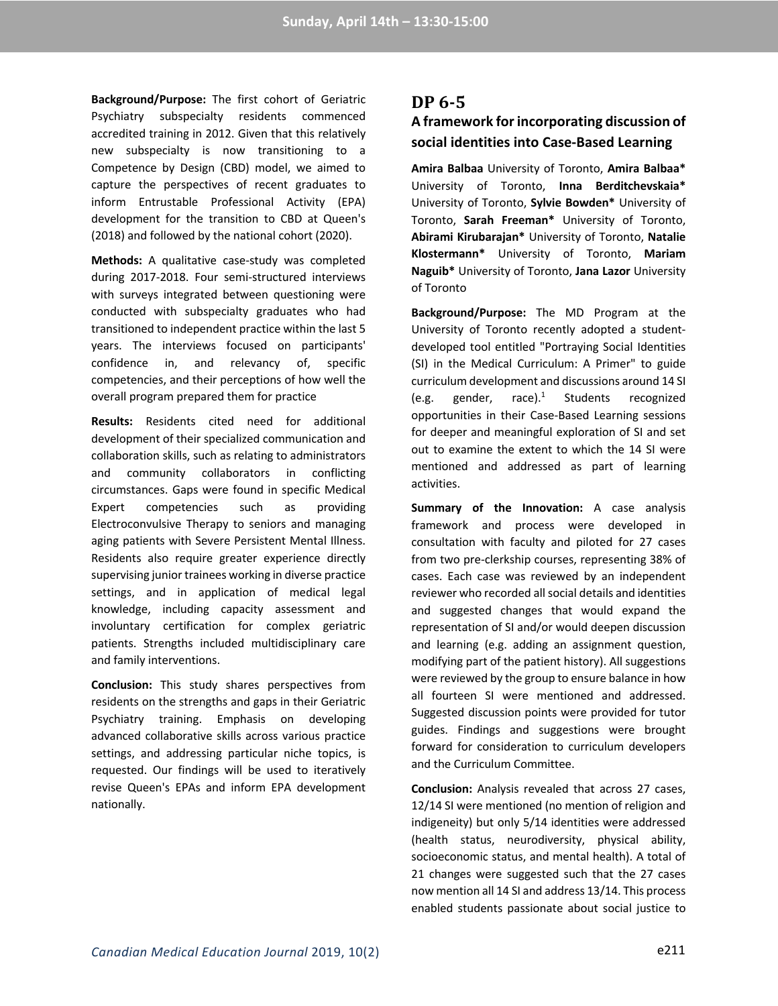**Background/Purpose:** The first cohort of Geriatric Psychiatry subspecialty residents commenced accredited training in 2012. Given that this relatively new subspecialty is now transitioning to a Competence by Design (CBD) model, we aimed to capture the perspectives of recent graduates to inform Entrustable Professional Activity (EPA) development for the transition to CBD at Queen's (2018) and followed by the national cohort (2020).

**Methods:** A qualitative case-study was completed during 2017-2018. Four semi-structured interviews with surveys integrated between questioning were conducted with subspecialty graduates who had transitioned to independent practice within the last 5 years. The interviews focused on participants' confidence in, and relevancy of, specific competencies, and their perceptions of how well the overall program prepared them for practice

**Results:** Residents cited need for additional development of their specialized communication and collaboration skills, such as relating to administrators and community collaborators in conflicting circumstances. Gaps were found in specific Medical Expert competencies such as providing Electroconvulsive Therapy to seniors and managing aging patients with Severe Persistent Mental Illness. Residents also require greater experience directly supervising junior trainees working in diverse practice settings, and in application of medical legal knowledge, including capacity assessment and involuntary certification for complex geriatric patients. Strengths included multidisciplinary care and family interventions.

**Conclusion:** This study shares perspectives from residents on the strengths and gaps in their Geriatric Psychiatry training. Emphasis on developing advanced collaborative skills across various practice settings, and addressing particular niche topics, is requested. Our findings will be used to iteratively revise Queen's EPAs and inform EPA development nationally.

### **DP 6-5**

## **A framework for incorporating discussion of social identities into Case-Based Learning**

**Amira Balbaa** University of Toronto, **Amira Balbaa\*** University of Toronto, **Inna Berditchevskaia\*** University of Toronto, **Sylvie Bowden\*** University of Toronto, **Sarah Freeman\*** University of Toronto, **Abirami Kirubarajan\*** University of Toronto, **Natalie Klostermann\*** University of Toronto, **Mariam Naguib\*** University of Toronto, **Jana Lazor** University of Toronto

**Background/Purpose:** The MD Program at the University of Toronto recently adopted a studentdeveloped tool entitled "Portraying Social Identities (SI) in the Medical Curriculum: A Primer" to guide curriculum development and discussions around 14 SI (e.g. gender, race). $1$  Students recognized opportunities in their Case-Based Learning sessions for deeper and meaningful exploration of SI and set out to examine the extent to which the 14 SI were mentioned and addressed as part of learning activities.

**Summary of the Innovation:** A case analysis framework and process were developed in consultation with faculty and piloted for 27 cases from two pre-clerkship courses, representing 38% of cases. Each case was reviewed by an independent reviewer who recorded all social details and identities and suggested changes that would expand the representation of SI and/or would deepen discussion and learning (e.g. adding an assignment question, modifying part of the patient history). All suggestions were reviewed by the group to ensure balance in how all fourteen SI were mentioned and addressed. Suggested discussion points were provided for tutor guides. Findings and suggestions were brought forward for consideration to curriculum developers and the Curriculum Committee.

**Conclusion:** Analysis revealed that across 27 cases, 12/14 SI were mentioned (no mention of religion and indigeneity) but only 5/14 identities were addressed (health status, neurodiversity, physical ability, socioeconomic status, and mental health). A total of 21 changes were suggested such that the 27 cases now mention all 14 SI and address 13/14. This process enabled students passionate about social justice to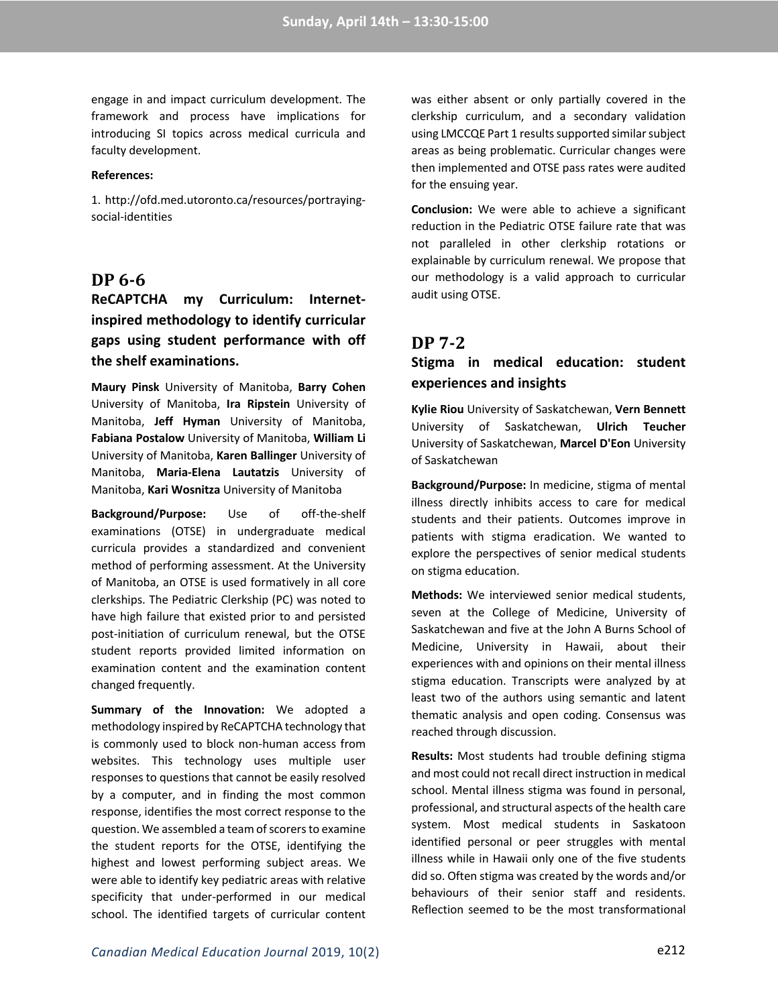engage in and impact curriculum development. The framework and process have implications for introducing SI topics across medical curricula and faculty development.

#### **References:**

1. http://ofd.med.utoronto.ca/resources/portrayingsocial-identities

### **DP 6-6**

**ReCAPTCHA my Curriculum: Internetinspired methodology to identify curricular gaps using student performance with off the shelf examinations.**

**Maury Pinsk** University of Manitoba, **Barry Cohen** University of Manitoba, **Ira Ripstein** University of Manitoba, **Jeff Hyman** University of Manitoba, **Fabiana Postalow** University of Manitoba, **William Li** University of Manitoba, **Karen Ballinger** University of Manitoba, **Maria-Elena Lautatzis** University of Manitoba, **Kari Wosnitza** University of Manitoba

**Background/Purpose:** Use of off-the-shelf examinations (OTSE) in undergraduate medical curricula provides a standardized and convenient method of performing assessment. At the University of Manitoba, an OTSE is used formatively in all core clerkships. The Pediatric Clerkship (PC) was noted to have high failure that existed prior to and persisted post-initiation of curriculum renewal, but the OTSE student reports provided limited information on examination content and the examination content changed frequently.

**Summary of the Innovation:** We adopted a methodology inspired by ReCAPTCHA technology that is commonly used to block non-human access from websites. This technology uses multiple user responses to questions that cannot be easily resolved by a computer, and in finding the most common response, identifies the most correct response to the question. We assembled a team of scorers to examine the student reports for the OTSE, identifying the highest and lowest performing subject areas. We were able to identify key pediatric areas with relative specificity that under-performed in our medical school. The identified targets of curricular content

was either absent or only partially covered in the clerkship curriculum, and a secondary validation using LMCCQE Part 1 results supported similar subject areas as being problematic. Curricular changes were then implemented and OTSE pass rates were audited for the ensuing year.

**Conclusion:** We were able to achieve a significant reduction in the Pediatric OTSE failure rate that was not paralleled in other clerkship rotations or explainable by curriculum renewal. We propose that our methodology is a valid approach to curricular audit using OTSE.

### **DP 7-2**

### **Stigma in medical education: student experiences and insights**

**Kylie Riou** University of Saskatchewan, **Vern Bennett** University of Saskatchewan, **Ulrich Teucher** University of Saskatchewan, **Marcel D'Eon** University of Saskatchewan

**Background/Purpose:** In medicine, stigma of mental illness directly inhibits access to care for medical students and their patients. Outcomes improve in patients with stigma eradication. We wanted to explore the perspectives of senior medical students on stigma education.

**Methods:** We interviewed senior medical students, seven at the College of Medicine, University of Saskatchewan and five at the John A Burns School of Medicine, University in Hawaii, about their experiences with and opinions on their mental illness stigma education. Transcripts were analyzed by at least two of the authors using semantic and latent thematic analysis and open coding. Consensus was reached through discussion.

**Results:** Most students had trouble defining stigma and most could not recall direct instruction in medical school. Mental illness stigma was found in personal, professional, and structural aspects of the health care system. Most medical students in Saskatoon identified personal or peer struggles with mental illness while in Hawaii only one of the five students did so. Often stigma was created by the words and/or behaviours of their senior staff and residents. Reflection seemed to be the most transformational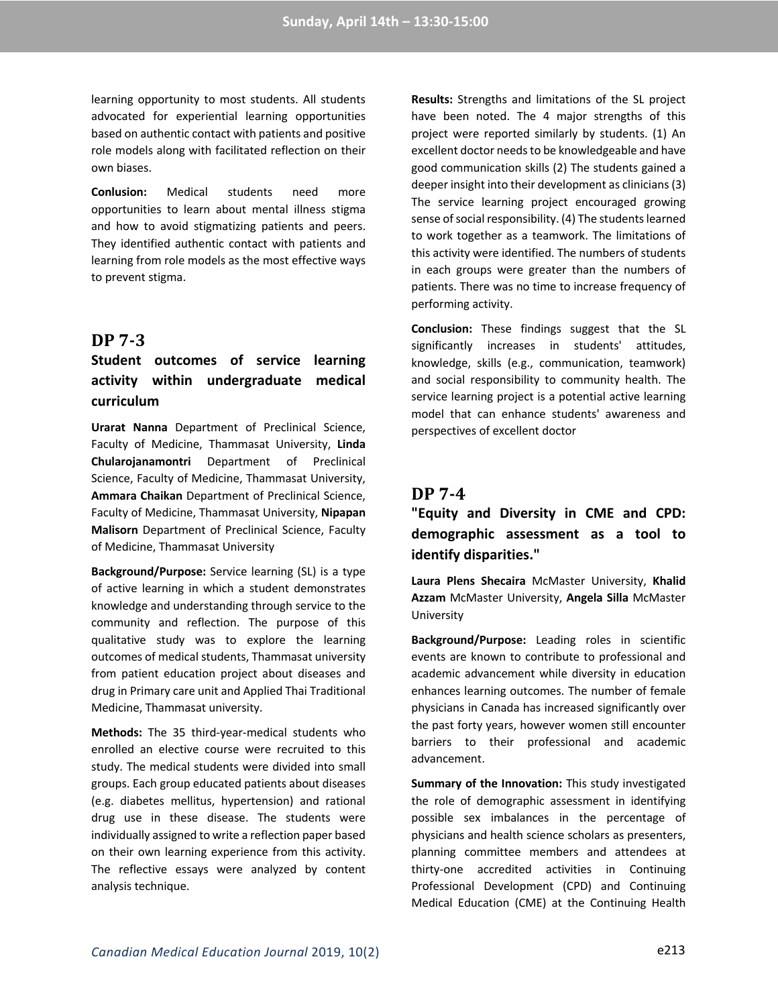learning opportunity to most students. All students advocated for experiential learning opportunities based on authentic contact with patients and positive role models along with facilitated reflection on their own biases.

**Conlusion:** Medical students need more opportunities to learn about mental illness stigma and how to avoid stigmatizing patients and peers. They identified authentic contact with patients and learning from role models as the most effective ways to prevent stigma.

### **DP 7-3**

## **Student outcomes of service learning activity within undergraduate medical curriculum**

**Urarat Nanna** Department of Preclinical Science, Faculty of Medicine, Thammasat University, **Linda Chularojanamontri** Department of Preclinical Science, Faculty of Medicine, Thammasat University, **Ammara Chaikan** Department of Preclinical Science, Faculty of Medicine, Thammasat University, **Nipapan Malisorn** Department of Preclinical Science, Faculty of Medicine, Thammasat University

**Background/Purpose:** Service learning (SL) is a type of active learning in which a student demonstrates knowledge and understanding through service to the community and reflection. The purpose of this qualitative study was to explore the learning outcomes of medical students, Thammasat university from patient education project about diseases and drug in Primary care unit and Applied Thai Traditional Medicine, Thammasat university.

**Methods:** The 35 third-year-medical students who enrolled an elective course were recruited to this study. The medical students were divided into small groups. Each group educated patients about diseases (e.g. diabetes mellitus, hypertension) and rational drug use in these disease. The students were individually assigned to write a reflection paper based on their own learning experience from this activity. The reflective essays were analyzed by content analysis technique.

**Results:** Strengths and limitations of the SL project have been noted. The 4 major strengths of this project were reported similarly by students. (1) An excellent doctor needs to be knowledgeable and have good communication skills (2) The students gained a deeper insight into their development as clinicians (3) The service learning project encouraged growing sense of social responsibility. (4) The students learned to work together as a teamwork. The limitations of this activity were identified. The numbers of students in each groups were greater than the numbers of patients. There was no time to increase frequency of performing activity.

**Conclusion:** These findings suggest that the SL significantly increases in students' attitudes, knowledge, skills (e.g., communication, teamwork) and social responsibility to community health. The service learning project is a potential active learning model that can enhance students' awareness and perspectives of excellent doctor

## **DP 7-4**

**"Equity and Diversity in CME and CPD: demographic assessment as a tool to identify disparities."**

**Laura Plens Shecaira** McMaster University, **Khalid Azzam** McMaster University, **Angela Silla** McMaster University

**Background/Purpose:** Leading roles in scientific events are known to contribute to professional and academic advancement while diversity in education enhances learning outcomes. The number of female physicians in Canada has increased significantly over the past forty years, however women still encounter barriers to their professional and academic advancement.

**Summary of the Innovation:** This study investigated the role of demographic assessment in identifying possible sex imbalances in the percentage of physicians and health science scholars as presenters, planning committee members and attendees at thirty-one accredited activities in Continuing Professional Development (CPD) and Continuing Medical Education (CME) at the Continuing Health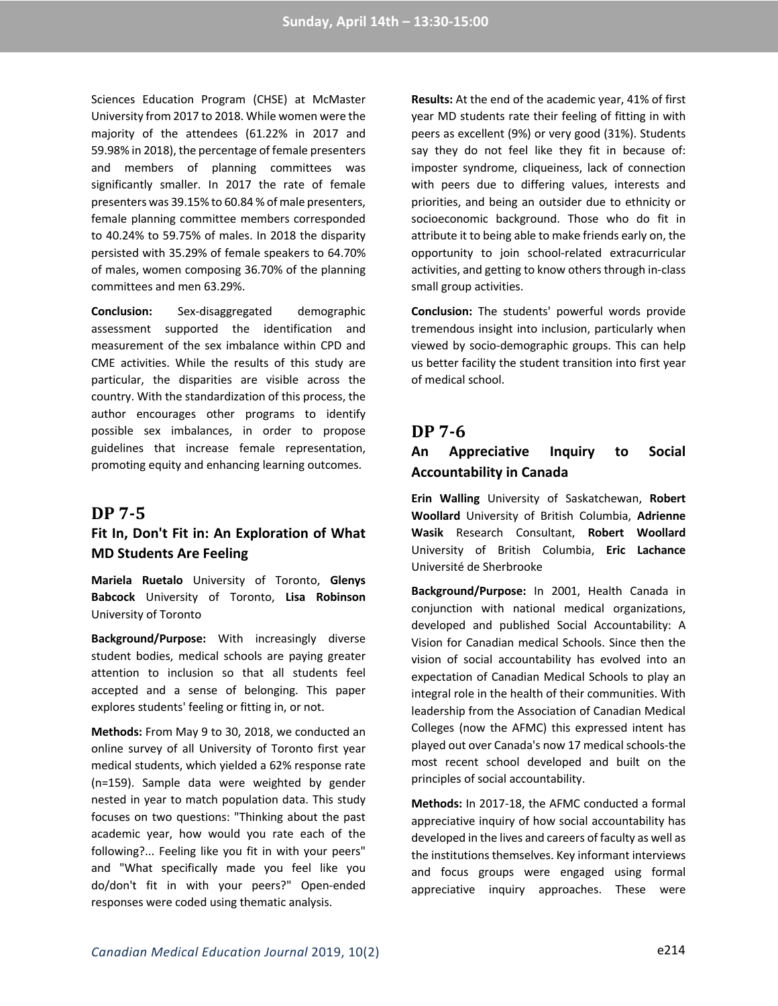Sciences Education Program (CHSE) at McMaster University from 2017 to 2018. While women were the majority of the attendees (61.22% in 2017 and 59.98% in 2018), the percentage of female presenters and members of planning committees was significantly smaller. In 2017 the rate of female presenters was 39.15% to 60.84 % of male presenters, female planning committee members corresponded to 40.24% to 59.75% of males. In 2018 the disparity persisted with 35.29% of female speakers to 64.70% of males, women composing 36.70% of the planning committees and men 63.29%.

**Conclusion:** Sex-disaggregated demographic assessment supported the identification and measurement of the sex imbalance within CPD and CME activities. While the results of this study are particular, the disparities are visible across the country. With the standardization of this process, the author encourages other programs to identify possible sex imbalances, in order to propose guidelines that increase female representation, promoting equity and enhancing learning outcomes.

#### **DP 7-5**

### **Fit In, Don't Fit in: An Exploration of What MD Students Are Feeling**

**Mariela Ruetalo** University of Toronto, **Glenys Babcock** University of Toronto, **Lisa Robinson** University of Toronto

**Background/Purpose:** With increasingly diverse student bodies, medical schools are paying greater attention to inclusion so that all students feel accepted and a sense of belonging. This paper explores students' feeling or fitting in, or not.

**Methods:** From May 9 to 30, 2018, we conducted an online survey of all University of Toronto first year medical students, which yielded a 62% response rate (n=159). Sample data were weighted by gender nested in year to match population data. This study focuses on two questions: "Thinking about the past academic year, how would you rate each of the following?... Feeling like you fit in with your peers" and "What specifically made you feel like you do/don't fit in with your peers?" Open-ended responses were coded using thematic analysis.

**Results:** At the end of the academic year, 41% of first year MD students rate their feeling of fitting in with peers as excellent (9%) or very good (31%). Students say they do not feel like they fit in because of: imposter syndrome, cliqueiness, lack of connection with peers due to differing values, interests and priorities, and being an outsider due to ethnicity or socioeconomic background. Those who do fit in attribute it to being able to make friends early on, the opportunity to join school-related extracurricular activities, and getting to know others through in-class small group activities.

**Conclusion:** The students' powerful words provide tremendous insight into inclusion, particularly when viewed by socio-demographic groups. This can help us better facility the student transition into first year of medical school.

### **DP 7-6**

### **An Appreciative Inquiry to Social Accountability in Canada**

**Erin Walling** University of Saskatchewan, **Robert Woollard** University of British Columbia, **Adrienne Wasik** Research Consultant, **Robert Woollard** University of British Columbia, **Eric Lachance** Université de Sherbrooke

**Background/Purpose:** In 2001, Health Canada in conjunction with national medical organizations, developed and published Social Accountability: A Vision for Canadian medical Schools. Since then the vision of social accountability has evolved into an expectation of Canadian Medical Schools to play an integral role in the health of their communities. With leadership from the Association of Canadian Medical Colleges (now the AFMC) this expressed intent has played out over Canada's now 17 medical schools-the most recent school developed and built on the principles of social accountability.

**Methods:** In 2017-18, the AFMC conducted a formal appreciative inquiry of how social accountability has developed in the lives and careers of faculty as well as the institutions themselves. Key informant interviews and focus groups were engaged using formal appreciative inquiry approaches. These were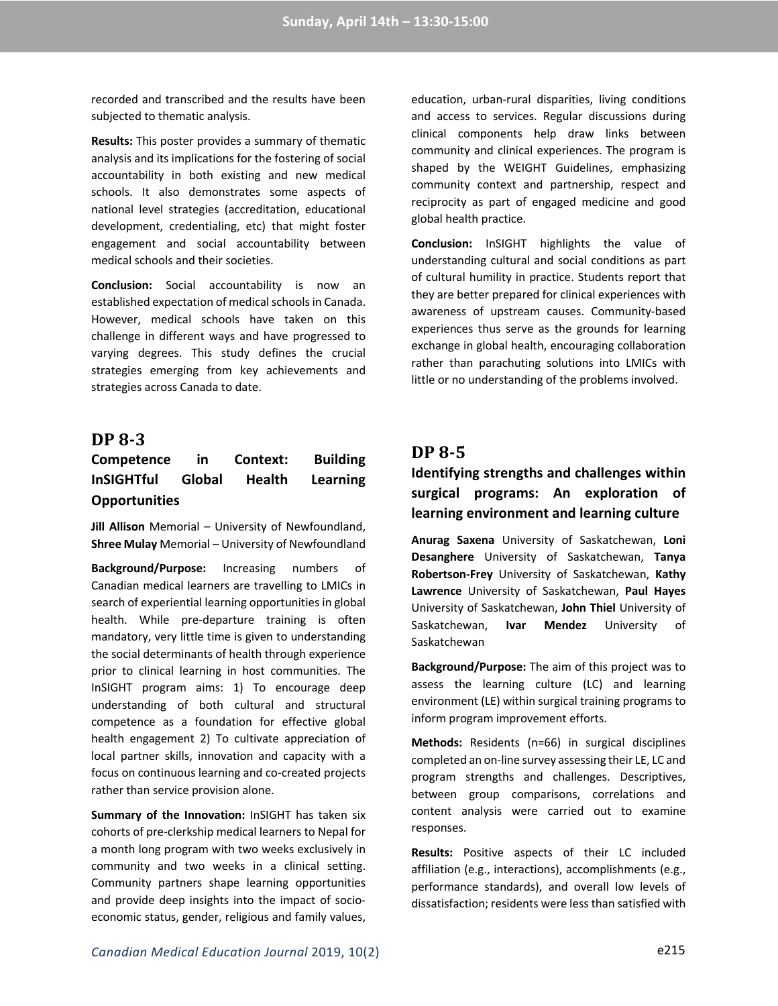recorded and transcribed and the results have been subjected to thematic analysis.

**Results:** This poster provides a summary of thematic analysis and its implications for the fostering of social accountability in both existing and new medical schools. It also demonstrates some aspects of national level strategies (accreditation, educational development, credentialing, etc) that might foster engagement and social accountability between medical schools and their societies.

**Conclusion:** Social accountability is now an established expectation of medical schools in Canada. However, medical schools have taken on this challenge in different ways and have progressed to varying degrees. This study defines the crucial strategies emerging from key achievements and strategies across Canada to date.

### **DP 8-3**

## **Competence in Context: Building InSIGHTful Global Health Learning Opportunities**

**Jill Allison** Memorial – University of Newfoundland, **Shree Mulay** Memorial – University of Newfoundland

**Background/Purpose:** Increasing numbers of Canadian medical learners are travelling to LMICs in search of experiential learning opportunities in global health. While pre-departure training is often mandatory, very little time is given to understanding the social determinants of health through experience prior to clinical learning in host communities. The InSIGHT program aims: 1) To encourage deep understanding of both cultural and structural competence as a foundation for effective global health engagement 2) To cultivate appreciation of local partner skills, innovation and capacity with a focus on continuous learning and co-created projects rather than service provision alone.

**Summary of the Innovation:** InSIGHT has taken six cohorts of pre-clerkship medical learners to Nepal for a month long program with two weeks exclusively in community and two weeks in a clinical setting. Community partners shape learning opportunities and provide deep insights into the impact of socioeconomic status, gender, religious and family values,

education, urban-rural disparities, living conditions and access to services. Regular discussions during clinical components help draw links between community and clinical experiences. The program is shaped by the WEIGHT Guidelines, emphasizing community context and partnership, respect and reciprocity as part of engaged medicine and good global health practice.

**Conclusion:** InSIGHT highlights the value of understanding cultural and social conditions as part of cultural humility in practice. Students report that they are better prepared for clinical experiences with awareness of upstream causes. Community-based experiences thus serve as the grounds for learning exchange in global health, encouraging collaboration rather than parachuting solutions into LMICs with little or no understanding of the problems involved.

### **DP 8-5**

## **Identifying strengths and challenges within surgical programs: An exploration of learning environment and learning culture**

**Anurag Saxena** University of Saskatchewan, **Loni Desanghere** University of Saskatchewan, **Tanya Robertson-Frey** University of Saskatchewan, **Kathy Lawrence** University of Saskatchewan, **Paul Hayes** University of Saskatchewan, **John Thiel** University of Saskatchewan, **Ivar Mendez** University of Saskatchewan

**Background/Purpose:** The aim of this project was to assess the learning culture (LC) and learning environment (LE) within surgical training programs to inform program improvement efforts.

**Methods:** Residents (n=66) in surgical disciplines completed an on-line survey assessing their LE, LC and program strengths and challenges. Descriptives, between group comparisons, correlations and content analysis were carried out to examine responses.

**Results:** Positive aspects of their LC included affiliation (e.g., interactions), accomplishments (e.g., performance standards), and overall low levels of dissatisfaction; residents were less than satisfied with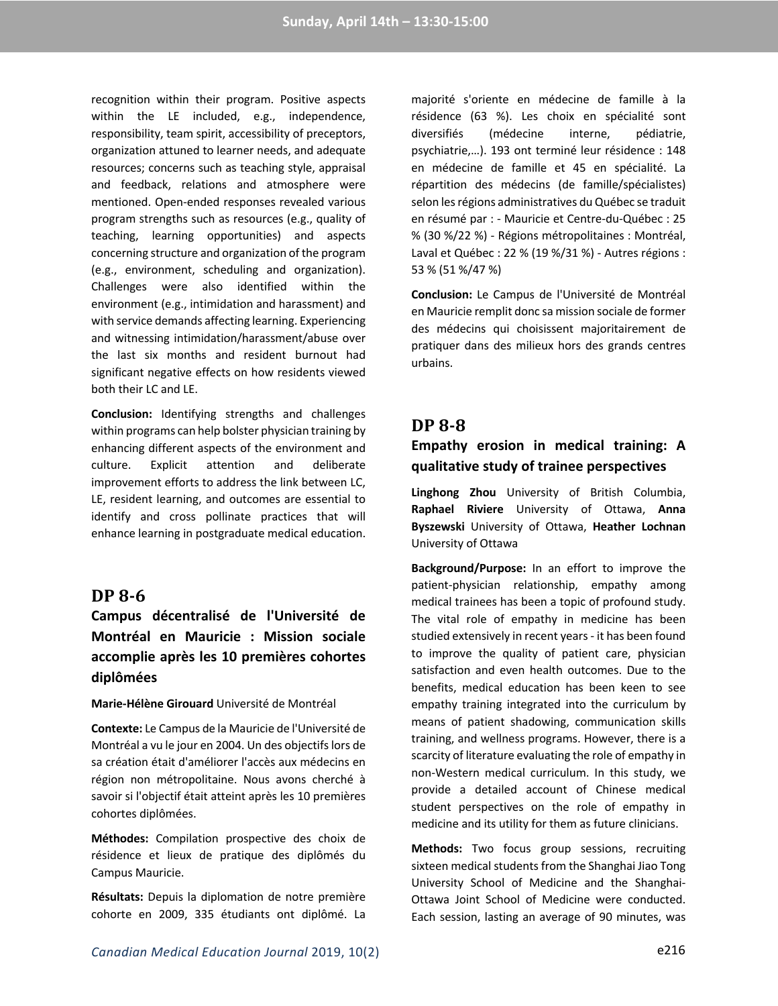recognition within their program. Positive aspects within the LE included, e.g., independence, responsibility, team spirit, accessibility of preceptors, organization attuned to learner needs, and adequate resources; concerns such as teaching style, appraisal and feedback, relations and atmosphere were mentioned. Open-ended responses revealed various program strengths such as resources (e.g., quality of teaching, learning opportunities) and aspects concerning structure and organization of the program (e.g., environment, scheduling and organization). Challenges were also identified within the environment (e.g., intimidation and harassment) and with service demands affecting learning. Experiencing and witnessing intimidation/harassment/abuse over the last six months and resident burnout had significant negative effects on how residents viewed both their LC and LE.

**Conclusion:** Identifying strengths and challenges within programs can help bolster physician training by enhancing different aspects of the environment and culture. Explicit attention and deliberate improvement efforts to address the link between LC, LE, resident learning, and outcomes are essential to identify and cross pollinate practices that will enhance learning in postgraduate medical education.

### **DP 8-6**

## **Campus décentralisé de l'Université de Montréal en Mauricie : Mission sociale accomplie après les 10 premières cohortes diplômées**

#### **Marie-Hélène Girouard** Université de Montréal

**Contexte:** Le Campus de la Mauricie de l'Université de Montréal a vu le jour en 2004. Un des objectifs lors de sa création était d'améliorer l'accès aux médecins en région non métropolitaine. Nous avons cherché à savoir si l'objectif était atteint après les 10 premières cohortes diplômées.

**Méthodes:** Compilation prospective des choix de résidence et lieux de pratique des diplômés du Campus Mauricie.

**Résultats:** Depuis la diplomation de notre première cohorte en 2009, 335 étudiants ont diplômé. La

majorité s'oriente en médecine de famille à la résidence (63 %). Les choix en spécialité sont diversifiés (médecine interne, pédiatrie, psychiatrie,…). 193 ont terminé leur résidence : 148 en médecine de famille et 45 en spécialité. La répartition des médecins (de famille/spécialistes) selon les régions administratives du Québec se traduit en résumé par : - Mauricie et Centre-du-Québec : 25 % (30 %/22 %) - Régions métropolitaines : Montréal, Laval et Québec : 22 % (19 %/31 %) - Autres régions : 53 % (51 %/47 %)

**Conclusion:** Le Campus de l'Université de Montréal en Mauricie remplit donc sa mission sociale de former des médecins qui choisissent majoritairement de pratiquer dans des milieux hors des grands centres urbains.

### **DP 8-8**

### **Empathy erosion in medical training: A qualitative study of trainee perspectives**

**Linghong Zhou** University of British Columbia, **Raphael Riviere** University of Ottawa, **Anna Byszewski** University of Ottawa, **Heather Lochnan** University of Ottawa

**Background/Purpose:** In an effort to improve the patient-physician relationship, empathy among medical trainees has been a topic of profound study. The vital role of empathy in medicine has been studied extensively in recent years - it has been found to improve the quality of patient care, physician satisfaction and even health outcomes. Due to the benefits, medical education has been keen to see empathy training integrated into the curriculum by means of patient shadowing, communication skills training, and wellness programs. However, there is a scarcity of literature evaluating the role of empathy in non-Western medical curriculum. In this study, we provide a detailed account of Chinese medical student perspectives on the role of empathy in medicine and its utility for them as future clinicians.

**Methods:** Two focus group sessions, recruiting sixteen medical students from the Shanghai Jiao Tong University School of Medicine and the Shanghai-Ottawa Joint School of Medicine were conducted. Each session, lasting an average of 90 minutes, was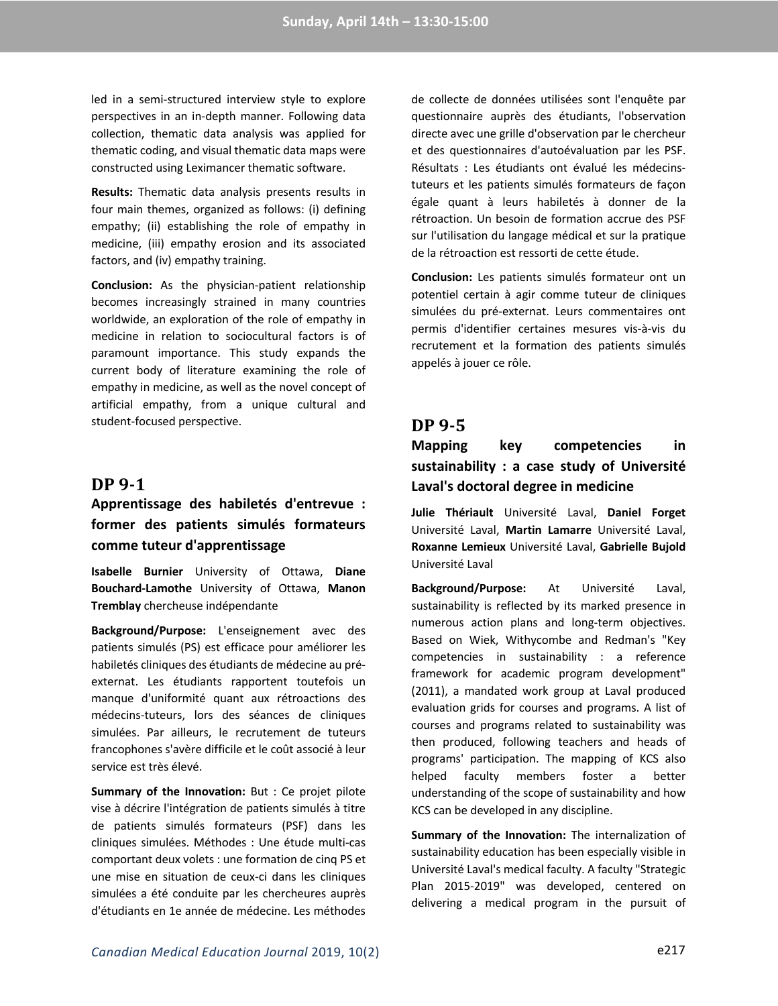led in a semi-structured interview style to explore perspectives in an in-depth manner. Following data collection, thematic data analysis was applied for thematic coding, and visual thematic data maps were constructed using Leximancer thematic software.

**Results:** Thematic data analysis presents results in four main themes, organized as follows: (i) defining empathy; (ii) establishing the role of empathy in medicine, (iii) empathy erosion and its associated factors, and (iv) empathy training.

**Conclusion:** As the physician-patient relationship becomes increasingly strained in many countries worldwide, an exploration of the role of empathy in medicine in relation to sociocultural factors is of paramount importance. This study expands the current body of literature examining the role of empathy in medicine, as well as the novel concept of artificial empathy, from a unique cultural and student-focused perspective.

## **DP 9-1**

## **Apprentissage des habiletés d'entrevue : former des patients simulés formateurs comme tuteur d'apprentissage**

**Isabelle Burnier** University of Ottawa, **Diane Bouchard-Lamothe** University of Ottawa, **Manon Tremblay** chercheuse indépendante

**Background/Purpose:** L'enseignement avec des patients simulés (PS) est efficace pour améliorer les habiletés cliniques des étudiants de médecine au préexternat. Les étudiants rapportent toutefois un manque d'uniformité quant aux rétroactions des médecins-tuteurs, lors des séances de cliniques simulées. Par ailleurs, le recrutement de tuteurs francophones s'avère difficile et le coût associé à leur service est très élevé.

**Summary of the Innovation:** But : Ce projet pilote vise à décrire l'intégration de patients simulés à titre de patients simulés formateurs (PSF) dans les cliniques simulées. Méthodes : Une étude multi-cas comportant deux volets : une formation de cinq PS et une mise en situation de ceux-ci dans les cliniques simulées a été conduite par les chercheures auprès d'étudiants en 1e année de médecine. Les méthodes

de collecte de données utilisées sont l'enquête par questionnaire auprès des étudiants, l'observation directe avec une grille d'observation par le chercheur et des questionnaires d'autoévaluation par les PSF. Résultats : Les étudiants ont évalué les médecinstuteurs et les patients simulés formateurs de façon égale quant à leurs habiletés à donner de la rétroaction. Un besoin de formation accrue des PSF sur l'utilisation du langage médical et sur la pratique de la rétroaction est ressorti de cette étude.

**Conclusion:** Les patients simulés formateur ont un potentiel certain à agir comme tuteur de cliniques simulées du pré-externat. Leurs commentaires ont permis d'identifier certaines mesures vis-à-vis du recrutement et la formation des patients simulés appelés à jouer ce rôle.

### **DP 9-5**

## **Mapping key competencies in sustainability : a case study of Université Laval's doctoral degree in medicine**

**Julie Thériault** Université Laval, **Daniel Forget** Université Laval, **Martin Lamarre** Université Laval, **Roxanne Lemieux** Université Laval, **Gabrielle Bujold** Université Laval

**Background/Purpose:** At Université Laval, sustainability is reflected by its marked presence in numerous action plans and long-term objectives. Based on Wiek, Withycombe and Redman's "Key competencies in sustainability : a reference framework for academic program development" (2011), a mandated work group at Laval produced evaluation grids for courses and programs. A list of courses and programs related to sustainability was then produced, following teachers and heads of programs' participation. The mapping of KCS also helped faculty members foster a better understanding of the scope of sustainability and how KCS can be developed in any discipline.

**Summary of the Innovation:** The internalization of sustainability education has been especially visible in Université Laval's medical faculty. A faculty "Strategic Plan 2015-2019" was developed, centered on delivering a medical program in the pursuit of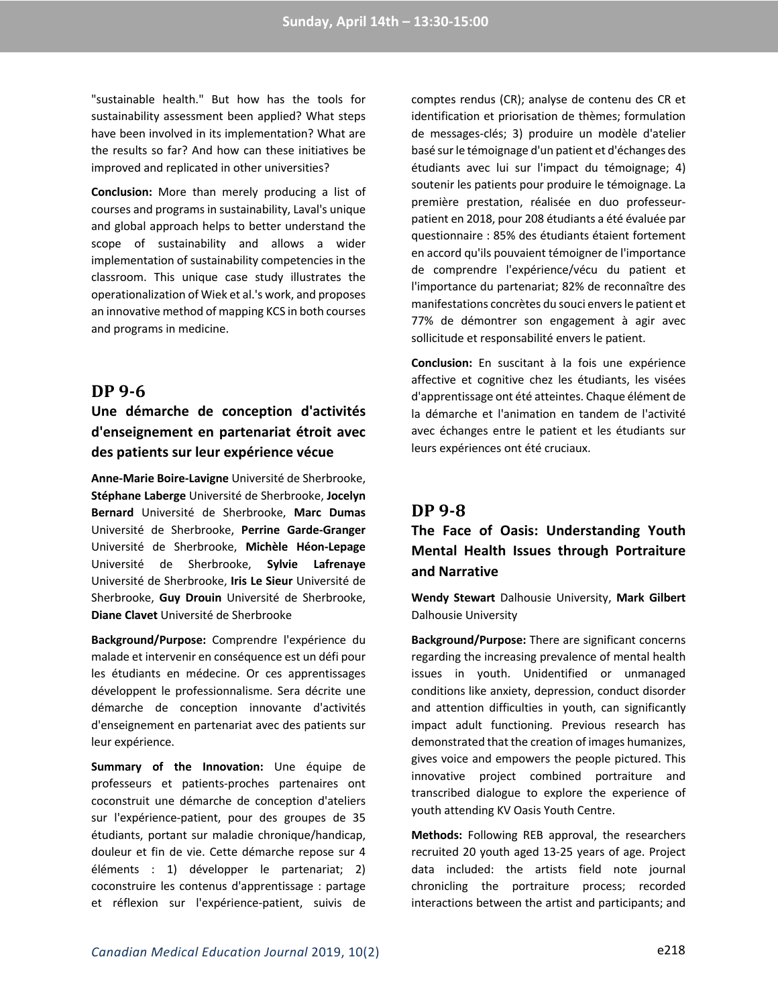"sustainable health." But how has the tools for sustainability assessment been applied? What steps have been involved in its implementation? What are the results so far? And how can these initiatives be improved and replicated in other universities?

**Conclusion:** More than merely producing a list of courses and programs in sustainability, Laval's unique and global approach helps to better understand the scope of sustainability and allows a wider implementation of sustainability competencies in the classroom. This unique case study illustrates the operationalization of Wiek et al.'s work, and proposes an innovative method of mapping KCS in both courses and programs in medicine.

### **DP 9-6**

## **Une démarche de conception d'activités d'enseignement en partenariat étroit avec des patients sur leur expérience vécue**

**Anne-Marie Boire-Lavigne** Université de Sherbrooke, **Stéphane Laberge** Université de Sherbrooke, **Jocelyn Bernard** Université de Sherbrooke, **Marc Dumas** Université de Sherbrooke, **Perrine Garde-Granger** Université de Sherbrooke, **Michèle Héon-Lepage** Université de Sherbrooke, **Sylvie Lafrenaye** Université de Sherbrooke, **Iris Le Sieur** Université de Sherbrooke, **Guy Drouin** Université de Sherbrooke, **Diane Clavet** Université de Sherbrooke

**Background/Purpose:** Comprendre l'expérience du malade et intervenir en conséquence est un défi pour les étudiants en médecine. Or ces apprentissages développent le professionnalisme. Sera décrite une démarche de conception innovante d'activités d'enseignement en partenariat avec des patients sur leur expérience.

**Summary of the Innovation:** Une équipe de professeurs et patients-proches partenaires ont coconstruit une démarche de conception d'ateliers sur l'expérience-patient, pour des groupes de 35 étudiants, portant sur maladie chronique/handicap, douleur et fin de vie. Cette démarche repose sur 4 éléments : 1) développer le partenariat; 2) coconstruire les contenus d'apprentissage : partage et réflexion sur l'expérience-patient, suivis de

comptes rendus (CR); analyse de contenu des CR et identification et priorisation de thèmes; formulation de messages-clés; 3) produire un modèle d'atelier basé sur le témoignage d'un patient et d'échanges des étudiants avec lui sur l'impact du témoignage; 4) soutenir les patients pour produire le témoignage. La première prestation, réalisée en duo professeurpatient en 2018, pour 208 étudiants a été évaluée par questionnaire : 85% des étudiants étaient fortement en accord qu'ils pouvaient témoigner de l'importance de comprendre l'expérience/vécu du patient et l'importance du partenariat; 82% de reconnaître des manifestations concrètes du souci envers le patient et 77% de démontrer son engagement à agir avec sollicitude et responsabilité envers le patient.

**Conclusion:** En suscitant à la fois une expérience affective et cognitive chez les étudiants, les visées d'apprentissage ont été atteintes. Chaque élément de la démarche et l'animation en tandem de l'activité avec échanges entre le patient et les étudiants sur leurs expériences ont été cruciaux.

## **DP 9-8**

# **The Face of Oasis: Understanding Youth Mental Health Issues through Portraiture and Narrative**

**Wendy Stewart** Dalhousie University, **Mark Gilbert** Dalhousie University

**Background/Purpose:** There are significant concerns regarding the increasing prevalence of mental health issues in youth. Unidentified or unmanaged conditions like anxiety, depression, conduct disorder and attention difficulties in youth, can significantly impact adult functioning. Previous research has demonstrated that the creation of images humanizes, gives voice and empowers the people pictured. This innovative project combined portraiture and transcribed dialogue to explore the experience of youth attending KV Oasis Youth Centre.

**Methods:** Following REB approval, the researchers recruited 20 youth aged 13-25 years of age. Project data included: the artists field note journal chronicling the portraiture process; recorded interactions between the artist and participants; and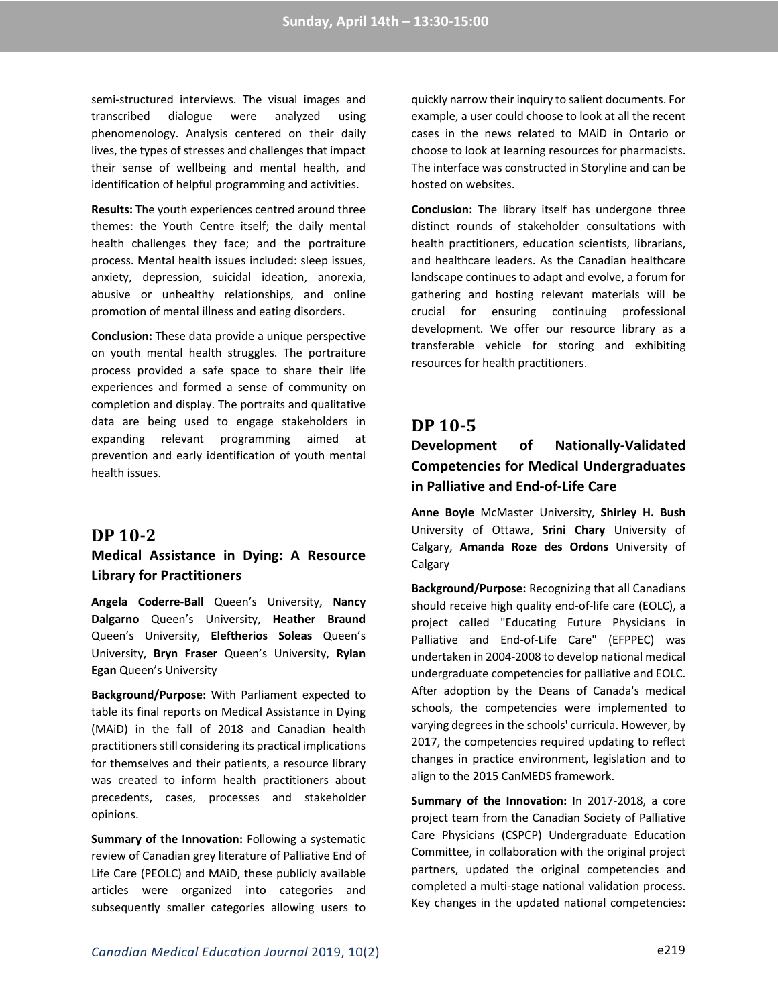semi-structured interviews. The visual images and transcribed dialogue were analyzed using phenomenology. Analysis centered on their daily lives, the types of stresses and challenges that impact their sense of wellbeing and mental health, and identification of helpful programming and activities.

**Results:** The youth experiences centred around three themes: the Youth Centre itself; the daily mental health challenges they face; and the portraiture process. Mental health issues included: sleep issues, anxiety, depression, suicidal ideation, anorexia, abusive or unhealthy relationships, and online promotion of mental illness and eating disorders.

**Conclusion:** These data provide a unique perspective on youth mental health struggles. The portraiture process provided a safe space to share their life experiences and formed a sense of community on completion and display. The portraits and qualitative data are being used to engage stakeholders in expanding relevant programming aimed at prevention and early identification of youth mental health issues.

#### **DP 10-2**

### **Medical Assistance in Dying: A Resource Library for Practitioners**

**Angela Coderre-Ball** Queen's University, **Nancy Dalgarno** Queen's University, **Heather Braund** Queen's University, **Eleftherios Soleas** Queen's University, **Bryn Fraser** Queen's University, **Rylan Egan** Queen's University

**Background/Purpose:** With Parliament expected to table its final reports on Medical Assistance in Dying (MAiD) in the fall of 2018 and Canadian health practitioners still considering its practical implications for themselves and their patients, a resource library was created to inform health practitioners about precedents, cases, processes and stakeholder opinions.

**Summary of the Innovation:** Following a systematic review of Canadian grey literature of Palliative End of Life Care (PEOLC) and MAiD, these publicly available articles were organized into categories and subsequently smaller categories allowing users to

quickly narrow their inquiry to salient documents. For example, a user could choose to look at all the recent cases in the news related to MAiD in Ontario or choose to look at learning resources for pharmacists. The interface was constructed in Storyline and can be hosted on websites.

**Conclusion:** The library itself has undergone three distinct rounds of stakeholder consultations with health practitioners, education scientists, librarians, and healthcare leaders. As the Canadian healthcare landscape continues to adapt and evolve, a forum for gathering and hosting relevant materials will be crucial for ensuring continuing professional development. We offer our resource library as a transferable vehicle for storing and exhibiting resources for health practitioners.

### **DP 10-5**

## **Development of Nationally-Validated Competencies for Medical Undergraduates in Palliative and End-of-Life Care**

**Anne Boyle** McMaster University, **Shirley H. Bush** University of Ottawa, **Srini Chary** University of Calgary, **Amanda Roze des Ordons** University of **Calgary** 

**Background/Purpose:** Recognizing that all Canadians should receive high quality end-of-life care (EOLC), a project called "Educating Future Physicians in Palliative and End-of-Life Care" (EFPPEC) was undertaken in 2004-2008 to develop national medical undergraduate competencies for palliative and EOLC. After adoption by the Deans of Canada's medical schools, the competencies were implemented to varying degrees in the schools' curricula. However, by 2017, the competencies required updating to reflect changes in practice environment, legislation and to align to the 2015 CanMEDS framework.

**Summary of the Innovation:** In 2017-2018, a core project team from the Canadian Society of Palliative Care Physicians (CSPCP) Undergraduate Education Committee, in collaboration with the original project partners, updated the original competencies and completed a multi-stage national validation process. Key changes in the updated national competencies: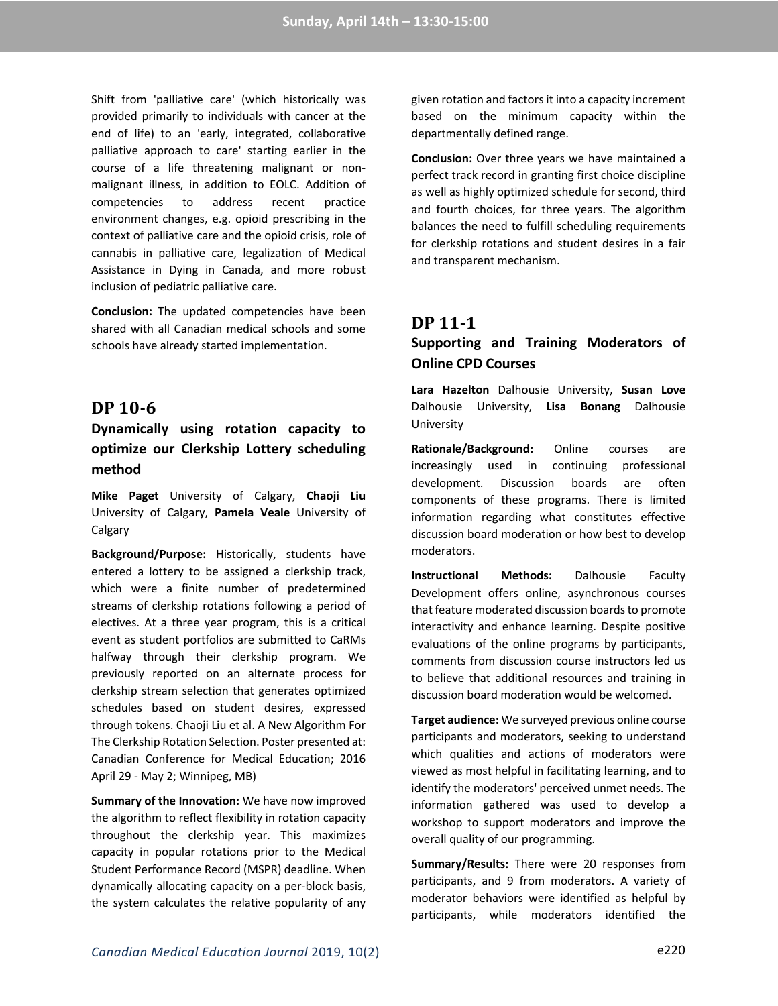Shift from 'palliative care' (which historically was provided primarily to individuals with cancer at the end of life) to an 'early, integrated, collaborative palliative approach to care' starting earlier in the course of a life threatening malignant or nonmalignant illness, in addition to EOLC. Addition of competencies to address recent practice environment changes, e.g. opioid prescribing in the context of palliative care and the opioid crisis, role of cannabis in palliative care, legalization of Medical Assistance in Dying in Canada, and more robust inclusion of pediatric palliative care.

**Conclusion:** The updated competencies have been shared with all Canadian medical schools and some schools have already started implementation.

### **DP 10-6**

## **Dynamically using rotation capacity to optimize our Clerkship Lottery scheduling method**

**Mike Paget** University of Calgary, **Chaoji Liu** University of Calgary, **Pamela Veale** University of Calgary

**Background/Purpose:** Historically, students have entered a lottery to be assigned a clerkship track, which were a finite number of predetermined streams of clerkship rotations following a period of electives. At a three year program, this is a critical event as student portfolios are submitted to CaRMs halfway through their clerkship program. We previously reported on an alternate process for clerkship stream selection that generates optimized schedules based on student desires, expressed through tokens. Chaoji Liu et al. A New Algorithm For The Clerkship Rotation Selection. Poster presented at: Canadian Conference for Medical Education; 2016 April 29 - May 2; Winnipeg, MB)

**Summary of the Innovation:** We have now improved the algorithm to reflect flexibility in rotation capacity throughout the clerkship year. This maximizes capacity in popular rotations prior to the Medical Student Performance Record (MSPR) deadline. When dynamically allocating capacity on a per-block basis, the system calculates the relative popularity of any given rotation and factors it into a capacity increment based on the minimum capacity within the departmentally defined range.

**Conclusion:** Over three years we have maintained a perfect track record in granting first choice discipline as well as highly optimized schedule for second, third and fourth choices, for three years. The algorithm balances the need to fulfill scheduling requirements for clerkship rotations and student desires in a fair and transparent mechanism.

## **DP 11-1**

## **Supporting and Training Moderators of Online CPD Courses**

**Lara Hazelton** Dalhousie University, **Susan Love** Dalhousie University, **Lisa Bonang** Dalhousie University

**Rationale/Background:** Online courses are increasingly used in continuing professional development. Discussion boards are often components of these programs. There is limited information regarding what constitutes effective discussion board moderation or how best to develop moderators.

**Instructional Methods:** Dalhousie Faculty Development offers online, asynchronous courses that feature moderated discussion boards to promote interactivity and enhance learning. Despite positive evaluations of the online programs by participants, comments from discussion course instructors led us to believe that additional resources and training in discussion board moderation would be welcomed.

**Target audience:** We surveyed previous online course participants and moderators, seeking to understand which qualities and actions of moderators were viewed as most helpful in facilitating learning, and to identify the moderators' perceived unmet needs. The information gathered was used to develop a workshop to support moderators and improve the overall quality of our programming.

**Summary/Results:** There were 20 responses from participants, and 9 from moderators. A variety of moderator behaviors were identified as helpful by participants, while moderators identified the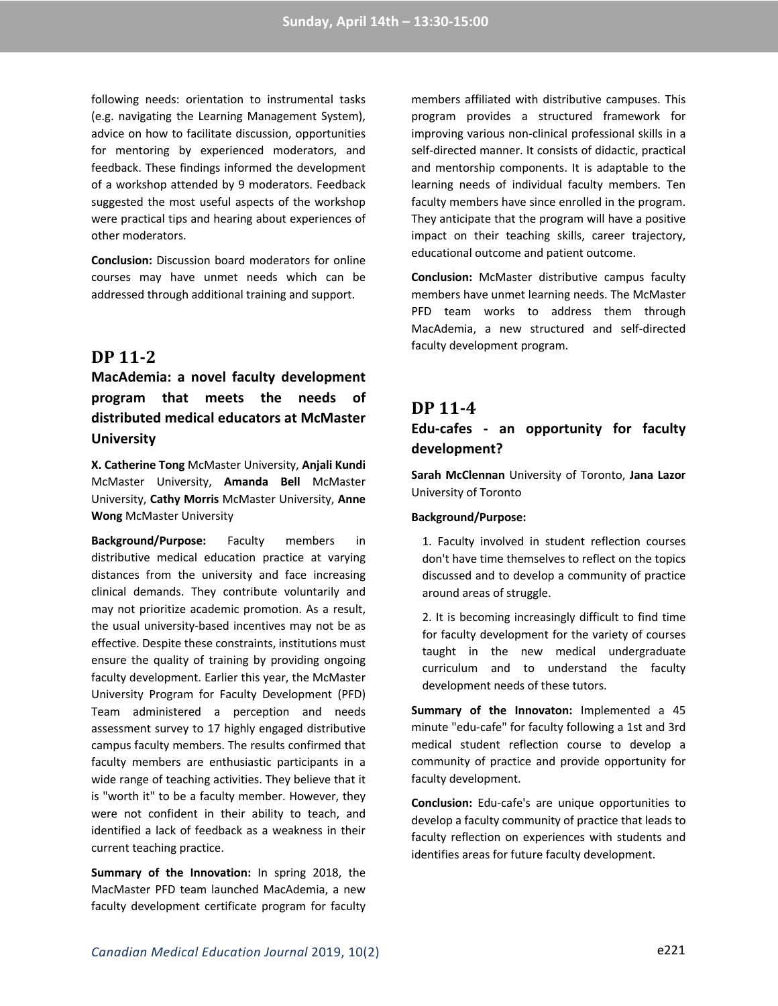following needs: orientation to instrumental tasks (e.g. navigating the Learning Management System), advice on how to facilitate discussion, opportunities for mentoring by experienced moderators, and feedback. These findings informed the development of a workshop attended by 9 moderators. Feedback suggested the most useful aspects of the workshop were practical tips and hearing about experiences of other moderators.

**Conclusion:** Discussion board moderators for online courses may have unmet needs which can be addressed through additional training and support.

## **DP 11-2**

## **MacAdemia: a novel faculty development program that meets the needs of distributed medical educators at McMaster University**

**X. Catherine Tong** McMaster University, **Anjali Kundi** McMaster University, **Amanda Bell** McMaster University, **Cathy Morris** McMaster University, **Anne Wong** McMaster University

**Background/Purpose:** Faculty members in distributive medical education practice at varying distances from the university and face increasing clinical demands. They contribute voluntarily and may not prioritize academic promotion. As a result, the usual university-based incentives may not be as effective. Despite these constraints, institutions must ensure the quality of training by providing ongoing faculty development. Earlier this year, the McMaster University Program for Faculty Development (PFD) Team administered a perception and needs assessment survey to 17 highly engaged distributive campus faculty members. The results confirmed that faculty members are enthusiastic participants in a wide range of teaching activities. They believe that it is "worth it" to be a faculty member. However, they were not confident in their ability to teach, and identified a lack of feedback as a weakness in their current teaching practice.

**Summary of the Innovation:** In spring 2018, the MacMaster PFD team launched MacAdemia, a new faculty development certificate program for faculty

members affiliated with distributive campuses. This program provides a structured framework for improving various non-clinical professional skills in a self-directed manner. It consists of didactic, practical and mentorship components. It is adaptable to the learning needs of individual faculty members. Ten faculty members have since enrolled in the program. They anticipate that the program will have a positive impact on their teaching skills, career trajectory, educational outcome and patient outcome.

**Conclusion:** McMaster distributive campus faculty members have unmet learning needs. The McMaster PFD team works to address them through MacAdemia, a new structured and self-directed faculty development program.

### **DP 11-4**

### **Edu-cafes - an opportunity for faculty development?**

**Sarah McClennan** University of Toronto, **Jana Lazor** University of Toronto

#### **Background/Purpose:**

1. Faculty involved in student reflection courses don't have time themselves to reflect on the topics discussed and to develop a community of practice around areas of struggle.

2. It is becoming increasingly difficult to find time for faculty development for the variety of courses taught in the new medical undergraduate curriculum and to understand the faculty development needs of these tutors.

**Summary of the Innovaton:** Implemented a 45 minute "edu-cafe" for faculty following a 1st and 3rd medical student reflection course to develop a community of practice and provide opportunity for faculty development.

**Conclusion:** Edu-cafe's are unique opportunities to develop a faculty community of practice that leads to faculty reflection on experiences with students and identifies areas for future faculty development.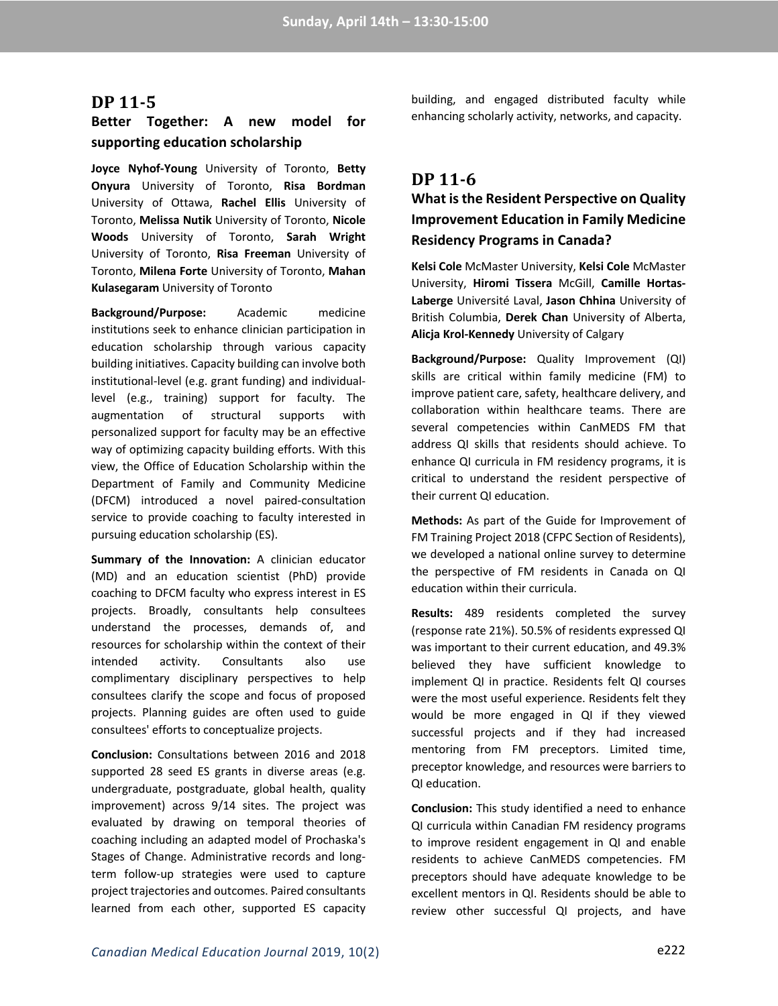#### **DP 11-5**

### **Better Together: A new model for supporting education scholarship**

**Joyce Nyhof-Young** University of Toronto, **Betty Onyura** University of Toronto, **Risa Bordman** University of Ottawa, **Rachel Ellis** University of Toronto, **Melissa Nutik** University of Toronto, **Nicole Woods** University of Toronto, **Sarah Wright** University of Toronto, **Risa Freeman** University of Toronto, **Milena Forte** University of Toronto, **Mahan Kulasegaram** University of Toronto

**Background/Purpose:** Academic medicine institutions seek to enhance clinician participation in education scholarship through various capacity building initiatives. Capacity building can involve both institutional-level (e.g. grant funding) and individuallevel (e.g., training) support for faculty. The augmentation of structural supports with personalized support for faculty may be an effective way of optimizing capacity building efforts. With this view, the Office of Education Scholarship within the Department of Family and Community Medicine (DFCM) introduced a novel paired-consultation service to provide coaching to faculty interested in pursuing education scholarship (ES).

**Summary of the Innovation:** A clinician educator (MD) and an education scientist (PhD) provide coaching to DFCM faculty who express interest in ES projects. Broadly, consultants help consultees understand the processes, demands of, and resources for scholarship within the context of their intended activity. Consultants also use complimentary disciplinary perspectives to help consultees clarify the scope and focus of proposed projects. Planning guides are often used to guide consultees' efforts to conceptualize projects.

**Conclusion:** Consultations between 2016 and 2018 supported 28 seed ES grants in diverse areas (e.g. undergraduate, postgraduate, global health, quality improvement) across 9/14 sites. The project was evaluated by drawing on temporal theories of coaching including an adapted model of Prochaska's Stages of Change. Administrative records and longterm follow-up strategies were used to capture project trajectories and outcomes. Paired consultants learned from each other, supported ES capacity building, and engaged distributed faculty while enhancing scholarly activity, networks, and capacity.

### **DP 11-6**

## **What is the Resident Perspective on Quality Improvement Education in Family Medicine Residency Programs in Canada?**

**Kelsi Cole** McMaster University, **Kelsi Cole** McMaster University, **Hiromi Tissera** McGill, **Camille Hortas-Laberge** Université Laval, **Jason Chhina** University of British Columbia, **Derek Chan** University of Alberta, **Alicja Krol-Kennedy** University of Calgary

**Background/Purpose:** Quality Improvement (QI) skills are critical within family medicine (FM) to improve patient care, safety, healthcare delivery, and collaboration within healthcare teams. There are several competencies within CanMEDS FM that address QI skills that residents should achieve. To enhance QI curricula in FM residency programs, it is critical to understand the resident perspective of their current QI education.

**Methods:** As part of the Guide for Improvement of FM Training Project 2018 (CFPC Section of Residents), we developed a national online survey to determine the perspective of FM residents in Canada on QI education within their curricula.

**Results:** 489 residents completed the survey (response rate 21%). 50.5% of residents expressed QI was important to their current education, and 49.3% believed they have sufficient knowledge to implement QI in practice. Residents felt QI courses were the most useful experience. Residents felt they would be more engaged in QI if they viewed successful projects and if they had increased mentoring from FM preceptors. Limited time, preceptor knowledge, and resources were barriers to QI education.

**Conclusion:** This study identified a need to enhance QI curricula within Canadian FM residency programs to improve resident engagement in QI and enable residents to achieve CanMEDS competencies. FM preceptors should have adequate knowledge to be excellent mentors in QI. Residents should be able to review other successful QI projects, and have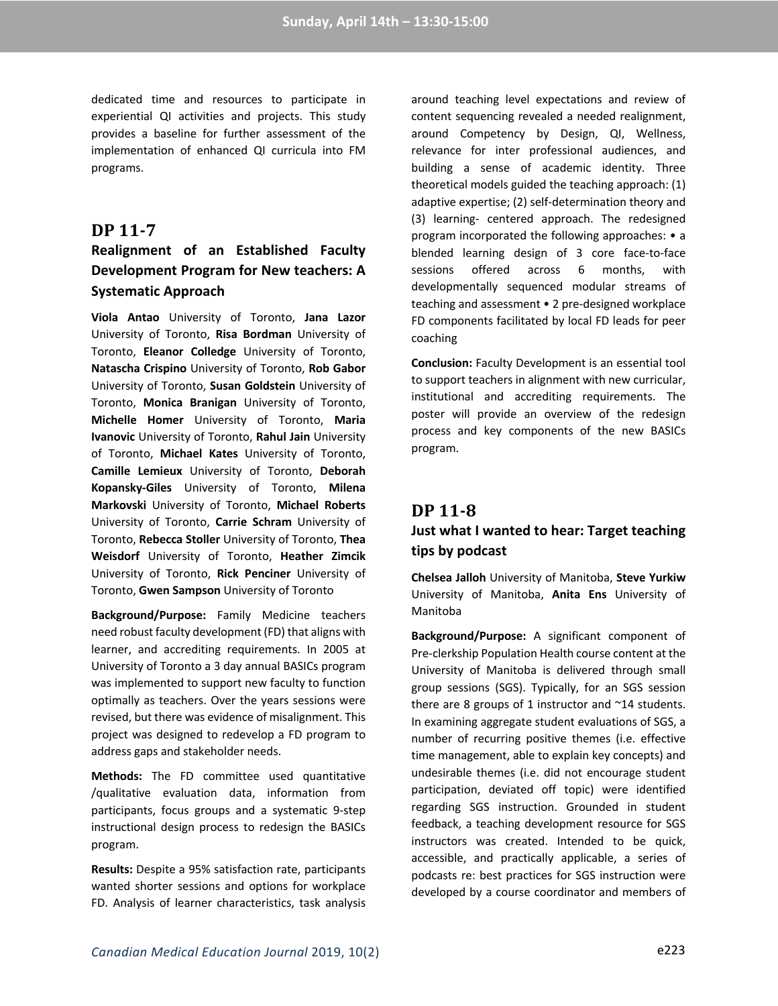dedicated time and resources to participate in experiential QI activities and projects. This study provides a baseline for further assessment of the implementation of enhanced QI curricula into FM programs.

### **DP 11-7**

## **Realignment of an Established Faculty Development Program for New teachers: A Systematic Approach**

**Viola Antao** University of Toronto, **Jana Lazor** University of Toronto, **Risa Bordman** University of Toronto, **Eleanor Colledge** University of Toronto, **Natascha Crispino** University of Toronto, **Rob Gabor** University of Toronto, **Susan Goldstein** University of Toronto, **Monica Branigan** University of Toronto, **Michelle Homer** University of Toronto, **Maria Ivanovic** University of Toronto, **Rahul Jain** University of Toronto, **Michael Kates** University of Toronto, **Camille Lemieux** University of Toronto, **Deborah Kopansky-Giles** University of Toronto, **Milena Markovski** University of Toronto, **Michael Roberts** University of Toronto, **Carrie Schram** University of Toronto, **Rebecca Stoller** University of Toronto, **Thea Weisdorf** University of Toronto, **Heather Zimcik** University of Toronto, **Rick Penciner** University of Toronto, **Gwen Sampson** University of Toronto

**Background/Purpose:** Family Medicine teachers need robust faculty development (FD) that aligns with learner, and accrediting requirements. In 2005 at University of Toronto a 3 day annual BASICs program was implemented to support new faculty to function optimally as teachers. Over the years sessions were revised, but there was evidence of misalignment. This project was designed to redevelop a FD program to address gaps and stakeholder needs.

**Methods:** The FD committee used quantitative /qualitative evaluation data, information from participants, focus groups and a systematic 9-step instructional design process to redesign the BASICs program.

**Results:** Despite a 95% satisfaction rate, participants wanted shorter sessions and options for workplace FD. Analysis of learner characteristics, task analysis

around teaching level expectations and review of content sequencing revealed a needed realignment, around Competency by Design, QI, Wellness, relevance for inter professional audiences, and building a sense of academic identity. Three theoretical models guided the teaching approach: (1) adaptive expertise; (2) self-determination theory and (3) learning- centered approach. The redesigned program incorporated the following approaches: • a blended learning design of 3 core face-to-face sessions offered across 6 months, with developmentally sequenced modular streams of teaching and assessment • 2 pre-designed workplace FD components facilitated by local FD leads for peer coaching

**Conclusion:** Faculty Development is an essential tool to support teachers in alignment with new curricular, institutional and accrediting requirements. The poster will provide an overview of the redesign process and key components of the new BASICs program.

# **DP 11-8 Just what I wanted to hear: Target teaching tips by podcast**

**Chelsea Jalloh** University of Manitoba, **Steve Yurkiw**  University of Manitoba, **Anita Ens** University of Manitoba

**Background/Purpose:** A significant component of Pre-clerkship Population Health course content at the University of Manitoba is delivered through small group sessions (SGS). Typically, for an SGS session there are 8 groups of 1 instructor and  $\gamma$ 14 students. In examining aggregate student evaluations of SGS, a number of recurring positive themes (i.e. effective time management, able to explain key concepts) and undesirable themes (i.e. did not encourage student participation, deviated off topic) were identified regarding SGS instruction. Grounded in student feedback, a teaching development resource for SGS instructors was created. Intended to be quick, accessible, and practically applicable, a series of podcasts re: best practices for SGS instruction were developed by a course coordinator and members of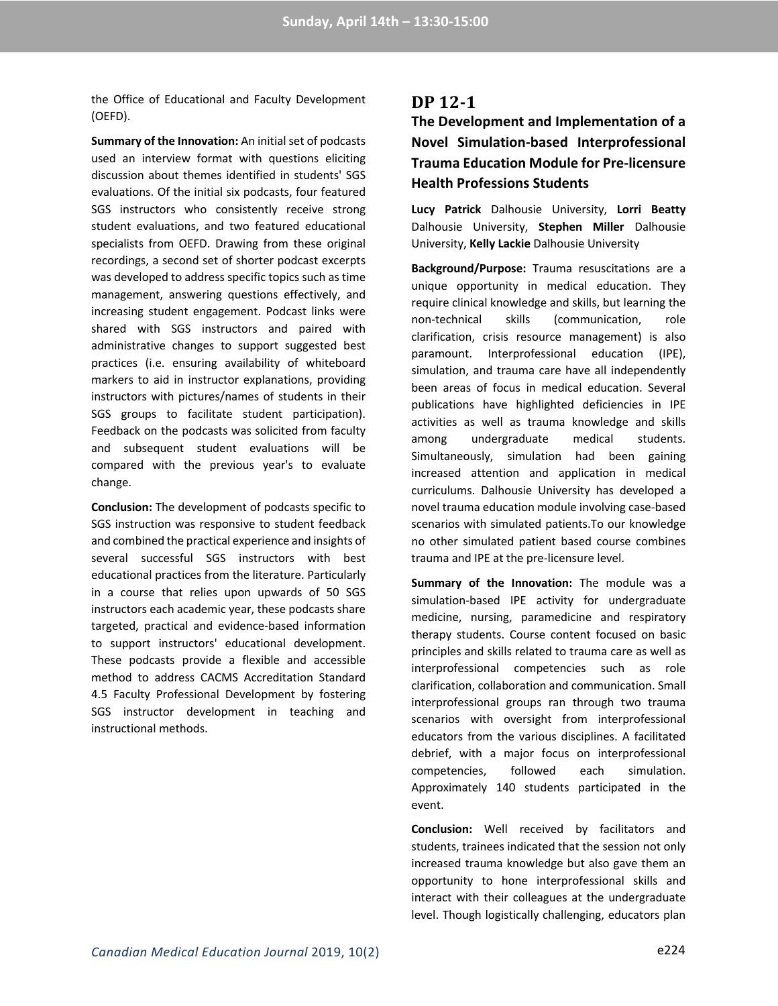the Office of Educational and Faculty Development (OEFD).

**Summary of the Innovation:** An initial set of podcasts used an interview format with questions eliciting discussion about themes identified in students' SGS evaluations. Of the initial six podcasts, four featured SGS instructors who consistently receive strong student evaluations, and two featured educational specialists from OEFD. Drawing from these original recordings, a second set of shorter podcast excerpts was developed to address specific topics such as time management, answering questions effectively, and increasing student engagement. Podcast links were shared with SGS instructors and paired with administrative changes to support suggested best practices (i.e. ensuring availability of whiteboard markers to aid in instructor explanations, providing instructors with pictures/names of students in their SGS groups to facilitate student participation). Feedback on the podcasts was solicited from faculty and subsequent student evaluations will be compared with the previous year's to evaluate change.

**Conclusion:** The development of podcasts specific to SGS instruction was responsive to student feedback and combined the practical experience and insights of several successful SGS instructors with best educational practices from the literature. Particularly in a course that relies upon upwards of 50 SGS instructors each academic year, these podcasts share targeted, practical and evidence-based information to support instructors' educational development. These podcasts provide a flexible and accessible method to address CACMS Accreditation Standard 4.5 Faculty Professional Development by fostering SGS instructor development in teaching and instructional methods.

### **DP 12-1**

**The Development and Implementation of a Novel Simulation-based Interprofessional Trauma Education Module for Pre-licensure Health Professions Students**

**Lucy Patrick** Dalhousie University, **Lorri Beatty** Dalhousie University, **Stephen Miller** Dalhousie University, **Kelly Lackie** Dalhousie University

**Background/Purpose:** Trauma resuscitations are a unique opportunity in medical education. They require clinical knowledge and skills, but learning the non-technical skills (communication, role clarification, crisis resource management) is also paramount. Interprofessional education (IPE), simulation, and trauma care have all independently been areas of focus in medical education. Several publications have highlighted deficiencies in IPE activities as well as trauma knowledge and skills among undergraduate medical students. Simultaneously, simulation had been gaining increased attention and application in medical curriculums. Dalhousie University has developed a novel trauma education module involving case-based scenarios with simulated patients.To our knowledge no other simulated patient based course combines trauma and IPE at the pre-licensure level.

**Summary of the Innovation:** The module was a simulation-based IPE activity for undergraduate medicine, nursing, paramedicine and respiratory therapy students. Course content focused on basic principles and skills related to trauma care as well as interprofessional competencies such as role clarification, collaboration and communication. Small interprofessional groups ran through two trauma scenarios with oversight from interprofessional educators from the various disciplines. A facilitated debrief, with a major focus on interprofessional competencies, followed each simulation. Approximately 140 students participated in the event.

**Conclusion:** Well received by facilitators and students, trainees indicated that the session not only increased trauma knowledge but also gave them an opportunity to hone interprofessional skills and interact with their colleagues at the undergraduate level. Though logistically challenging, educators plan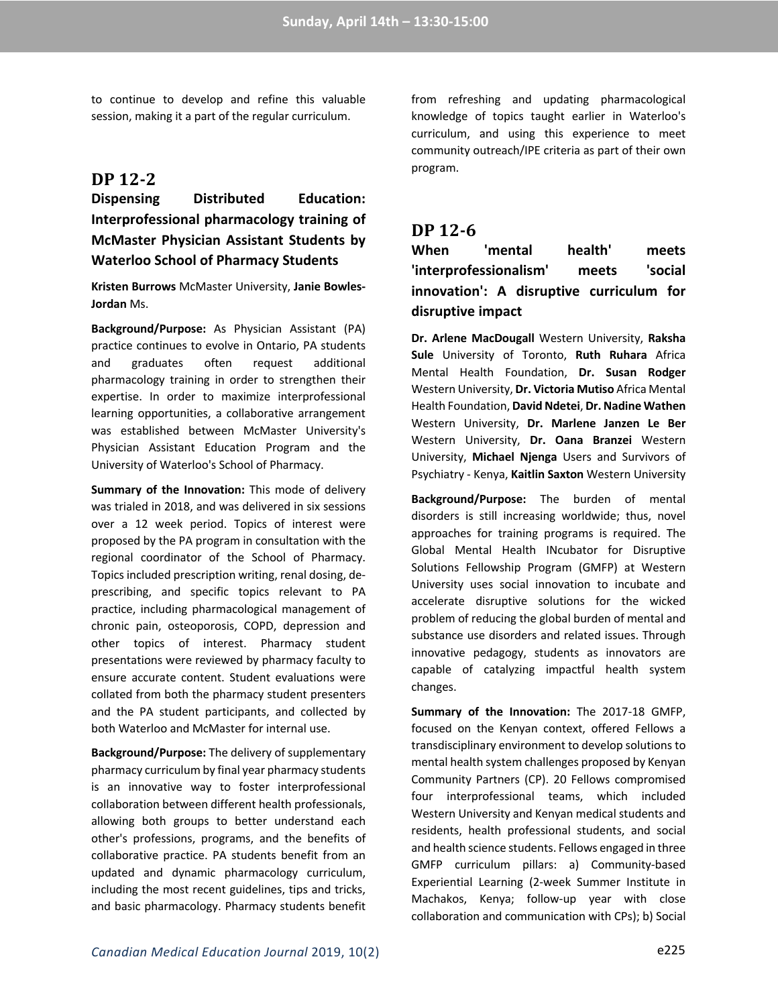to continue to develop and refine this valuable session, making it a part of the regular curriculum.

### **DP 12-2**

## **Dispensing Distributed Education: Interprofessional pharmacology training of McMaster Physician Assistant Students by Waterloo School of Pharmacy Students**

**Kristen Burrows** McMaster University, **Janie Bowles-Jordan** Ms.

**Background/Purpose:** As Physician Assistant (PA) practice continues to evolve in Ontario, PA students and graduates often request additional pharmacology training in order to strengthen their expertise. In order to maximize interprofessional learning opportunities, a collaborative arrangement was established between McMaster University's Physician Assistant Education Program and the University of Waterloo's School of Pharmacy.

**Summary of the Innovation:** This mode of delivery was trialed in 2018, and was delivered in six sessions over a 12 week period. Topics of interest were proposed by the PA program in consultation with the regional coordinator of the School of Pharmacy. Topics included prescription writing, renal dosing, deprescribing, and specific topics relevant to PA practice, including pharmacological management of chronic pain, osteoporosis, COPD, depression and other topics of interest. Pharmacy student presentations were reviewed by pharmacy faculty to ensure accurate content. Student evaluations were collated from both the pharmacy student presenters and the PA student participants, and collected by both Waterloo and McMaster for internal use.

**Background/Purpose:** The delivery of supplementary pharmacy curriculum by final year pharmacy students is an innovative way to foster interprofessional collaboration between different health professionals, allowing both groups to better understand each other's professions, programs, and the benefits of collaborative practice. PA students benefit from an updated and dynamic pharmacology curriculum, including the most recent guidelines, tips and tricks, and basic pharmacology. Pharmacy students benefit from refreshing and updating pharmacological knowledge of topics taught earlier in Waterloo's curriculum, and using this experience to meet community outreach/IPE criteria as part of their own program.

### **DP 12-6**

**When 'mental health' meets 'interprofessionalism' meets 'social innovation': A disruptive curriculum for disruptive impact**

**Dr. Arlene MacDougall** Western University, **Raksha Sule** University of Toronto, **Ruth Ruhara** Africa Mental Health Foundation, **Dr. Susan Rodger** Western University, **Dr. Victoria Mutiso** Africa Mental Health Foundation, **David Ndetei**, **Dr. Nadine Wathen** Western University, **Dr. Marlene Janzen Le Ber** Western University, **Dr. Oana Branzei** Western University, **Michael Njenga** Users and Survivors of Psychiatry - Kenya, **Kaitlin Saxton** Western University

**Background/Purpose:** The burden of mental disorders is still increasing worldwide; thus, novel approaches for training programs is required. The Global Mental Health INcubator for Disruptive Solutions Fellowship Program (GMFP) at Western University uses social innovation to incubate and accelerate disruptive solutions for the wicked problem of reducing the global burden of mental and substance use disorders and related issues. Through innovative pedagogy, students as innovators are capable of catalyzing impactful health system changes.

**Summary of the Innovation:** The 2017-18 GMFP, focused on the Kenyan context, offered Fellows a transdisciplinary environment to develop solutions to mental health system challenges proposed by Kenyan Community Partners (CP). 20 Fellows compromised four interprofessional teams, which included Western University and Kenyan medical students and residents, health professional students, and social and health science students. Fellows engaged in three GMFP curriculum pillars: a) Community-based Experiential Learning (2-week Summer Institute in Machakos, Kenya; follow-up year with close collaboration and communication with CPs); b) Social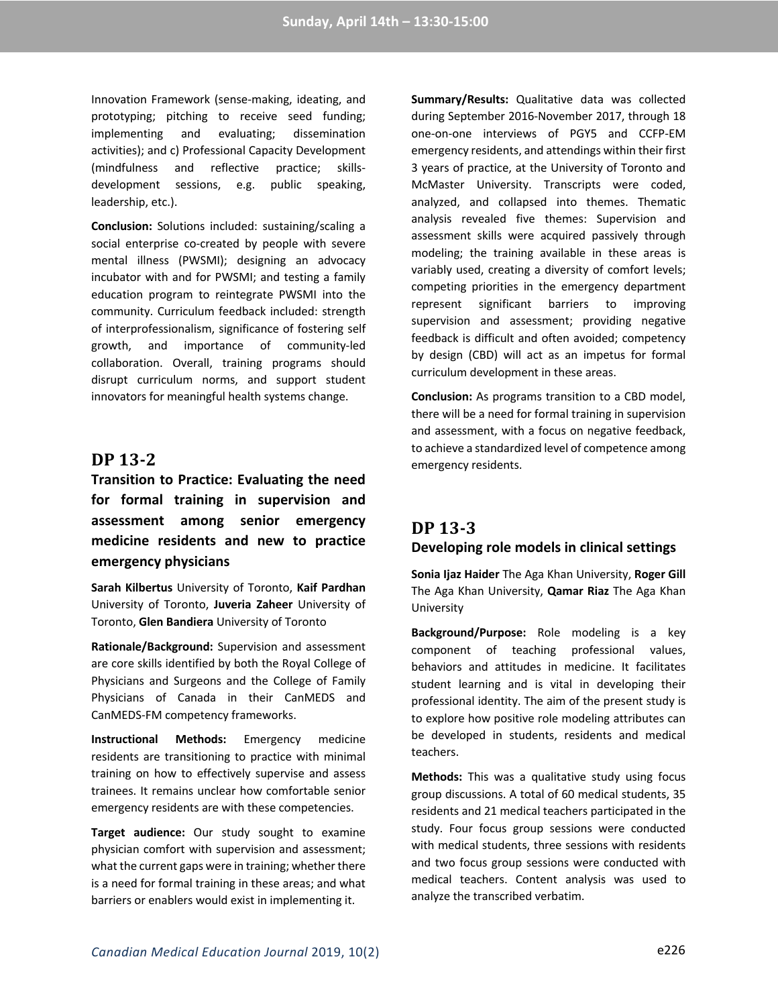Innovation Framework (sense-making, ideating, and prototyping; pitching to receive seed funding; implementing and evaluating; dissemination activities); and c) Professional Capacity Development (mindfulness and reflective practice; skillsdevelopment sessions, e.g. public speaking, leadership, etc.).

**Conclusion:** Solutions included: sustaining/scaling a social enterprise co-created by people with severe mental illness (PWSMI); designing an advocacy incubator with and for PWSMI; and testing a family education program to reintegrate PWSMI into the community. Curriculum feedback included: strength of interprofessionalism, significance of fostering self growth, and importance of community-led collaboration. Overall, training programs should disrupt curriculum norms, and support student innovators for meaningful health systems change.

### **DP 13-2**

**Transition to Practice: Evaluating the need for formal training in supervision and assessment among senior emergency medicine residents and new to practice emergency physicians**

**Sarah Kilbertus** University of Toronto, **Kaif Pardhan** University of Toronto, **Juveria Zaheer** University of Toronto, **Glen Bandiera** University of Toronto

**Rationale/Background:** Supervision and assessment are core skills identified by both the Royal College of Physicians and Surgeons and the College of Family Physicians of Canada in their CanMEDS and CanMEDS-FM competency frameworks.

**Instructional Methods:** Emergency medicine residents are transitioning to practice with minimal training on how to effectively supervise and assess trainees. It remains unclear how comfortable senior emergency residents are with these competencies.

**Target audience:** Our study sought to examine physician comfort with supervision and assessment; what the current gaps were in training; whether there is a need for formal training in these areas; and what barriers or enablers would exist in implementing it.

**Summary/Results:** Qualitative data was collected during September 2016-November 2017, through 18 one-on-one interviews of PGY5 and CCFP-EM emergency residents, and attendings within their first 3 years of practice, at the University of Toronto and McMaster University. Transcripts were coded, analyzed, and collapsed into themes. Thematic analysis revealed five themes: Supervision and assessment skills were acquired passively through modeling; the training available in these areas is variably used, creating a diversity of comfort levels; competing priorities in the emergency department represent significant barriers to improving supervision and assessment; providing negative feedback is difficult and often avoided; competency by design (CBD) will act as an impetus for formal curriculum development in these areas.

**Conclusion:** As programs transition to a CBD model, there will be a need for formal training in supervision and assessment, with a focus on negative feedback, to achieve a standardized level of competence among emergency residents.

## **DP 13-3 Developing role models in clinical settings**

**Sonia Ijaz Haider** The Aga Khan University, **Roger Gill** The Aga Khan University, **Qamar Riaz** The Aga Khan University

**Background/Purpose:** Role modeling is a key component of teaching professional values, behaviors and attitudes in medicine. It facilitates student learning and is vital in developing their professional identity. The aim of the present study is to explore how positive role modeling attributes can be developed in students, residents and medical teachers.

**Methods:** This was a qualitative study using focus group discussions. A total of 60 medical students, 35 residents and 21 medical teachers participated in the study. Four focus group sessions were conducted with medical students, three sessions with residents and two focus group sessions were conducted with medical teachers. Content analysis was used to analyze the transcribed verbatim.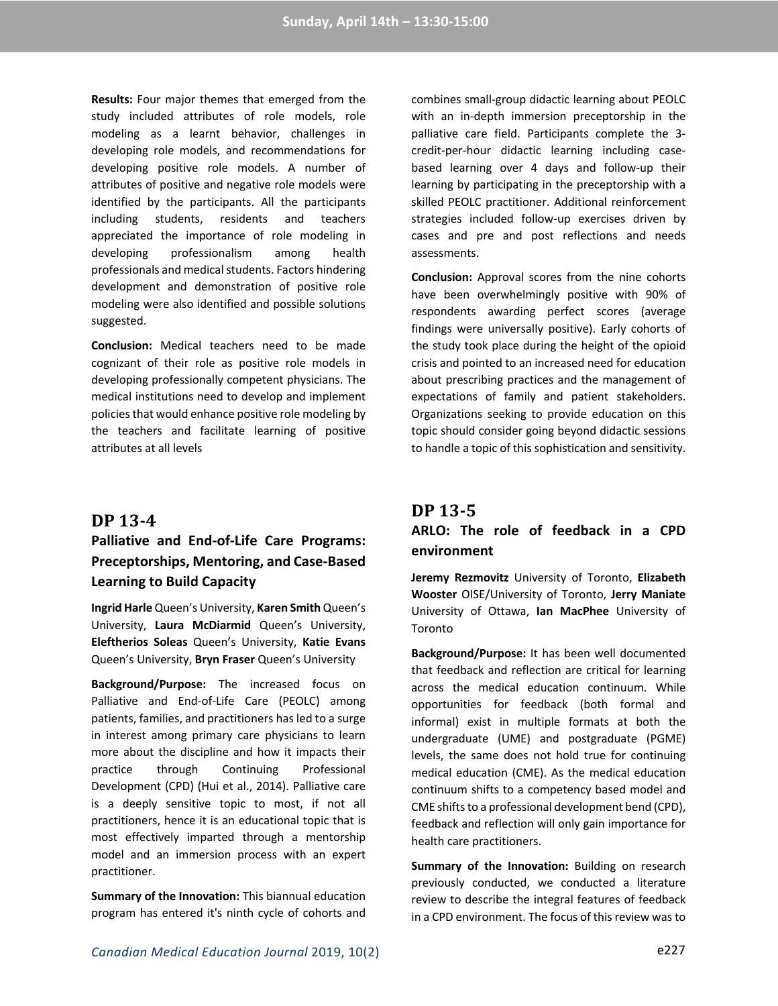**Results:** Four major themes that emerged from the study included attributes of role models, role modeling as a learnt behavior, challenges in developing role models, and recommendations for developing positive role models. A number of attributes of positive and negative role models were identified by the participants. All the participants including students, residents and teachers appreciated the importance of role modeling in developing professionalism among health professionals and medical students. Factors hindering development and demonstration of positive role modeling were also identified and possible solutions suggested.

**Conclusion:** Medical teachers need to be made cognizant of their role as positive role models in developing professionally competent physicians. The medical institutions need to develop and implement policies that would enhance positive role modeling by the teachers and facilitate learning of positive attributes at all levels

#### **DP 13-4**

## **Palliative and End-of-Life Care Programs: Preceptorships, Mentoring, and Case-Based Learning to Build Capacity**

**Ingrid Harle** Queen's University, **Karen Smith** Queen's University, **Laura McDiarmid** Queen's University, **Eleftherios Soleas** Queen's University, **Katie Evans** Queen's University, **Bryn Fraser** Queen's University

**Background/Purpose:** The increased focus on Palliative and End-of-Life Care (PEOLC) among patients, families, and practitioners has led to a surge in interest among primary care physicians to learn more about the discipline and how it impacts their practice through Continuing Professional Development (CPD) (Hui et al., 2014). Palliative care is a deeply sensitive topic to most, if not all practitioners, hence it is an educational topic that is most effectively imparted through a mentorship model and an immersion process with an expert practitioner.

**Summary of the Innovation:** This biannual education program has entered it's ninth cycle of cohorts and

combines small-group didactic learning about PEOLC with an in-depth immersion preceptorship in the palliative care field. Participants complete the 3 credit-per-hour didactic learning including casebased learning over 4 days and follow-up their learning by participating in the preceptorship with a skilled PEOLC practitioner. Additional reinforcement strategies included follow-up exercises driven by cases and pre and post reflections and needs assessments.

**Conclusion:** Approval scores from the nine cohorts have been overwhelmingly positive with 90% of respondents awarding perfect scores (average findings were universally positive). Early cohorts of the study took place during the height of the opioid crisis and pointed to an increased need for education about prescribing practices and the management of expectations of family and patient stakeholders. Organizations seeking to provide education on this topic should consider going beyond didactic sessions to handle a topic of this sophistication and sensitivity.

# **DP 13-5**

## **ARLO: The role of feedback in a CPD environment**

**Jeremy Rezmovitz** University of Toronto, **Elizabeth Wooster** OISE/University of Toronto, **Jerry Maniate** University of Ottawa, **Ian MacPhee** University of Toronto

**Background/Purpose:** It has been well documented that feedback and reflection are critical for learning across the medical education continuum. While opportunities for feedback (both formal and informal) exist in multiple formats at both the undergraduate (UME) and postgraduate (PGME) levels, the same does not hold true for continuing medical education (CME). As the medical education continuum shifts to a competency based model and CME shifts to a professional development bend (CPD), feedback and reflection will only gain importance for health care practitioners.

**Summary of the Innovation:** Building on research previously conducted, we conducted a literature review to describe the integral features of feedback in a CPD environment. The focus of this review was to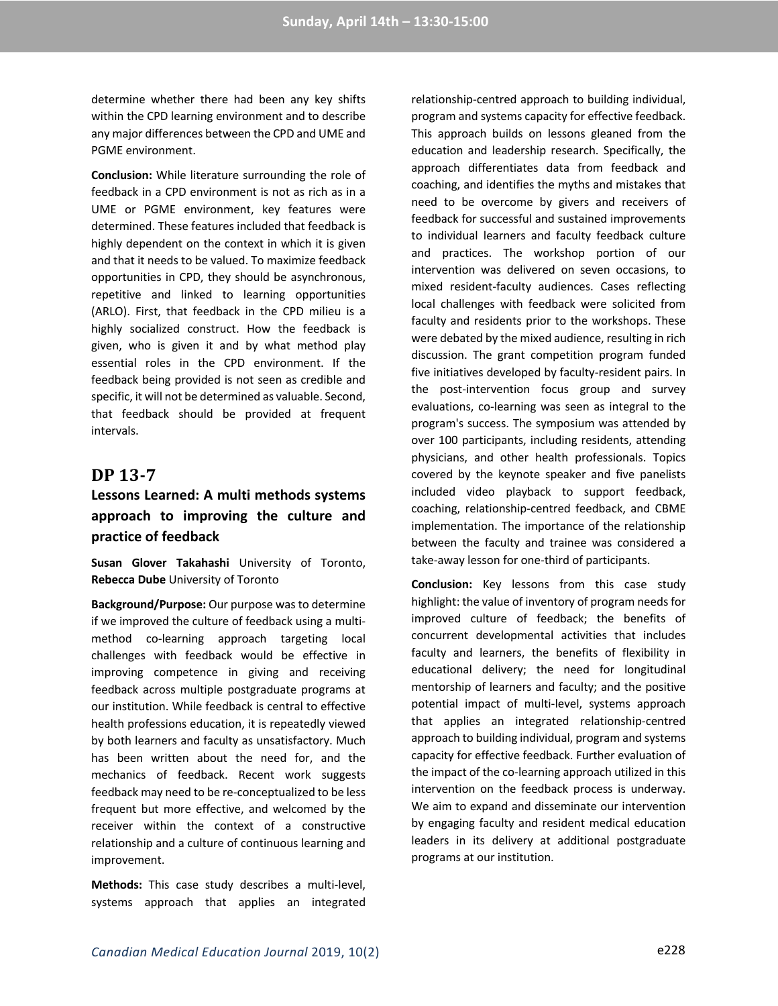determine whether there had been any key shifts within the CPD learning environment and to describe any major differences between the CPD and UME and PGME environment.

**Conclusion:** While literature surrounding the role of feedback in a CPD environment is not as rich as in a UME or PGME environment, key features were determined. These features included that feedback is highly dependent on the context in which it is given and that it needs to be valued. To maximize feedback opportunities in CPD, they should be asynchronous, repetitive and linked to learning opportunities (ARLO). First, that feedback in the CPD milieu is a highly socialized construct. How the feedback is given, who is given it and by what method play essential roles in the CPD environment. If the feedback being provided is not seen as credible and specific, it will not be determined as valuable. Second, that feedback should be provided at frequent intervals.

### **DP 13-7**

## **Lessons Learned: A multi methods systems approach to improving the culture and practice of feedback**

**Susan Glover Takahashi** University of Toronto, **Rebecca Dube** University of Toronto

**Background/Purpose:** Our purpose was to determine if we improved the culture of feedback using a multimethod co-learning approach targeting local challenges with feedback would be effective in improving competence in giving and receiving feedback across multiple postgraduate programs at our institution. While feedback is central to effective health professions education, it is repeatedly viewed by both learners and faculty as unsatisfactory. Much has been written about the need for, and the mechanics of feedback. Recent work suggests feedback may need to be re-conceptualized to be less frequent but more effective, and welcomed by the receiver within the context of a constructive relationship and a culture of continuous learning and improvement.

**Methods:** This case study describes a multi-level, systems approach that applies an integrated

relationship-centred approach to building individual, program and systems capacity for effective feedback. This approach builds on lessons gleaned from the education and leadership research. Specifically, the approach differentiates data from feedback and coaching, and identifies the myths and mistakes that need to be overcome by givers and receivers of feedback for successful and sustained improvements to individual learners and faculty feedback culture and practices. The workshop portion of our intervention was delivered on seven occasions, to mixed resident-faculty audiences. Cases reflecting local challenges with feedback were solicited from faculty and residents prior to the workshops. These were debated by the mixed audience, resulting in rich discussion. The grant competition program funded five initiatives developed by faculty-resident pairs. In the post-intervention focus group and survey evaluations, co-learning was seen as integral to the program's success. The symposium was attended by over 100 participants, including residents, attending physicians, and other health professionals. Topics covered by the keynote speaker and five panelists included video playback to support feedback, coaching, relationship-centred feedback, and CBME implementation. The importance of the relationship between the faculty and trainee was considered a take-away lesson for one-third of participants.

**Conclusion:** Key lessons from this case study highlight: the value of inventory of program needs for improved culture of feedback; the benefits of concurrent developmental activities that includes faculty and learners, the benefits of flexibility in educational delivery; the need for longitudinal mentorship of learners and faculty; and the positive potential impact of multi-level, systems approach that applies an integrated relationship-centred approach to building individual, program and systems capacity for effective feedback. Further evaluation of the impact of the co-learning approach utilized in this intervention on the feedback process is underway. We aim to expand and disseminate our intervention by engaging faculty and resident medical education leaders in its delivery at additional postgraduate programs at our institution.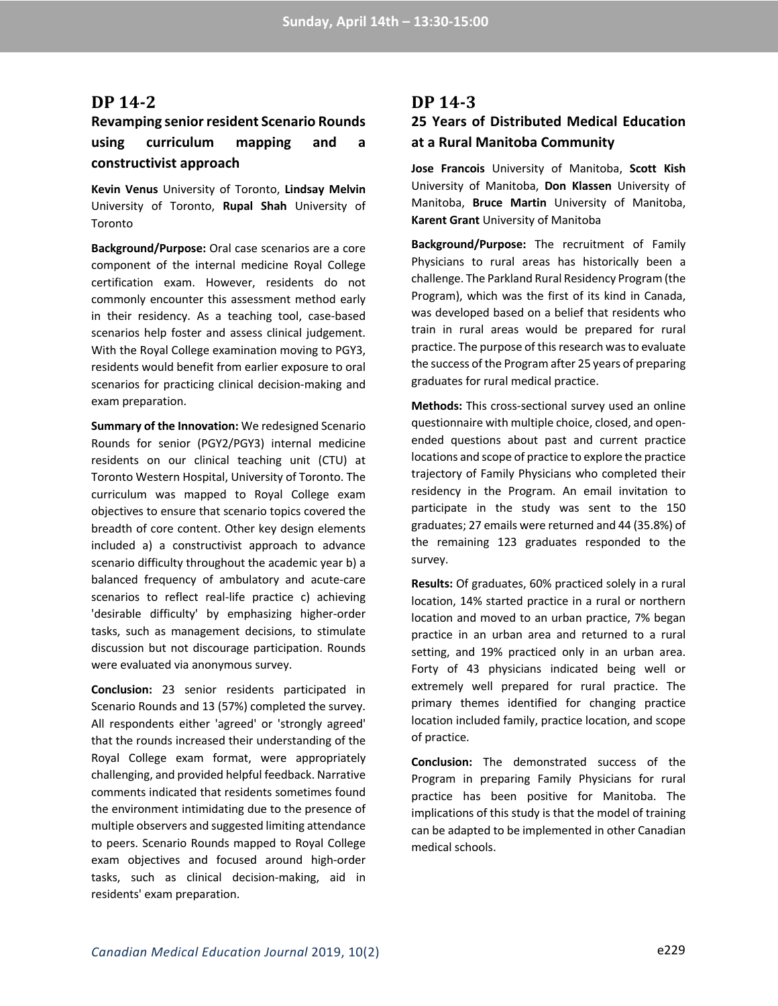#### **DP 14-2**

## **Revamping senior resident Scenario Rounds using curriculum mapping and a constructivist approach**

**Kevin Venus** University of Toronto, **Lindsay Melvin** University of Toronto, **Rupal Shah** University of Toronto

**Background/Purpose:** Oral case scenarios are a core component of the internal medicine Royal College certification exam. However, residents do not commonly encounter this assessment method early in their residency. As a teaching tool, case-based scenarios help foster and assess clinical judgement. With the Royal College examination moving to PGY3, residents would benefit from earlier exposure to oral scenarios for practicing clinical decision-making and exam preparation.

**Summary of the Innovation:** We redesigned Scenario Rounds for senior (PGY2/PGY3) internal medicine residents on our clinical teaching unit (CTU) at Toronto Western Hospital, University of Toronto. The curriculum was mapped to Royal College exam objectives to ensure that scenario topics covered the breadth of core content. Other key design elements included a) a constructivist approach to advance scenario difficulty throughout the academic year b) a balanced frequency of ambulatory and acute-care scenarios to reflect real-life practice c) achieving 'desirable difficulty' by emphasizing higher-order tasks, such as management decisions, to stimulate discussion but not discourage participation. Rounds were evaluated via anonymous survey.

**Conclusion:** 23 senior residents participated in Scenario Rounds and 13 (57%) completed the survey. All respondents either 'agreed' or 'strongly agreed' that the rounds increased their understanding of the Royal College exam format, were appropriately challenging, and provided helpful feedback. Narrative comments indicated that residents sometimes found the environment intimidating due to the presence of multiple observers and suggested limiting attendance to peers. Scenario Rounds mapped to Royal College exam objectives and focused around high-order tasks, such as clinical decision-making, aid in residents' exam preparation.

### **DP 14-3**

## **25 Years of Distributed Medical Education at a Rural Manitoba Community**

**Jose Francois** University of Manitoba, **Scott Kish** University of Manitoba, **Don Klassen** University of Manitoba, **Bruce Martin** University of Manitoba, **Karent Grant** University of Manitoba

**Background/Purpose:** The recruitment of Family Physicians to rural areas has historically been a challenge. The Parkland Rural Residency Program (the Program), which was the first of its kind in Canada, was developed based on a belief that residents who train in rural areas would be prepared for rural practice. The purpose of this research was to evaluate the success of the Program after 25 years of preparing graduates for rural medical practice.

**Methods:** This cross-sectional survey used an online questionnaire with multiple choice, closed, and openended questions about past and current practice locations and scope of practice to explore the practice trajectory of Family Physicians who completed their residency in the Program. An email invitation to participate in the study was sent to the 150 graduates; 27 emails were returned and 44 (35.8%) of the remaining 123 graduates responded to the survey.

**Results:** Of graduates, 60% practiced solely in a rural location, 14% started practice in a rural or northern location and moved to an urban practice, 7% began practice in an urban area and returned to a rural setting, and 19% practiced only in an urban area. Forty of 43 physicians indicated being well or extremely well prepared for rural practice. The primary themes identified for changing practice location included family, practice location, and scope of practice.

**Conclusion:** The demonstrated success of the Program in preparing Family Physicians for rural practice has been positive for Manitoba. The implications of this study is that the model of training can be adapted to be implemented in other Canadian medical schools.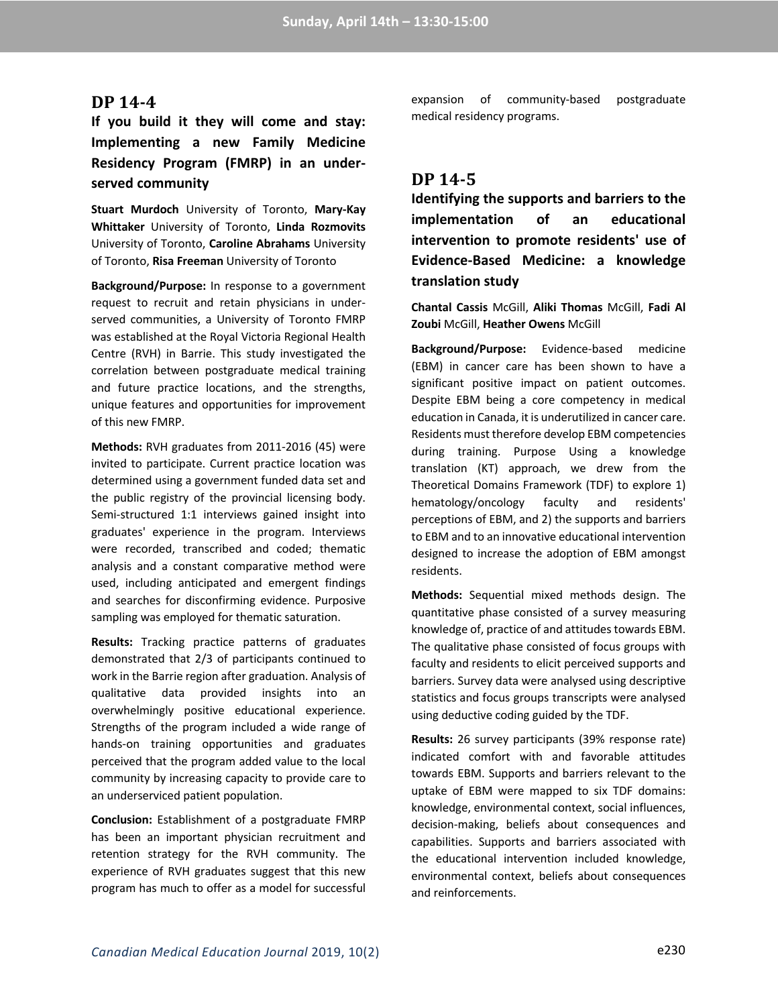#### DP 14-4

**If you build it they will come and stay: Implementing a new Family Medicine Residency Program (FMRP) in an underserved community**

**Stuart Murdoch** University of Toronto, **Mary-Kay Whittaker** University of Toronto, **Linda Rozmovits** University of Toronto, **Caroline Abrahams** University of Toronto, **Risa Freeman** University of Toronto

**Background/Purpose:** In response to a government request to recruit and retain physicians in underserved communities, a University of Toronto FMRP was established at the Royal Victoria Regional Health Centre (RVH) in Barrie. This study investigated the correlation between postgraduate medical training and future practice locations, and the strengths, unique features and opportunities for improvement of this new FMRP.

**Methods:** RVH graduates from 2011-2016 (45) were invited to participate. Current practice location was determined using a government funded data set and the public registry of the provincial licensing body. Semi-structured 1:1 interviews gained insight into graduates' experience in the program. Interviews were recorded, transcribed and coded; thematic analysis and a constant comparative method were used, including anticipated and emergent findings and searches for disconfirming evidence. Purposive sampling was employed for thematic saturation.

**Results:** Tracking practice patterns of graduates demonstrated that 2/3 of participants continued to work in the Barrie region after graduation. Analysis of qualitative data provided insights into an overwhelmingly positive educational experience. Strengths of the program included a wide range of hands-on training opportunities and graduates perceived that the program added value to the local community by increasing capacity to provide care to an underserviced patient population.

**Conclusion:** Establishment of a postgraduate FMRP has been an important physician recruitment and retention strategy for the RVH community. The experience of RVH graduates suggest that this new program has much to offer as a model for successful

expansion of community-based postgraduate medical residency programs.

### **DP 14-5**

**Identifying the supports and barriers to the implementation of an educational intervention to promote residents' use of Evidence-Based Medicine: a knowledge translation study**

**Chantal Cassis** McGill, **Aliki Thomas** McGill, **Fadi Al Zoubi** McGill, **Heather Owens** McGill

**Background/Purpose:** Evidence-based medicine (EBM) in cancer care has been shown to have a significant positive impact on patient outcomes. Despite EBM being a core competency in medical education in Canada, it is underutilized in cancer care. Residents must therefore develop EBM competencies during training. Purpose Using a knowledge translation (KT) approach, we drew from the Theoretical Domains Framework (TDF) to explore 1) hematology/oncology faculty and residents' perceptions of EBM, and 2) the supports and barriers to EBM and to an innovative educational intervention designed to increase the adoption of EBM amongst residents.

**Methods:** Sequential mixed methods design. The quantitative phase consisted of a survey measuring knowledge of, practice of and attitudes towards EBM. The qualitative phase consisted of focus groups with faculty and residents to elicit perceived supports and barriers. Survey data were analysed using descriptive statistics and focus groups transcripts were analysed using deductive coding guided by the TDF.

**Results:** 26 survey participants (39% response rate) indicated comfort with and favorable attitudes towards EBM. Supports and barriers relevant to the uptake of EBM were mapped to six TDF domains: knowledge, environmental context, social influences, decision-making, beliefs about consequences and capabilities. Supports and barriers associated with the educational intervention included knowledge, environmental context, beliefs about consequences and reinforcements.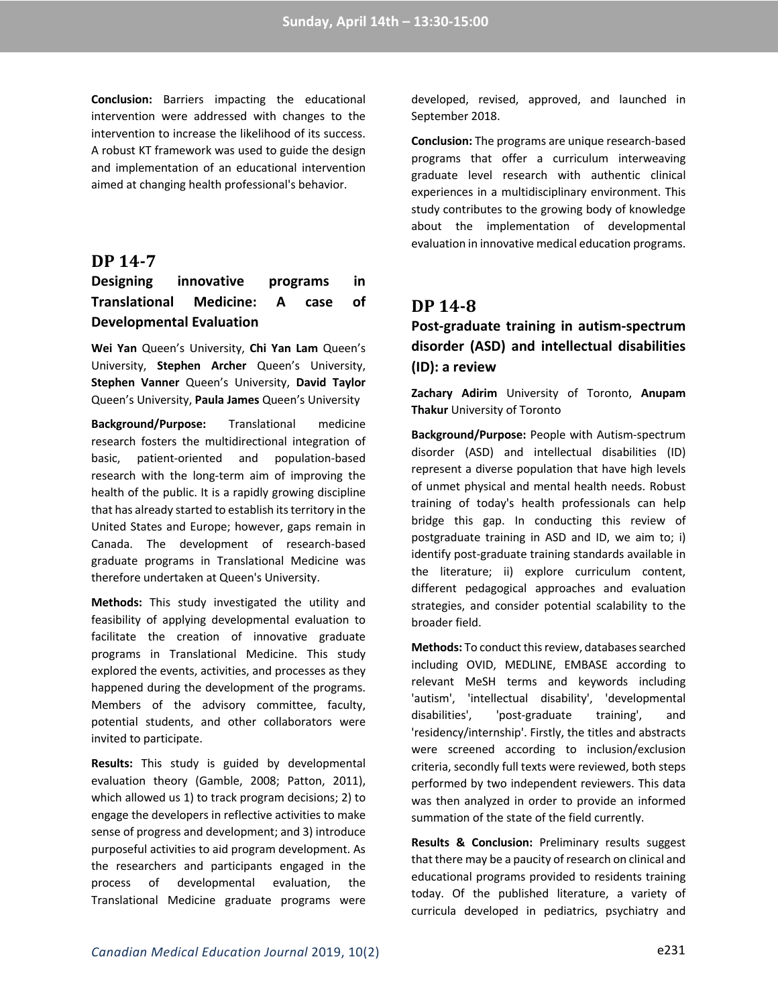**Conclusion:** Barriers impacting the educational intervention were addressed with changes to the intervention to increase the likelihood of its success. A robust KT framework was used to guide the design and implementation of an educational intervention aimed at changing health professional's behavior.

#### **DP 14-7**

## **Designing innovative programs in Translational Medicine: A case of Developmental Evaluation**

**Wei Yan** Queen's University, **Chi Yan Lam** Queen's University, **Stephen Archer** Queen's University, **Stephen Vanner** Queen's University, **David Taylor** Queen's University, **Paula James** Queen's University

**Background/Purpose:** Translational medicine research fosters the multidirectional integration of basic, patient-oriented and population-based research with the long-term aim of improving the health of the public. It is a rapidly growing discipline that has already started to establish its territory in the United States and Europe; however, gaps remain in Canada. The development of research-based graduate programs in Translational Medicine was therefore undertaken at Queen's University.

**Methods:** This study investigated the utility and feasibility of applying developmental evaluation to facilitate the creation of innovative graduate programs in Translational Medicine. This study explored the events, activities, and processes as they happened during the development of the programs. Members of the advisory committee, faculty, potential students, and other collaborators were invited to participate.

**Results:** This study is guided by developmental evaluation theory (Gamble, 2008; Patton, 2011), which allowed us 1) to track program decisions; 2) to engage the developers in reflective activities to make sense of progress and development; and 3) introduce purposeful activities to aid program development. As the researchers and participants engaged in the process of developmental evaluation, the Translational Medicine graduate programs were

developed, revised, approved, and launched in September 2018.

**Conclusion:** The programs are unique research-based programs that offer a curriculum interweaving graduate level research with authentic clinical experiences in a multidisciplinary environment. This study contributes to the growing body of knowledge about the implementation of developmental evaluation in innovative medical education programs.

### **DP 14-8**

**Post-graduate training in autism-spectrum disorder (ASD) and intellectual disabilities (ID): a review**

**Zachary Adirim** University of Toronto, **Anupam Thakur** University of Toronto

**Background/Purpose:** People with Autism-spectrum disorder (ASD) and intellectual disabilities (ID) represent a diverse population that have high levels of unmet physical and mental health needs. Robust training of today's health professionals can help bridge this gap. In conducting this review of postgraduate training in ASD and ID, we aim to; i) identify post-graduate training standards available in the literature; ii) explore curriculum content, different pedagogical approaches and evaluation strategies, and consider potential scalability to the broader field.

**Methods:** To conduct this review, databases searched including OVID, MEDLINE, EMBASE according to relevant MeSH terms and keywords including 'autism', 'intellectual disability', 'developmental disabilities', 'post-graduate training', and 'residency/internship'. Firstly, the titles and abstracts were screened according to inclusion/exclusion criteria, secondly full texts were reviewed, both steps performed by two independent reviewers. This data was then analyzed in order to provide an informed summation of the state of the field currently.

**Results & Conclusion:** Preliminary results suggest that there may be a paucity of research on clinical and educational programs provided to residents training today. Of the published literature, a variety of curricula developed in pediatrics, psychiatry and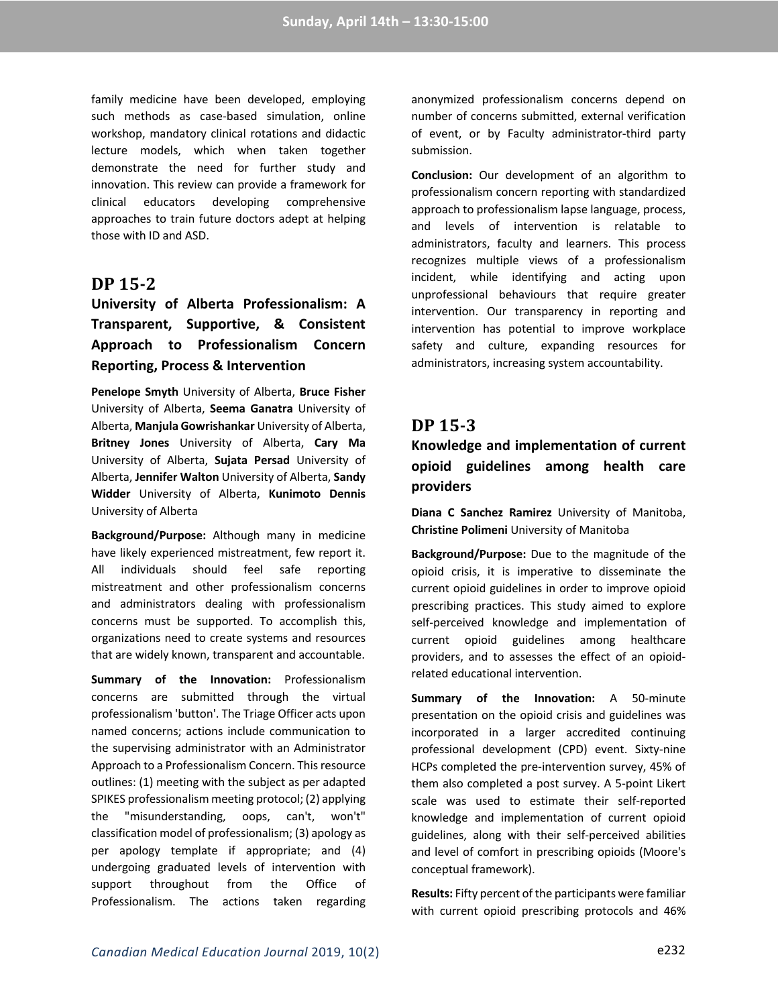family medicine have been developed, employing such methods as case-based simulation, online workshop, mandatory clinical rotations and didactic lecture models, which when taken together demonstrate the need for further study and innovation. This review can provide a framework for clinical educators developing comprehensive approaches to train future doctors adept at helping those with ID and ASD.

### **DP 15-2**

# **University of Alberta Professionalism: A Transparent, Supportive, & Consistent Approach to Professionalism Concern Reporting, Process & Intervention**

**Penelope Smyth** University of Alberta, **Bruce Fisher** University of Alberta, **Seema Ganatra** University of Alberta, **Manjula Gowrishankar** University of Alberta, **Britney Jones** University of Alberta, **Cary Ma** University of Alberta, **Sujata Persad** University of Alberta, **Jennifer Walton** University of Alberta, **Sandy Widder** University of Alberta, **Kunimoto Dennis** University of Alberta

**Background/Purpose:** Although many in medicine have likely experienced mistreatment, few report it. All individuals should feel safe reporting mistreatment and other professionalism concerns and administrators dealing with professionalism concerns must be supported. To accomplish this, organizations need to create systems and resources that are widely known, transparent and accountable.

**Summary of the Innovation:** Professionalism concerns are submitted through the virtual professionalism 'button'. The Triage Officer acts upon named concerns; actions include communication to the supervising administrator with an Administrator Approach to a Professionalism Concern. This resource outlines: (1) meeting with the subject as per adapted SPIKES professionalism meeting protocol; (2) applying the "misunderstanding, oops, can't, won't" classification model of professionalism; (3) apology as per apology template if appropriate; and (4) undergoing graduated levels of intervention with support throughout from the Office of Professionalism. The actions taken regarding

anonymized professionalism concerns depend on number of concerns submitted, external verification of event, or by Faculty administrator-third party submission.

**Conclusion:** Our development of an algorithm to professionalism concern reporting with standardized approach to professionalism lapse language, process, and levels of intervention is relatable to administrators, faculty and learners. This process recognizes multiple views of a professionalism incident, while identifying and acting upon unprofessional behaviours that require greater intervention. Our transparency in reporting and intervention has potential to improve workplace safety and culture, expanding resources for administrators, increasing system accountability.

### **DP 15-3**

## **Knowledge and implementation of current opioid guidelines among health care providers**

**Diana C Sanchez Ramirez** University of Manitoba, **Christine Polimeni** University of Manitoba

**Background/Purpose:** Due to the magnitude of the opioid crisis, it is imperative to disseminate the current opioid guidelines in order to improve opioid prescribing practices. This study aimed to explore self-perceived knowledge and implementation of current opioid guidelines among healthcare providers, and to assesses the effect of an opioidrelated educational intervention.

**Summary of the Innovation:** A 50-minute presentation on the opioid crisis and guidelines was incorporated in a larger accredited continuing professional development (CPD) event. Sixty-nine HCPs completed the pre-intervention survey, 45% of them also completed a post survey. A 5-point Likert scale was used to estimate their self-reported knowledge and implementation of current opioid guidelines, along with their self-perceived abilities and level of comfort in prescribing opioids (Moore's conceptual framework).

**Results:** Fifty percent of the participants were familiar with current opioid prescribing protocols and 46%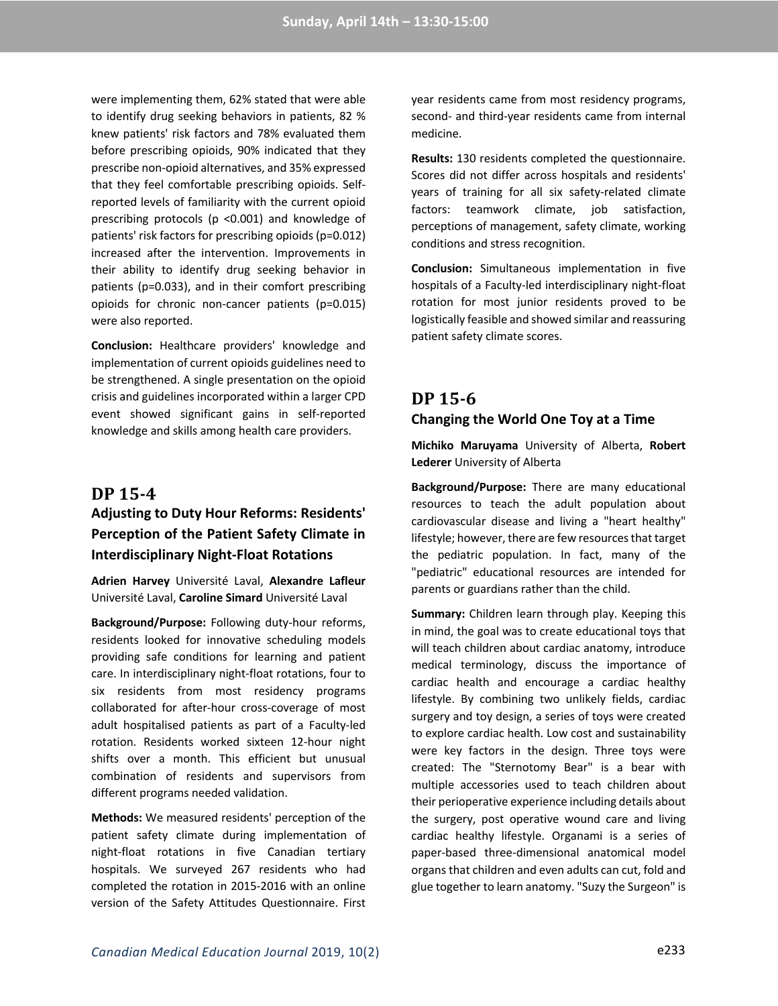were implementing them, 62% stated that were able to identify drug seeking behaviors in patients, 82 % knew patients' risk factors and 78% evaluated them before prescribing opioids, 90% indicated that they prescribe non-opioid alternatives, and 35% expressed that they feel comfortable prescribing opioids. Selfreported levels of familiarity with the current opioid prescribing protocols (p <0.001) and knowledge of patients' risk factors for prescribing opioids (p=0.012) increased after the intervention. Improvements in their ability to identify drug seeking behavior in patients (p=0.033), and in their comfort prescribing opioids for chronic non-cancer patients (p=0.015) were also reported.

**Conclusion:** Healthcare providers' knowledge and implementation of current opioids guidelines need to be strengthened. A single presentation on the opioid crisis and guidelines incorporated within a larger CPD event showed significant gains in self-reported knowledge and skills among health care providers.

### **DP 15-4**

## **Adjusting to Duty Hour Reforms: Residents' Perception of the Patient Safety Climate in Interdisciplinary Night-Float Rotations**

**Adrien Harvey** Université Laval, **Alexandre Lafleur** Université Laval, **Caroline Simard** Université Laval

**Background/Purpose:** Following duty-hour reforms, residents looked for innovative scheduling models providing safe conditions for learning and patient care. In interdisciplinary night-float rotations, four to six residents from most residency programs collaborated for after-hour cross-coverage of most adult hospitalised patients as part of a Faculty-led rotation. Residents worked sixteen 12-hour night shifts over a month. This efficient but unusual combination of residents and supervisors from different programs needed validation.

**Methods:** We measured residents' perception of the patient safety climate during implementation of night-float rotations in five Canadian tertiary hospitals. We surveyed 267 residents who had completed the rotation in 2015-2016 with an online version of the Safety Attitudes Questionnaire. First year residents came from most residency programs, second- and third-year residents came from internal medicine.

**Results:** 130 residents completed the questionnaire. Scores did not differ across hospitals and residents' years of training for all six safety-related climate factors: teamwork climate, job satisfaction, perceptions of management, safety climate, working conditions and stress recognition.

**Conclusion:** Simultaneous implementation in five hospitals of a Faculty-led interdisciplinary night-float rotation for most junior residents proved to be logistically feasible and showed similar and reassuring patient safety climate scores.

## **DP 15-6**

#### **Changing the World One Toy at a Time**

**Michiko Maruyama** University of Alberta, **Robert Lederer** University of Alberta

**Background/Purpose:** There are many educational resources to teach the adult population about cardiovascular disease and living a "heart healthy" lifestyle; however, there are few resources that target the pediatric population. In fact, many of the "pediatric" educational resources are intended for parents or guardians rather than the child.

**Summary:** Children learn through play. Keeping this in mind, the goal was to create educational toys that will teach children about cardiac anatomy, introduce medical terminology, discuss the importance of cardiac health and encourage a cardiac healthy lifestyle. By combining two unlikely fields, cardiac surgery and toy design, a series of toys were created to explore cardiac health. Low cost and sustainability were key factors in the design. Three toys were created: The "Sternotomy Bear" is a bear with multiple accessories used to teach children about their perioperative experience including details about the surgery, post operative wound care and living cardiac healthy lifestyle. Organami is a series of paper-based three-dimensional anatomical model organs that children and even adults can cut, fold and glue together to learn anatomy. "Suzy the Surgeon" is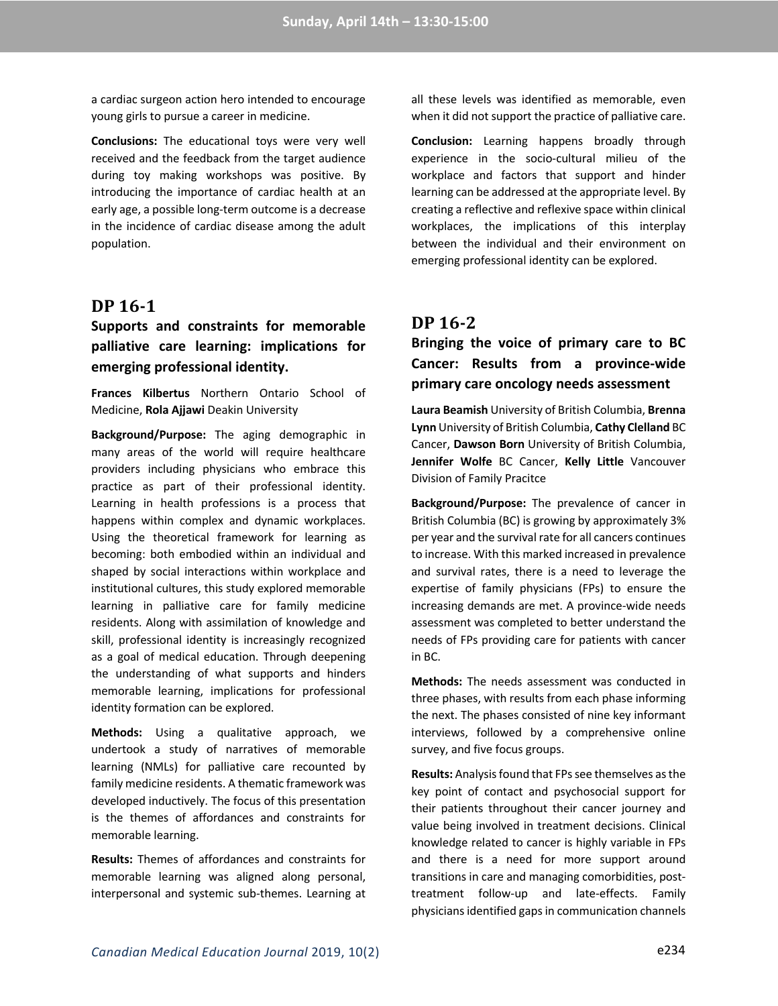a cardiac surgeon action hero intended to encourage young girls to pursue a career in medicine.

**Conclusions:** The educational toys were very well received and the feedback from the target audience during toy making workshops was positive. By introducing the importance of cardiac health at an early age, a possible long-term outcome is a decrease in the incidence of cardiac disease among the adult population.

### **DP 16-1**

## **Supports and constraints for memorable palliative care learning: implications for emerging professional identity.**

**Frances Kilbertus** Northern Ontario School of Medicine, **Rola Ajjawi** Deakin University

**Background/Purpose:** The aging demographic in many areas of the world will require healthcare providers including physicians who embrace this practice as part of their professional identity. Learning in health professions is a process that happens within complex and dynamic workplaces. Using the theoretical framework for learning as becoming: both embodied within an individual and shaped by social interactions within workplace and institutional cultures, this study explored memorable learning in palliative care for family medicine residents. Along with assimilation of knowledge and skill, professional identity is increasingly recognized as a goal of medical education. Through deepening the understanding of what supports and hinders memorable learning, implications for professional identity formation can be explored.

**Methods:** Using a qualitative approach, we undertook a study of narratives of memorable learning (NMLs) for palliative care recounted by family medicine residents. A thematic framework was developed inductively. The focus of this presentation is the themes of affordances and constraints for memorable learning.

**Results:** Themes of affordances and constraints for memorable learning was aligned along personal, interpersonal and systemic sub-themes. Learning at

all these levels was identified as memorable, even when it did not support the practice of palliative care.

**Conclusion:** Learning happens broadly through experience in the socio-cultural milieu of the workplace and factors that support and hinder learning can be addressed at the appropriate level. By creating a reflective and reflexive space within clinical workplaces, the implications of this interplay between the individual and their environment on emerging professional identity can be explored.

### **DP 16-2**

## **Bringing the voice of primary care to BC Cancer: Results from a province-wide primary care oncology needs assessment**

**Laura Beamish** University of British Columbia, **Brenna Lynn** University of British Columbia, **Cathy Clelland** BC Cancer, **Dawson Born** University of British Columbia, **Jennifer Wolfe** BC Cancer, **Kelly Little** Vancouver Division of Family Pracitce

**Background/Purpose:** The prevalence of cancer in British Columbia (BC) is growing by approximately 3% per year and the survival rate for all cancers continues to increase. With this marked increased in prevalence and survival rates, there is a need to leverage the expertise of family physicians (FPs) to ensure the increasing demands are met. A province-wide needs assessment was completed to better understand the needs of FPs providing care for patients with cancer in BC.

**Methods:** The needs assessment was conducted in three phases, with results from each phase informing the next. The phases consisted of nine key informant interviews, followed by a comprehensive online survey, and five focus groups.

**Results:** Analysis found that FPs see themselves as the key point of contact and psychosocial support for their patients throughout their cancer journey and value being involved in treatment decisions. Clinical knowledge related to cancer is highly variable in FPs and there is a need for more support around transitions in care and managing comorbidities, posttreatment follow-up and late-effects. Family physicians identified gaps in communication channels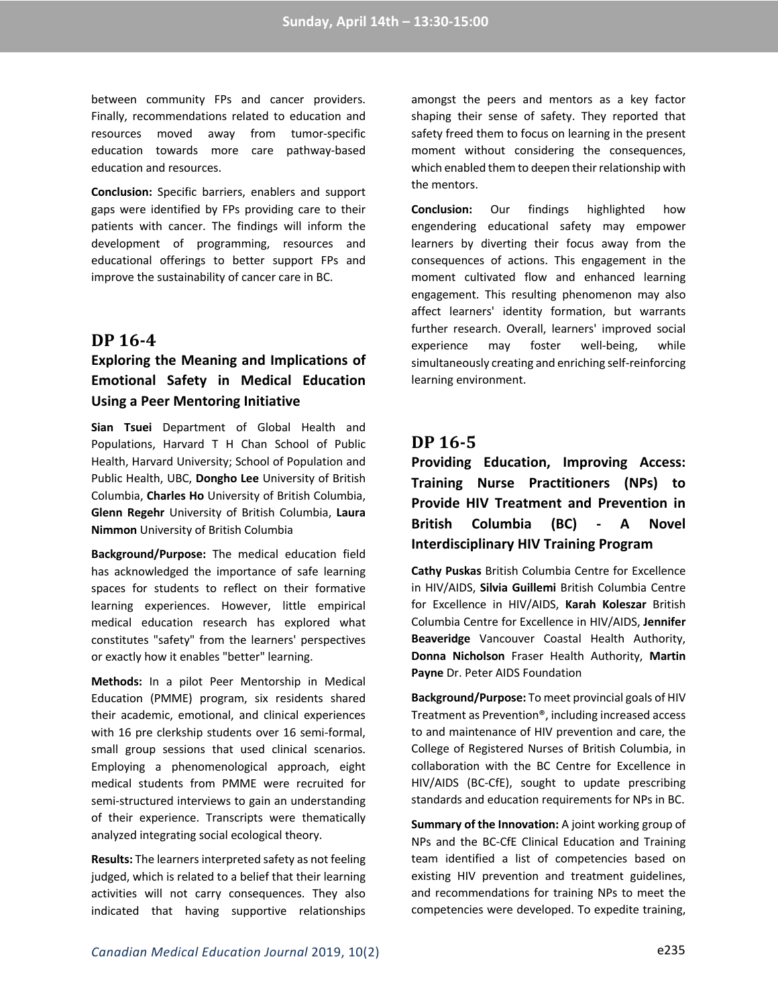between community FPs and cancer providers. Finally, recommendations related to education and resources moved away from tumor-specific education towards more care pathway-based education and resources.

**Conclusion:** Specific barriers, enablers and support gaps were identified by FPs providing care to their patients with cancer. The findings will inform the development of programming, resources and educational offerings to better support FPs and improve the sustainability of cancer care in BC.

### **DP 16-4**

## **Exploring the Meaning and Implications of Emotional Safety in Medical Education Using a Peer Mentoring Initiative**

**Sian Tsuei** Department of Global Health and Populations, Harvard T H Chan School of Public Health, Harvard University; School of Population and Public Health, UBC, **Dongho Lee** University of British Columbia, **Charles Ho** University of British Columbia, **Glenn Regehr** University of British Columbia, **Laura Nimmon** University of British Columbia

**Background/Purpose:** The medical education field has acknowledged the importance of safe learning spaces for students to reflect on their formative learning experiences. However, little empirical medical education research has explored what constitutes "safety" from the learners' perspectives or exactly how it enables "better" learning.

**Methods:** In a pilot Peer Mentorship in Medical Education (PMME) program, six residents shared their academic, emotional, and clinical experiences with 16 pre clerkship students over 16 semi-formal, small group sessions that used clinical scenarios. Employing a phenomenological approach, eight medical students from PMME were recruited for semi-structured interviews to gain an understanding of their experience. Transcripts were thematically analyzed integrating social ecological theory.

**Results:** The learners interpreted safety as not feeling judged, which is related to a belief that their learning activities will not carry consequences. They also indicated that having supportive relationships amongst the peers and mentors as a key factor shaping their sense of safety. They reported that safety freed them to focus on learning in the present moment without considering the consequences, which enabled them to deepen their relationship with the mentors.

**Conclusion:** Our findings highlighted how engendering educational safety may empower learners by diverting their focus away from the consequences of actions. This engagement in the moment cultivated flow and enhanced learning engagement. This resulting phenomenon may also affect learners' identity formation, but warrants further research. Overall, learners' improved social experience may foster well-being, while simultaneously creating and enriching self-reinforcing learning environment.

## **DP 16-5**

**Providing Education, Improving Access: Training Nurse Practitioners (NPs) to Provide HIV Treatment and Prevention in British Columbia (BC) - A Novel Interdisciplinary HIV Training Program**

**Cathy Puskas** British Columbia Centre for Excellence in HIV/AIDS, **Silvia Guillemi** British Columbia Centre for Excellence in HIV/AIDS, **Karah Koleszar** British Columbia Centre for Excellence in HIV/AIDS, **Jennifer Beaveridge** Vancouver Coastal Health Authority, **Donna Nicholson** Fraser Health Authority, **Martin Payne** Dr. Peter AIDS Foundation

**Background/Purpose:** To meet provincial goals of HIV Treatment as Prevention®, including increased access to and maintenance of HIV prevention and care, the College of Registered Nurses of British Columbia, in collaboration with the BC Centre for Excellence in HIV/AIDS (BC-CfE), sought to update prescribing standards and education requirements for NPs in BC.

**Summary of the Innovation:** A joint working group of NPs and the BC-CfE Clinical Education and Training team identified a list of competencies based on existing HIV prevention and treatment guidelines, and recommendations for training NPs to meet the competencies were developed. To expedite training,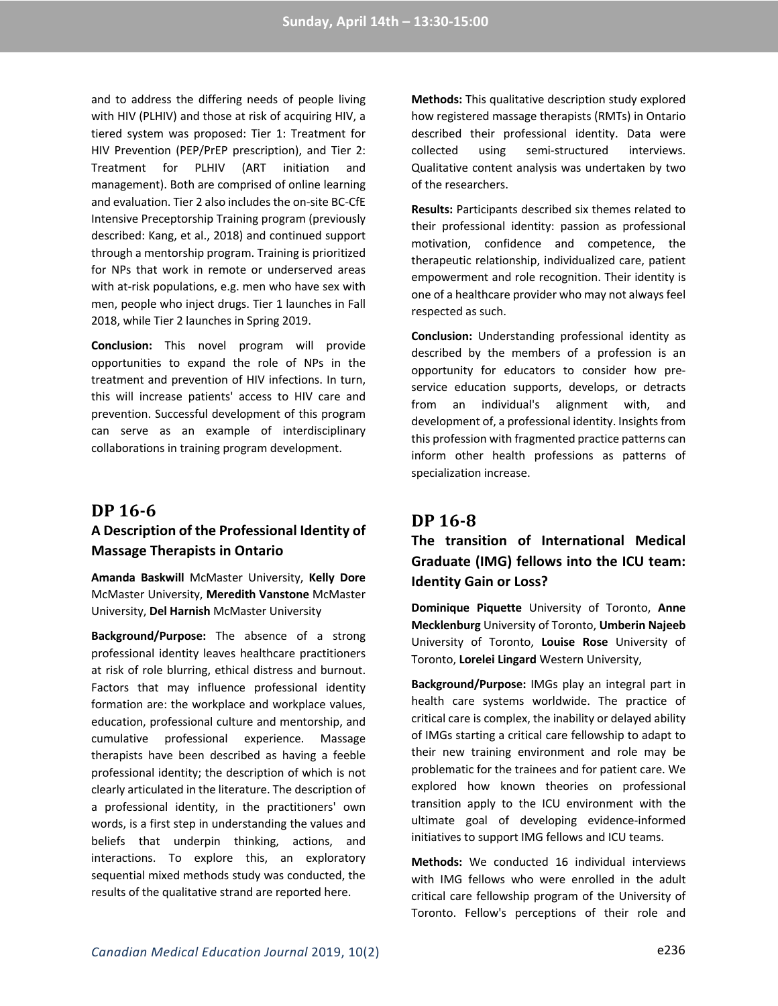and to address the differing needs of people living with HIV (PLHIV) and those at risk of acquiring HIV, a tiered system was proposed: Tier 1: Treatment for HIV Prevention (PEP/PrEP prescription), and Tier 2: Treatment for PLHIV (ART initiation and management). Both are comprised of online learning and evaluation. Tier 2 also includes the on-site BC-CfE Intensive Preceptorship Training program (previously described: Kang, et al., 2018) and continued support through a mentorship program. Training is prioritized for NPs that work in remote or underserved areas with at-risk populations, e.g. men who have sex with men, people who inject drugs. Tier 1 launches in Fall 2018, while Tier 2 launches in Spring 2019.

**Conclusion:** This novel program will provide opportunities to expand the role of NPs in the treatment and prevention of HIV infections. In turn, this will increase patients' access to HIV care and prevention. Successful development of this program can serve as an example of interdisciplinary collaborations in training program development.

### **DP 16-6**

# **A Description of the Professional Identity of Massage Therapists in Ontario**

**Amanda Baskwill** McMaster University, **Kelly Dore** McMaster University, **Meredith Vanstone** McMaster University, **Del Harnish** McMaster University

**Background/Purpose:** The absence of a strong professional identity leaves healthcare practitioners at risk of role blurring, ethical distress and burnout. Factors that may influence professional identity formation are: the workplace and workplace values, education, professional culture and mentorship, and cumulative professional experience. Massage therapists have been described as having a feeble professional identity; the description of which is not clearly articulated in the literature. The description of a professional identity, in the practitioners' own words, is a first step in understanding the values and beliefs that underpin thinking, actions, and interactions. To explore this, an exploratory sequential mixed methods study was conducted, the results of the qualitative strand are reported here.

**Methods:** This qualitative description study explored how registered massage therapists (RMTs) in Ontario described their professional identity. Data were collected using semi-structured interviews. Qualitative content analysis was undertaken by two of the researchers.

**Results:** Participants described six themes related to their professional identity: passion as professional motivation, confidence and competence, the therapeutic relationship, individualized care, patient empowerment and role recognition. Their identity is one of a healthcare provider who may not always feel respected as such.

**Conclusion:** Understanding professional identity as described by the members of a profession is an opportunity for educators to consider how preservice education supports, develops, or detracts from an individual's alignment with, and development of, a professional identity. Insights from this profession with fragmented practice patterns can inform other health professions as patterns of specialization increase.

### **DP 16-8**

**The transition of International Medical Graduate (IMG) fellows into the ICU team: Identity Gain or Loss?**

**Dominique Piquette** University of Toronto, **Anne Mecklenburg** University of Toronto, **Umberin Najeeb** University of Toronto, **Louise Rose** University of Toronto, **Lorelei Lingard** Western University,

**Background/Purpose:** IMGs play an integral part in health care systems worldwide. The practice of critical care is complex, the inability or delayed ability of IMGs starting a critical care fellowship to adapt to their new training environment and role may be problematic for the trainees and for patient care. We explored how known theories on professional transition apply to the ICU environment with the ultimate goal of developing evidence-informed initiatives to support IMG fellows and ICU teams.

**Methods:** We conducted 16 individual interviews with IMG fellows who were enrolled in the adult critical care fellowship program of the University of Toronto. Fellow's perceptions of their role and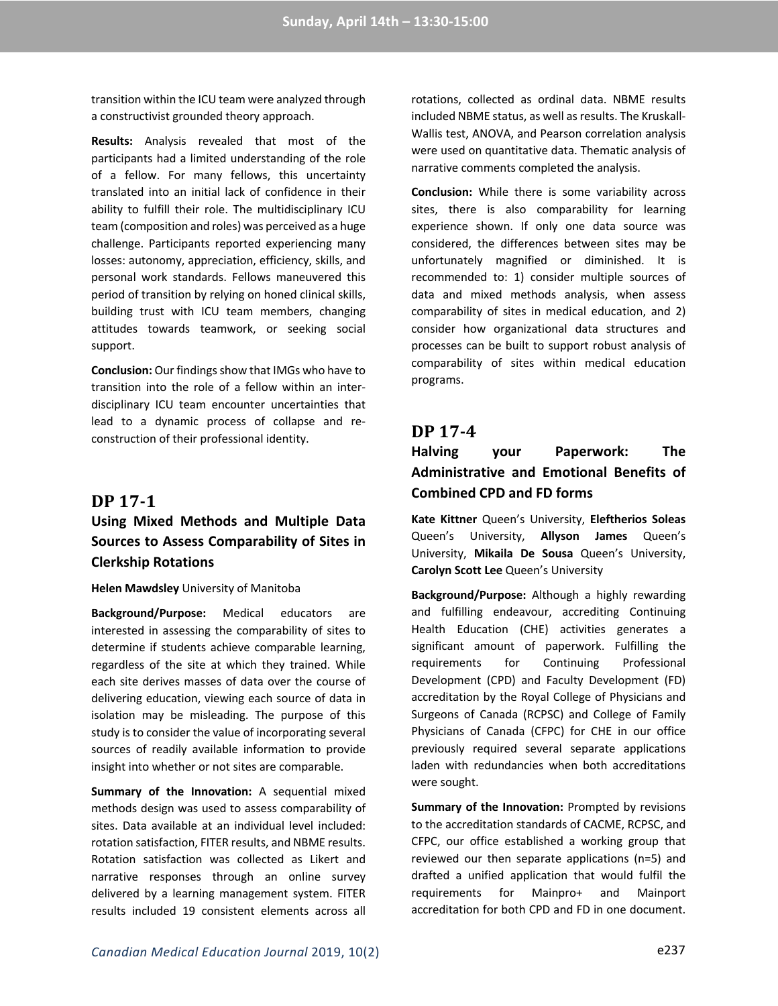transition within the ICU team were analyzed through a constructivist grounded theory approach.

**Results:** Analysis revealed that most of the participants had a limited understanding of the role of a fellow. For many fellows, this uncertainty translated into an initial lack of confidence in their ability to fulfill their role. The multidisciplinary ICU team (composition and roles) was perceived as a huge challenge. Participants reported experiencing many losses: autonomy, appreciation, efficiency, skills, and personal work standards. Fellows maneuvered this period of transition by relying on honed clinical skills, building trust with ICU team members, changing attitudes towards teamwork, or seeking social support.

**Conclusion:** Our findings show that IMGs who have to transition into the role of a fellow within an interdisciplinary ICU team encounter uncertainties that lead to a dynamic process of collapse and reconstruction of their professional identity.

#### **DP 17-1**

## **Using Mixed Methods and Multiple Data Sources to Assess Comparability of Sites in Clerkship Rotations**

#### **Helen Mawdsley** University of Manitoba

**Background/Purpose:** Medical educators are interested in assessing the comparability of sites to determine if students achieve comparable learning, regardless of the site at which they trained. While each site derives masses of data over the course of delivering education, viewing each source of data in isolation may be misleading. The purpose of this study is to consider the value of incorporating several sources of readily available information to provide insight into whether or not sites are comparable.

**Summary of the Innovation:** A sequential mixed methods design was used to assess comparability of sites. Data available at an individual level included: rotation satisfaction, FITER results, and NBME results. Rotation satisfaction was collected as Likert and narrative responses through an online survey delivered by a learning management system. FITER results included 19 consistent elements across all

rotations, collected as ordinal data. NBME results included NBME status, as well as results. The Kruskall-Wallis test, ANOVA, and Pearson correlation analysis were used on quantitative data. Thematic analysis of narrative comments completed the analysis.

**Conclusion:** While there is some variability across sites, there is also comparability for learning experience shown. If only one data source was considered, the differences between sites may be unfortunately magnified or diminished. It is recommended to: 1) consider multiple sources of data and mixed methods analysis, when assess comparability of sites in medical education, and 2) consider how organizational data structures and processes can be built to support robust analysis of comparability of sites within medical education programs.

#### **DP 17-4**

## **Halving your Paperwork: The Administrative and Emotional Benefits of Combined CPD and FD forms**

**Kate Kittner** Queen's University, **Eleftherios Soleas** Queen's University, **Allyson James** Queen's University, **Mikaila De Sousa** Queen's University, **Carolyn Scott Lee** Queen's University

**Background/Purpose:** Although a highly rewarding and fulfilling endeavour, accrediting Continuing Health Education (CHE) activities generates a significant amount of paperwork. Fulfilling the requirements for Continuing Professional Development (CPD) and Faculty Development (FD) accreditation by the Royal College of Physicians and Surgeons of Canada (RCPSC) and College of Family Physicians of Canada (CFPC) for CHE in our office previously required several separate applications laden with redundancies when both accreditations were sought.

**Summary of the Innovation:** Prompted by revisions to the accreditation standards of CACME, RCPSC, and CFPC, our office established a working group that reviewed our then separate applications (n=5) and drafted a unified application that would fulfil the requirements for Mainpro+ and Mainport accreditation for both CPD and FD in one document.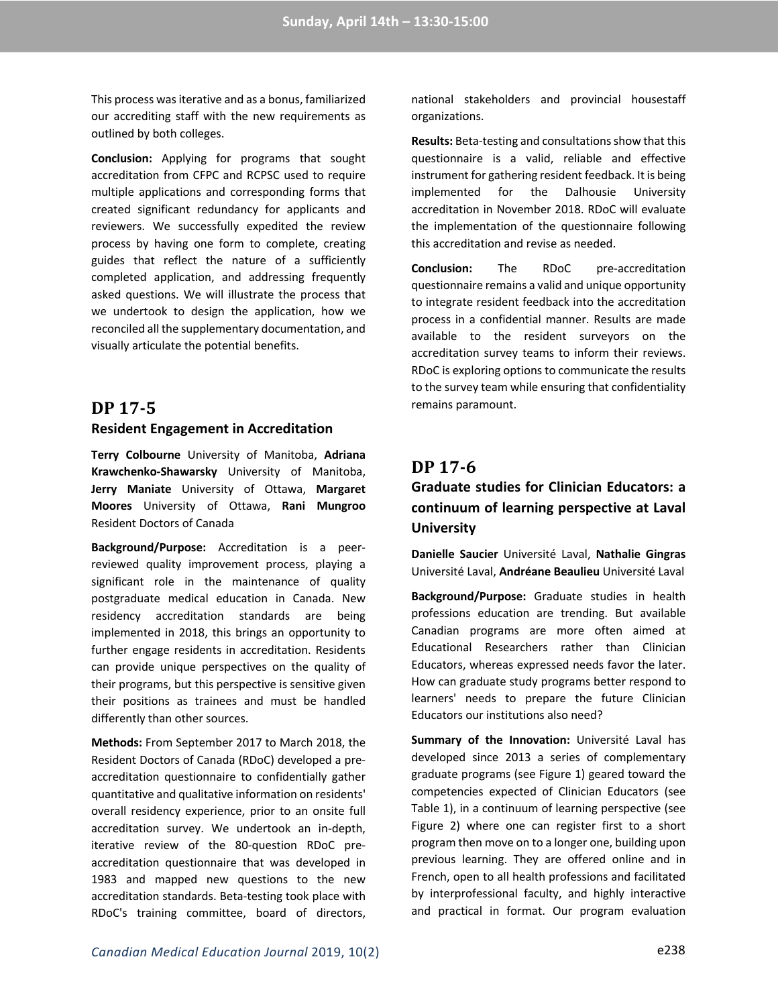This process was iterative and as a bonus, familiarized our accrediting staff with the new requirements as outlined by both colleges.

**Conclusion:** Applying for programs that sought accreditation from CFPC and RCPSC used to require multiple applications and corresponding forms that created significant redundancy for applicants and reviewers. We successfully expedited the review process by having one form to complete, creating guides that reflect the nature of a sufficiently completed application, and addressing frequently asked questions. We will illustrate the process that we undertook to design the application, how we reconciled all the supplementary documentation, and visually articulate the potential benefits.

## **DP 17-5**

#### **Resident Engagement in Accreditation**

**Terry Colbourne** University of Manitoba, **Adriana Krawchenko-Shawarsky** University of Manitoba, **Jerry Maniate** University of Ottawa, **Margaret Moores** University of Ottawa, **Rani Mungroo** Resident Doctors of Canada

**Background/Purpose:** Accreditation is a peerreviewed quality improvement process, playing a significant role in the maintenance of quality postgraduate medical education in Canada. New residency accreditation standards are being implemented in 2018, this brings an opportunity to further engage residents in accreditation. Residents can provide unique perspectives on the quality of their programs, but this perspective is sensitive given their positions as trainees and must be handled differently than other sources.

**Methods:** From September 2017 to March 2018, the Resident Doctors of Canada (RDoC) developed a preaccreditation questionnaire to confidentially gather quantitative and qualitative information on residents' overall residency experience, prior to an onsite full accreditation survey. We undertook an in-depth, iterative review of the 80-question RDoC preaccreditation questionnaire that was developed in 1983 and mapped new questions to the new accreditation standards. Beta-testing took place with RDoC's training committee, board of directors, national stakeholders and provincial housestaff organizations.

**Results:** Beta-testing and consultations show that this questionnaire is a valid, reliable and effective instrument for gathering resident feedback. It is being implemented for the Dalhousie University accreditation in November 2018. RDoC will evaluate the implementation of the questionnaire following this accreditation and revise as needed.

**Conclusion:** The RDoC pre-accreditation questionnaire remains a valid and unique opportunity to integrate resident feedback into the accreditation process in a confidential manner. Results are made available to the resident surveyors on the accreditation survey teams to inform their reviews. RDoC is exploring options to communicate the results to the survey team while ensuring that confidentiality remains paramount.

### **DP 17-6**

## **Graduate studies for Clinician Educators: a continuum of learning perspective at Laval University**

**Danielle Saucier** Université Laval, **Nathalie Gingras** Université Laval, **Andréane Beaulieu** Université Laval

**Background/Purpose:** Graduate studies in health professions education are trending. But available Canadian programs are more often aimed at Educational Researchers rather than Clinician Educators, whereas expressed needs favor the later. How can graduate study programs better respond to learners' needs to prepare the future Clinician Educators our institutions also need?

**Summary of the Innovation:** Université Laval has developed since 2013 a series of complementary graduate programs (see Figure 1) geared toward the competencies expected of Clinician Educators (see Table 1), in a continuum of learning perspective (see Figure 2) where one can register first to a short program then move on to a longer one, building upon previous learning. They are offered online and in French, open to all health professions and facilitated by interprofessional faculty, and highly interactive and practical in format. Our program evaluation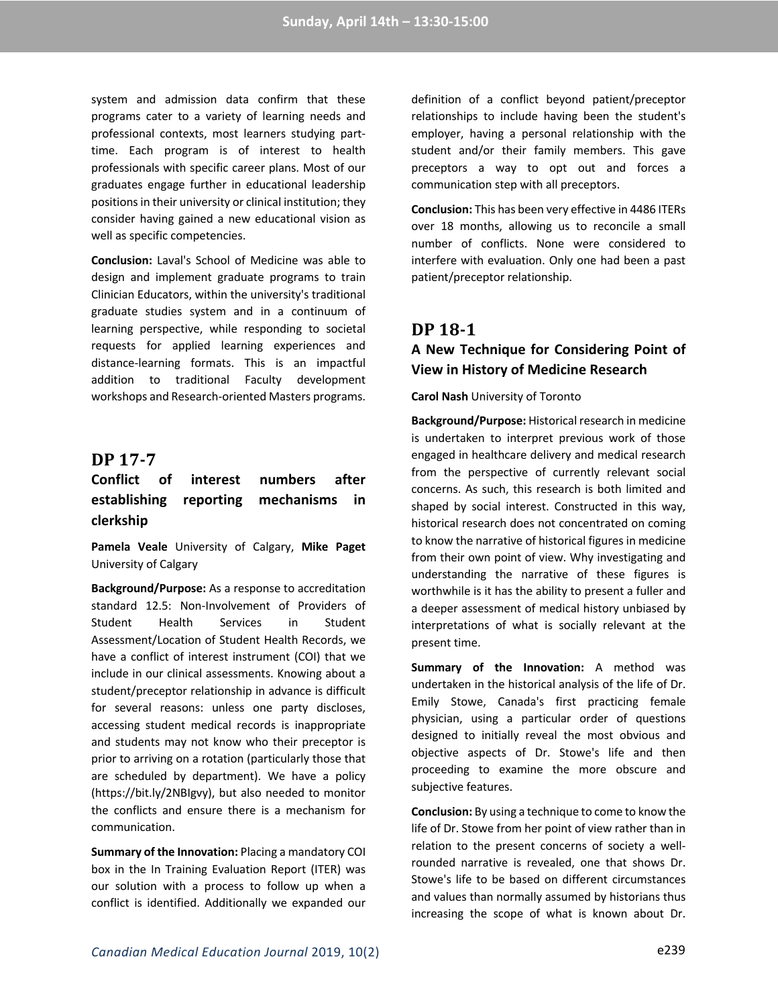system and admission data confirm that these programs cater to a variety of learning needs and professional contexts, most learners studying parttime. Each program is of interest to health professionals with specific career plans. Most of our graduates engage further in educational leadership positions in their university or clinical institution; they consider having gained a new educational vision as well as specific competencies.

**Conclusion:** Laval's School of Medicine was able to design and implement graduate programs to train Clinician Educators, within the university's traditional graduate studies system and in a continuum of learning perspective, while responding to societal requests for applied learning experiences and distance-learning formats. This is an impactful addition to traditional Faculty development workshops and Research-oriented Masters programs.

#### **DP 17-7**

## **Conflict of interest numbers after establishing reporting mechanisms in clerkship**

**Pamela Veale** University of Calgary, **Mike Paget** University of Calgary

**Background/Purpose:** As a response to accreditation standard 12.5: Non-Involvement of Providers of Student Health Services in Student Assessment/Location of Student Health Records, we have a conflict of interest instrument (COI) that we include in our clinical assessments. Knowing about a student/preceptor relationship in advance is difficult for several reasons: unless one party discloses, accessing student medical records is inappropriate and students may not know who their preceptor is prior to arriving on a rotation (particularly those that are scheduled by department). We have a policy (https://bit.ly/2NBIgvy), but also needed to monitor the conflicts and ensure there is a mechanism for communication.

**Summary of the Innovation:** Placing a mandatory COI box in the In Training Evaluation Report (ITER) was our solution with a process to follow up when a conflict is identified. Additionally we expanded our definition of a conflict beyond patient/preceptor relationships to include having been the student's employer, having a personal relationship with the student and/or their family members. This gave preceptors a way to opt out and forces a communication step with all preceptors.

**Conclusion:** This has been very effective in 4486 ITERs over 18 months, allowing us to reconcile a small number of conflicts. None were considered to interfere with evaluation. Only one had been a past patient/preceptor relationship.

## **DP 18-1**

### **A New Technique for Considering Point of View in History of Medicine Research**

**Carol Nash** University of Toronto

**Background/Purpose:** Historical research in medicine is undertaken to interpret previous work of those engaged in healthcare delivery and medical research from the perspective of currently relevant social concerns. As such, this research is both limited and shaped by social interest. Constructed in this way, historical research does not concentrated on coming to know the narrative of historical figures in medicine from their own point of view. Why investigating and understanding the narrative of these figures is worthwhile is it has the ability to present a fuller and a deeper assessment of medical history unbiased by interpretations of what is socially relevant at the present time.

**Summary of the Innovation:** A method was undertaken in the historical analysis of the life of Dr. Emily Stowe, Canada's first practicing female physician, using a particular order of questions designed to initially reveal the most obvious and objective aspects of Dr. Stowe's life and then proceeding to examine the more obscure and subjective features.

**Conclusion:** By using a technique to come to know the life of Dr. Stowe from her point of view rather than in relation to the present concerns of society a wellrounded narrative is revealed, one that shows Dr. Stowe's life to be based on different circumstances and values than normally assumed by historians thus increasing the scope of what is known about Dr.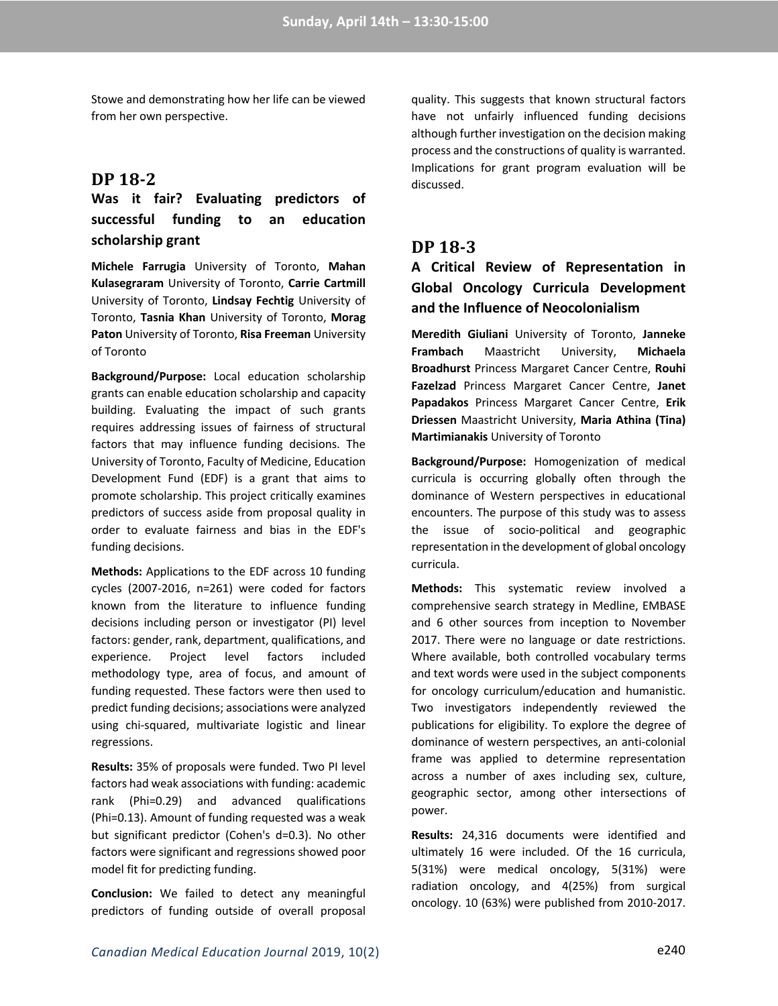Stowe and demonstrating how her life can be viewed from her own perspective.

### **DP 18-2**

## **Was it fair? Evaluating predictors of successful funding to an education scholarship grant**

**Michele Farrugia** University of Toronto, **Mahan Kulasegraram** University of Toronto, **Carrie Cartmill** University of Toronto, **Lindsay Fechtig** University of Toronto, **Tasnia Khan** University of Toronto, **Morag Paton** University of Toronto, **Risa Freeman** University of Toronto

**Background/Purpose:** Local education scholarship grants can enable education scholarship and capacity building. Evaluating the impact of such grants requires addressing issues of fairness of structural factors that may influence funding decisions. The University of Toronto, Faculty of Medicine, Education Development Fund (EDF) is a grant that aims to promote scholarship. This project critically examines predictors of success aside from proposal quality in order to evaluate fairness and bias in the EDF's funding decisions.

**Methods:** Applications to the EDF across 10 funding cycles (2007-2016, n=261) were coded for factors known from the literature to influence funding decisions including person or investigator (PI) level factors: gender, rank, department, qualifications, and experience. Project level factors included methodology type, area of focus, and amount of funding requested. These factors were then used to predict funding decisions; associations were analyzed using chi-squared, multivariate logistic and linear regressions.

**Results:** 35% of proposals were funded. Two PI level factors had weak associations with funding: academic rank (Phi=0.29) and advanced qualifications (Phi=0.13). Amount of funding requested was a weak but significant predictor (Cohen's d=0.3). No other factors were significant and regressions showed poor model fit for predicting funding.

**Conclusion:** We failed to detect any meaningful predictors of funding outside of overall proposal

quality. This suggests that known structural factors have not unfairly influenced funding decisions although further investigation on the decision making process and the constructions of quality is warranted. Implications for grant program evaluation will be discussed.

## **DP 18-3**

## **A Critical Review of Representation in Global Oncology Curricula Development and the Influence of Neocolonialism**

**Meredith Giuliani** University of Toronto, **Janneke Frambach** Maastricht University, **Michaela Broadhurst** Princess Margaret Cancer Centre, **Rouhi Fazelzad** Princess Margaret Cancer Centre, **Janet Papadakos** Princess Margaret Cancer Centre, **Erik Driessen** Maastricht University, **Maria Athina (Tina) Martimianakis** University of Toronto

**Background/Purpose:** Homogenization of medical curricula is occurring globally often through the dominance of Western perspectives in educational encounters. The purpose of this study was to assess the issue of socio-political and geographic representation in the development of global oncology curricula.

**Methods:** This systematic review involved a comprehensive search strategy in Medline, EMBASE and 6 other sources from inception to November 2017. There were no language or date restrictions. Where available, both controlled vocabulary terms and text words were used in the subject components for oncology curriculum/education and humanistic. Two investigators independently reviewed the publications for eligibility. To explore the degree of dominance of western perspectives, an anti-colonial frame was applied to determine representation across a number of axes including sex, culture, geographic sector, among other intersections of power.

**Results:** 24,316 documents were identified and ultimately 16 were included. Of the 16 curricula, 5(31%) were medical oncology, 5(31%) were radiation oncology, and 4(25%) from surgical oncology. 10 (63%) were published from 2010-2017.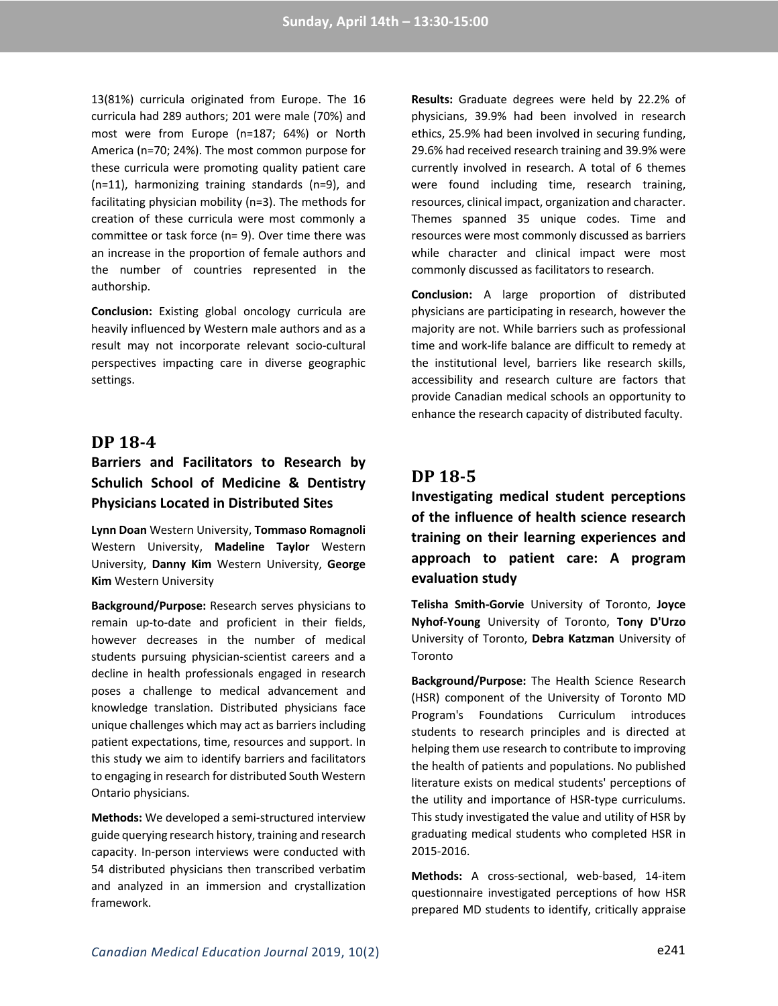13(81%) curricula originated from Europe. The 16 curricula had 289 authors; 201 were male (70%) and most were from Europe (n=187; 64%) or North America (n=70; 24%). The most common purpose for these curricula were promoting quality patient care (n=11), harmonizing training standards (n=9), and facilitating physician mobility (n=3). The methods for creation of these curricula were most commonly a committee or task force (n= 9). Over time there was an increase in the proportion of female authors and the number of countries represented in the authorship.

**Conclusion:** Existing global oncology curricula are heavily influenced by Western male authors and as a result may not incorporate relevant socio-cultural perspectives impacting care in diverse geographic settings.

### **DP 18-4**

## **Barriers and Facilitators to Research by Schulich School of Medicine & Dentistry Physicians Located in Distributed Sites**

**Lynn Doan** Western University, **Tommaso Romagnoli** Western University, **Madeline Taylor** Western University, **Danny Kim** Western University, **George Kim** Western University

**Background/Purpose:** Research serves physicians to remain up-to-date and proficient in their fields, however decreases in the number of medical students pursuing physician-scientist careers and a decline in health professionals engaged in research poses a challenge to medical advancement and knowledge translation. Distributed physicians face unique challenges which may act as barriers including patient expectations, time, resources and support. In this study we aim to identify barriers and facilitators to engaging in research for distributed South Western Ontario physicians.

**Methods:** We developed a semi-structured interview guide querying research history, training and research capacity. In-person interviews were conducted with 54 distributed physicians then transcribed verbatim and analyzed in an immersion and crystallization framework.

**Results:** Graduate degrees were held by 22.2% of physicians, 39.9% had been involved in research ethics, 25.9% had been involved in securing funding, 29.6% had received research training and 39.9% were currently involved in research. A total of 6 themes were found including time, research training, resources, clinical impact, organization and character. Themes spanned 35 unique codes. Time and resources were most commonly discussed as barriers while character and clinical impact were most commonly discussed as facilitators to research.

**Conclusion:** A large proportion of distributed physicians are participating in research, however the majority are not. While barriers such as professional time and work-life balance are difficult to remedy at the institutional level, barriers like research skills, accessibility and research culture are factors that provide Canadian medical schools an opportunity to enhance the research capacity of distributed faculty.

### **DP 18-5**

**Investigating medical student perceptions of the influence of health science research training on their learning experiences and approach to patient care: A program evaluation study**

**Telisha Smith-Gorvie** University of Toronto, **Joyce Nyhof-Young** University of Toronto, **Tony D'Urzo** University of Toronto, **Debra Katzman** University of Toronto

**Background/Purpose:** The Health Science Research (HSR) component of the University of Toronto MD Program's Foundations Curriculum introduces students to research principles and is directed at helping them use research to contribute to improving the health of patients and populations. No published literature exists on medical students' perceptions of the utility and importance of HSR-type curriculums. This study investigated the value and utility of HSR by graduating medical students who completed HSR in 2015-2016.

**Methods:** A cross-sectional, web-based, 14-item questionnaire investigated perceptions of how HSR prepared MD students to identify, critically appraise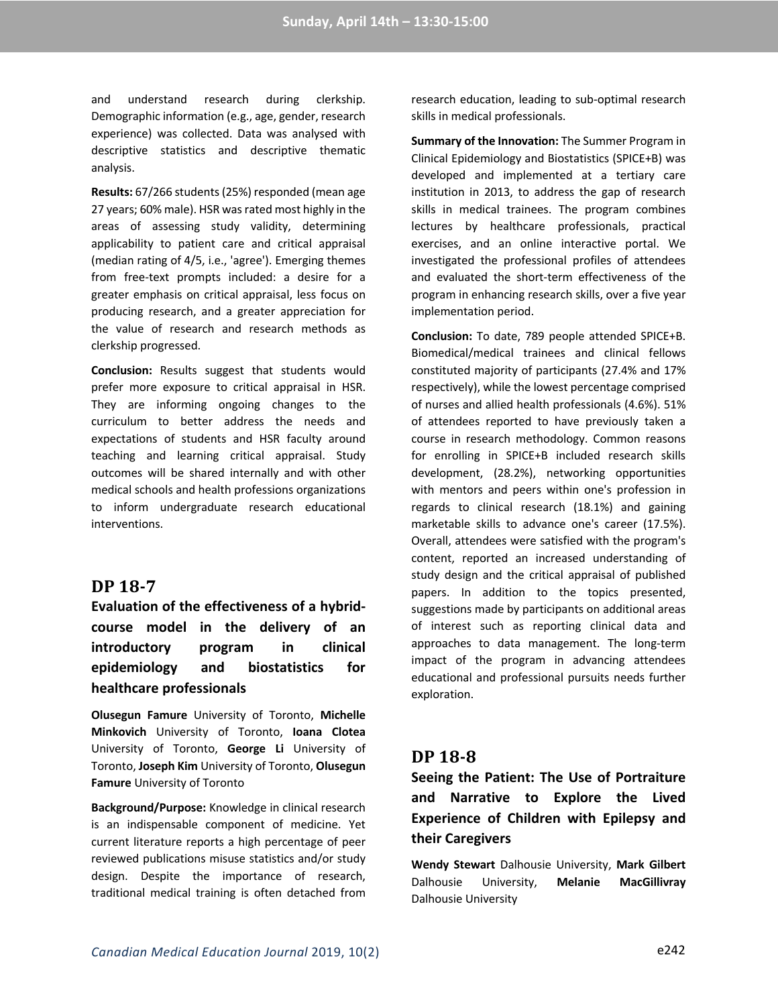and understand research during clerkship. Demographic information (e.g., age, gender, research experience) was collected. Data was analysed with descriptive statistics and descriptive thematic analysis.

**Results:** 67/266 students (25%) responded (mean age 27 years; 60% male). HSR was rated most highly in the areas of assessing study validity, determining applicability to patient care and critical appraisal (median rating of 4/5, i.e., 'agree'). Emerging themes from free-text prompts included: a desire for a greater emphasis on critical appraisal, less focus on producing research, and a greater appreciation for the value of research and research methods as clerkship progressed.

**Conclusion:** Results suggest that students would prefer more exposure to critical appraisal in HSR. They are informing ongoing changes to the curriculum to better address the needs and expectations of students and HSR faculty around teaching and learning critical appraisal. Study outcomes will be shared internally and with other medical schools and health professions organizations to inform undergraduate research educational interventions.

### **DP 18-7**

**Evaluation of the effectiveness of a hybridcourse model in the delivery of an introductory program in clinical epidemiology and biostatistics for healthcare professionals**

**Olusegun Famure** University of Toronto, **Michelle Minkovich** University of Toronto, **Ioana Clotea** University of Toronto, **George Li** University of Toronto, **Joseph Kim** University of Toronto, **Olusegun Famure** University of Toronto

**Background/Purpose:** Knowledge in clinical research is an indispensable component of medicine. Yet current literature reports a high percentage of peer reviewed publications misuse statistics and/or study design. Despite the importance of research, traditional medical training is often detached from research education, leading to sub-optimal research skills in medical professionals.

**Summary of the Innovation:** The Summer Program in Clinical Epidemiology and Biostatistics (SPICE+B) was developed and implemented at a tertiary care institution in 2013, to address the gap of research skills in medical trainees. The program combines lectures by healthcare professionals, practical exercises, and an online interactive portal. We investigated the professional profiles of attendees and evaluated the short-term effectiveness of the program in enhancing research skills, over a five year implementation period.

**Conclusion:** To date, 789 people attended SPICE+B. Biomedical/medical trainees and clinical fellows constituted majority of participants (27.4% and 17% respectively), while the lowest percentage comprised of nurses and allied health professionals (4.6%). 51% of attendees reported to have previously taken a course in research methodology. Common reasons for enrolling in SPICE+B included research skills development, (28.2%), networking opportunities with mentors and peers within one's profession in regards to clinical research (18.1%) and gaining marketable skills to advance one's career (17.5%). Overall, attendees were satisfied with the program's content, reported an increased understanding of study design and the critical appraisal of published papers. In addition to the topics presented, suggestions made by participants on additional areas of interest such as reporting clinical data and approaches to data management. The long-term impact of the program in advancing attendees educational and professional pursuits needs further exploration.

### **DP 18-8**

**Seeing the Patient: The Use of Portraiture and Narrative to Explore the Lived Experience of Children with Epilepsy and their Caregivers**

**Wendy Stewart** Dalhousie University, **Mark Gilbert** Dalhousie University, **Melanie MacGillivray** Dalhousie University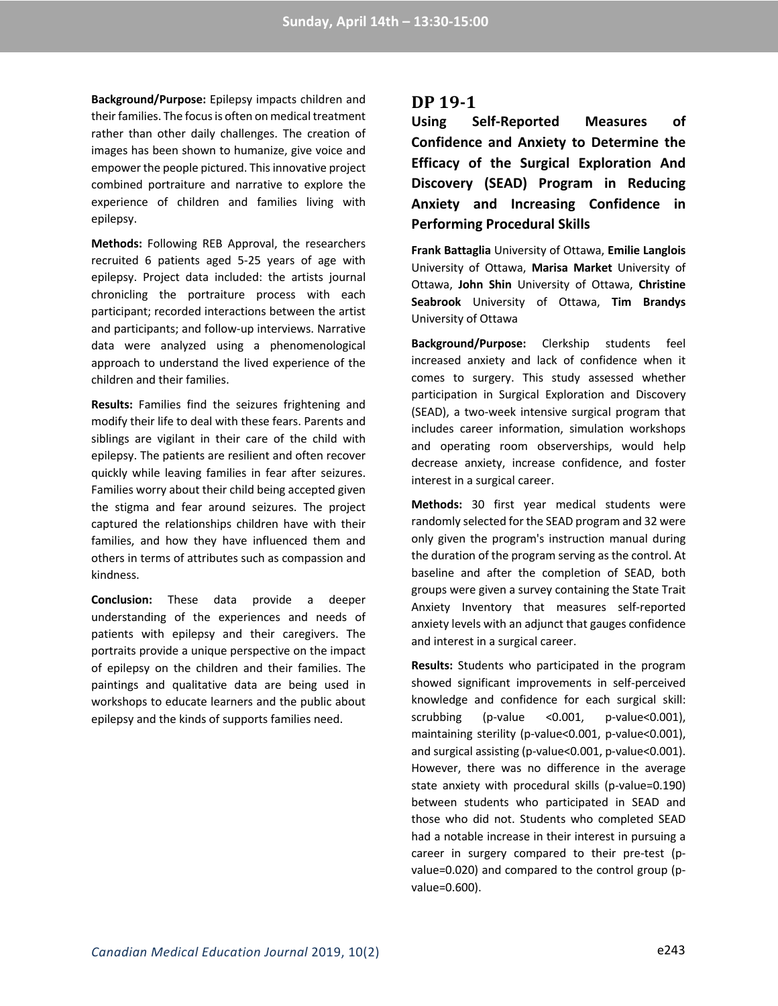**Background/Purpose:** Epilepsy impacts children and their families. The focus is often on medical treatment rather than other daily challenges. The creation of images has been shown to humanize, give voice and empower the people pictured. This innovative project combined portraiture and narrative to explore the experience of children and families living with epilepsy.

**Methods:** Following REB Approval, the researchers recruited 6 patients aged 5-25 years of age with epilepsy. Project data included: the artists journal chronicling the portraiture process with each participant; recorded interactions between the artist and participants; and follow-up interviews. Narrative data were analyzed using a phenomenological approach to understand the lived experience of the children and their families.

**Results:** Families find the seizures frightening and modify their life to deal with these fears. Parents and siblings are vigilant in their care of the child with epilepsy. The patients are resilient and often recover quickly while leaving families in fear after seizures. Families worry about their child being accepted given the stigma and fear around seizures. The project captured the relationships children have with their families, and how they have influenced them and others in terms of attributes such as compassion and kindness.

**Conclusion:** These data provide a deeper understanding of the experiences and needs of patients with epilepsy and their caregivers. The portraits provide a unique perspective on the impact of epilepsy on the children and their families. The paintings and qualitative data are being used in workshops to educate learners and the public about epilepsy and the kinds of supports families need.

### **DP 19-1**

**Using Self-Reported Measures of Confidence and Anxiety to Determine the Efficacy of the Surgical Exploration And Discovery (SEAD) Program in Reducing Anxiety and Increasing Confidence in Performing Procedural Skills**

**Frank Battaglia** University of Ottawa, **Emilie Langlois** University of Ottawa, **Marisa Market** University of Ottawa, **John Shin** University of Ottawa, **Christine Seabrook** University of Ottawa, **Tim Brandys** University of Ottawa

**Background/Purpose:** Clerkship students feel increased anxiety and lack of confidence when it comes to surgery. This study assessed whether participation in Surgical Exploration and Discovery (SEAD), a two-week intensive surgical program that includes career information, simulation workshops and operating room observerships, would help decrease anxiety, increase confidence, and foster interest in a surgical career.

**Methods:** 30 first year medical students were randomly selected for the SEAD program and 32 were only given the program's instruction manual during the duration of the program serving as the control. At baseline and after the completion of SEAD, both groups were given a survey containing the State Trait Anxiety Inventory that measures self-reported anxiety levels with an adjunct that gauges confidence and interest in a surgical career.

**Results:** Students who participated in the program showed significant improvements in self-perceived knowledge and confidence for each surgical skill: scrubbing (p-value <0.001, p-value<0.001), maintaining sterility (p-value<0.001, p-value<0.001), and surgical assisting (p-value<0.001, p-value<0.001). However, there was no difference in the average state anxiety with procedural skills (p-value=0.190) between students who participated in SEAD and those who did not. Students who completed SEAD had a notable increase in their interest in pursuing a career in surgery compared to their pre-test (pvalue=0.020) and compared to the control group (pvalue=0.600).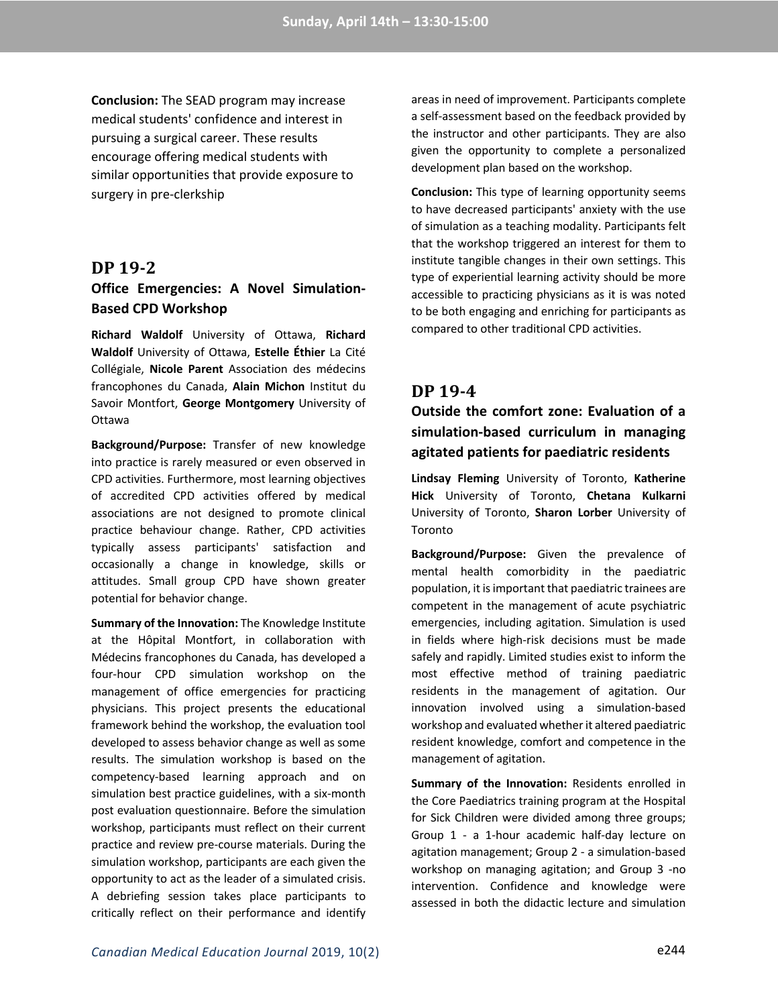**Conclusion:** The SEAD program may increase medical students' confidence and interest in pursuing a surgical career. These results encourage offering medical students with similar opportunities that provide exposure to surgery in pre-clerkship

#### **DP 19-2**

### **Office Emergencies: A Novel Simulation-Based CPD Workshop**

**Richard Waldolf** University of Ottawa, **Richard Waldolf** University of Ottawa, **Estelle Éthier** La Cité Collégiale, **Nicole Parent** Association des médecins francophones du Canada, **Alain Michon** Institut du Savoir Montfort, **George Montgomery** University of Ottawa

**Background/Purpose:** Transfer of new knowledge into practice is rarely measured or even observed in CPD activities. Furthermore, most learning objectives of accredited CPD activities offered by medical associations are not designed to promote clinical practice behaviour change. Rather, CPD activities typically assess participants' satisfaction and occasionally a change in knowledge, skills or attitudes. Small group CPD have shown greater potential for behavior change.

**Summary of the Innovation:** The Knowledge Institute at the Hôpital Montfort, in collaboration with Médecins francophones du Canada, has developed a four-hour CPD simulation workshop on the management of office emergencies for practicing physicians. This project presents the educational framework behind the workshop, the evaluation tool developed to assess behavior change as well as some results. The simulation workshop is based on the competency-based learning approach and on simulation best practice guidelines, with a six-month post evaluation questionnaire. Before the simulation workshop, participants must reflect on their current practice and review pre-course materials. During the simulation workshop, participants are each given the opportunity to act as the leader of a simulated crisis. A debriefing session takes place participants to critically reflect on their performance and identify

areas in need of improvement. Participants complete a self-assessment based on the feedback provided by the instructor and other participants. They are also given the opportunity to complete a personalized development plan based on the workshop.

**Conclusion:** This type of learning opportunity seems to have decreased participants' anxiety with the use of simulation as a teaching modality. Participants felt that the workshop triggered an interest for them to institute tangible changes in their own settings. This type of experiential learning activity should be more accessible to practicing physicians as it is was noted to be both engaging and enriching for participants as compared to other traditional CPD activities.

#### **DP 19-4**

## **Outside the comfort zone: Evaluation of a simulation-based curriculum in managing agitated patients for paediatric residents**

**Lindsay Fleming** University of Toronto, **Katherine Hick** University of Toronto, **Chetana Kulkarni**  University of Toronto, **Sharon Lorber** University of Toronto

**Background/Purpose:** Given the prevalence of mental health comorbidity in the paediatric population, it is important that paediatric trainees are competent in the management of acute psychiatric emergencies, including agitation. Simulation is used in fields where high-risk decisions must be made safely and rapidly. Limited studies exist to inform the most effective method of training paediatric residents in the management of agitation. Our innovation involved using a simulation-based workshop and evaluated whether it altered paediatric resident knowledge, comfort and competence in the management of agitation.

**Summary of the Innovation:** Residents enrolled in the Core Paediatrics training program at the Hospital for Sick Children were divided among three groups; Group 1 - a 1-hour academic half-day lecture on agitation management; Group 2 - a simulation-based workshop on managing agitation; and Group 3 -no intervention. Confidence and knowledge were assessed in both the didactic lecture and simulation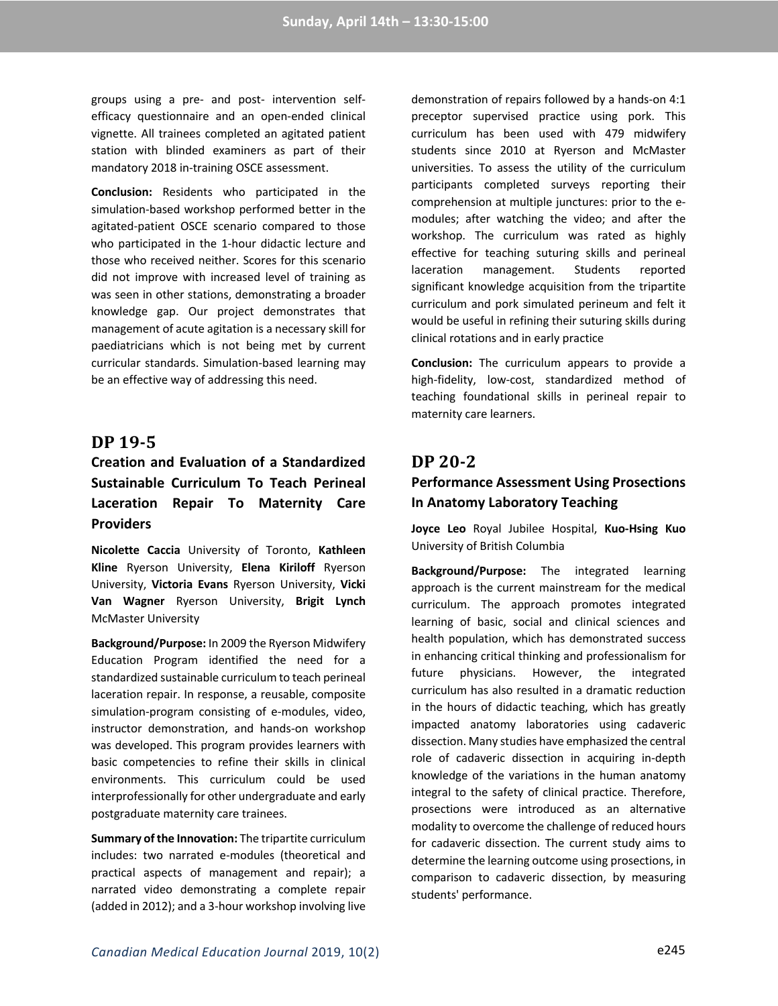groups using a pre- and post- intervention selfefficacy questionnaire and an open-ended clinical vignette. All trainees completed an agitated patient station with blinded examiners as part of their mandatory 2018 in-training OSCE assessment.

**Conclusion:** Residents who participated in the simulation-based workshop performed better in the agitated-patient OSCE scenario compared to those who participated in the 1-hour didactic lecture and those who received neither. Scores for this scenario did not improve with increased level of training as was seen in other stations, demonstrating a broader knowledge gap. Our project demonstrates that management of acute agitation is a necessary skill for paediatricians which is not being met by current curricular standards. Simulation-based learning may be an effective way of addressing this need.

### **DP 19-5**

# **Creation and Evaluation of a Standardized Sustainable Curriculum To Teach Perineal Laceration Repair To Maternity Care Providers**

**Nicolette Caccia** University of Toronto, **Kathleen Kline** Ryerson University, **Elena Kiriloff** Ryerson University, **Victoria Evans** Ryerson University, **Vicki Van Wagner** Ryerson University, **Brigit Lynch** McMaster University

**Background/Purpose:** In 2009 the Ryerson Midwifery Education Program identified the need for a standardized sustainable curriculum to teach perineal laceration repair. In response, a reusable, composite simulation-program consisting of e-modules, video, instructor demonstration, and hands-on workshop was developed. This program provides learners with basic competencies to refine their skills in clinical environments. This curriculum could be used interprofessionally for other undergraduate and early postgraduate maternity care trainees.

**Summary of the Innovation:** The tripartite curriculum includes: two narrated e-modules (theoretical and practical aspects of management and repair); a narrated video demonstrating a complete repair (added in 2012); and a 3-hour workshop involving live

demonstration of repairs followed by a hands-on 4:1 preceptor supervised practice using pork. This curriculum has been used with 479 midwifery students since 2010 at Ryerson and McMaster universities. To assess the utility of the curriculum participants completed surveys reporting their comprehension at multiple junctures: prior to the emodules; after watching the video; and after the workshop. The curriculum was rated as highly effective for teaching suturing skills and perineal laceration management. Students reported significant knowledge acquisition from the tripartite curriculum and pork simulated perineum and felt it would be useful in refining their suturing skills during clinical rotations and in early practice

**Conclusion:** The curriculum appears to provide a high-fidelity, low-cost, standardized method of teaching foundational skills in perineal repair to maternity care learners.

## **DP 20-2**

### **Performance Assessment Using Prosections In Anatomy Laboratory Teaching**

**Joyce Leo** Royal Jubilee Hospital, **Kuo-Hsing Kuo** University of British Columbia

**Background/Purpose:** The integrated learning approach is the current mainstream for the medical curriculum. The approach promotes integrated learning of basic, social and clinical sciences and health population, which has demonstrated success in enhancing critical thinking and professionalism for future physicians. However, the integrated curriculum has also resulted in a dramatic reduction in the hours of didactic teaching, which has greatly impacted anatomy laboratories using cadaveric dissection. Many studies have emphasized the central role of cadaveric dissection in acquiring in-depth knowledge of the variations in the human anatomy integral to the safety of clinical practice. Therefore, prosections were introduced as an alternative modality to overcome the challenge of reduced hours for cadaveric dissection. The current study aims to determine the learning outcome using prosections, in comparison to cadaveric dissection, by measuring students' performance.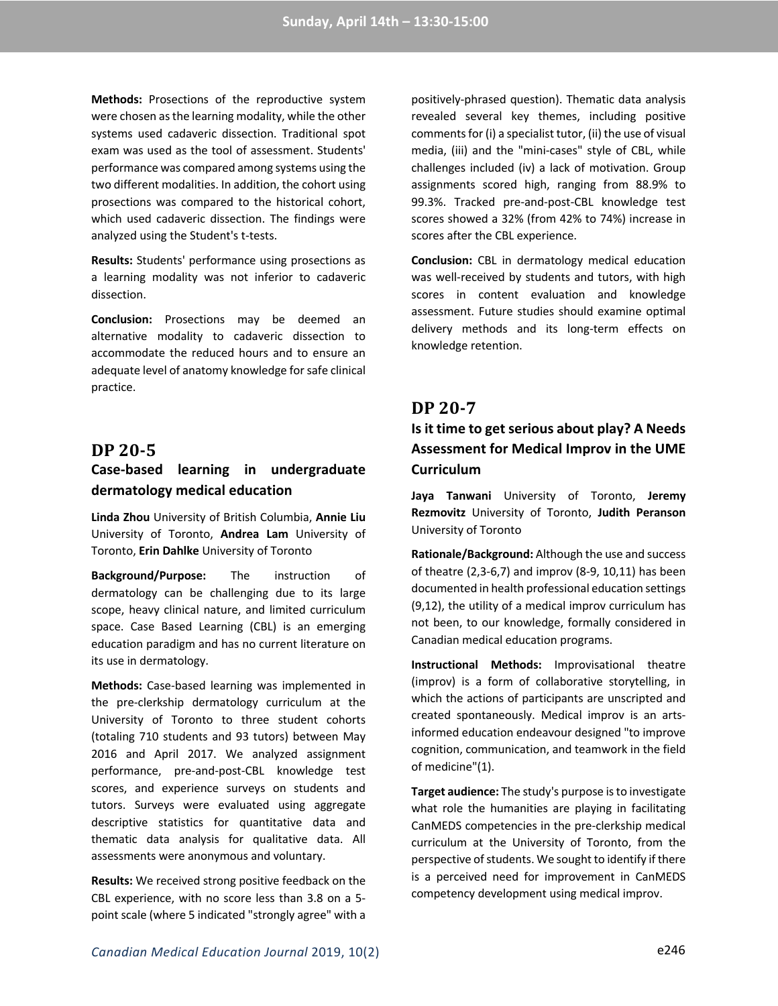**Methods:** Prosections of the reproductive system were chosen as the learning modality, while the other systems used cadaveric dissection. Traditional spot exam was used as the tool of assessment. Students' performance was compared among systems using the two different modalities. In addition, the cohort using prosections was compared to the historical cohort, which used cadaveric dissection. The findings were analyzed using the Student's t-tests.

**Results:** Students' performance using prosections as a learning modality was not inferior to cadaveric dissection.

**Conclusion:** Prosections may be deemed an alternative modality to cadaveric dissection to accommodate the reduced hours and to ensure an adequate level of anatomy knowledge for safe clinical practice.

#### **DP 20-5**

## **Case-based learning in undergraduate dermatology medical education**

**Linda Zhou** University of British Columbia, **Annie Liu** University of Toronto, **Andrea Lam** University of Toronto, **Erin Dahlke** University of Toronto

**Background/Purpose:** The instruction of dermatology can be challenging due to its large scope, heavy clinical nature, and limited curriculum space. Case Based Learning (CBL) is an emerging education paradigm and has no current literature on its use in dermatology.

**Methods:** Case-based learning was implemented in the pre-clerkship dermatology curriculum at the University of Toronto to three student cohorts (totaling 710 students and 93 tutors) between May 2016 and April 2017. We analyzed assignment performance, pre-and-post-CBL knowledge test scores, and experience surveys on students and tutors. Surveys were evaluated using aggregate descriptive statistics for quantitative data and thematic data analysis for qualitative data. All assessments were anonymous and voluntary.

**Results:** We received strong positive feedback on the CBL experience, with no score less than 3.8 on a 5 point scale (where 5 indicated "strongly agree" with a

positively-phrased question). Thematic data analysis revealed several key themes, including positive comments for (i) a specialist tutor, (ii) the use of visual media, (iii) and the "mini-cases" style of CBL, while challenges included (iv) a lack of motivation. Group assignments scored high, ranging from 88.9% to 99.3%. Tracked pre-and-post-CBL knowledge test scores showed a 32% (from 42% to 74%) increase in scores after the CBL experience.

**Conclusion:** CBL in dermatology medical education was well-received by students and tutors, with high scores in content evaluation and knowledge assessment. Future studies should examine optimal delivery methods and its long-term effects on knowledge retention.

### **DP 20-7**

## **Is it time to get serious about play? A Needs Assessment for Medical Improv in the UME Curriculum**

**Jaya Tanwani** University of Toronto, **Jeremy Rezmovitz** University of Toronto, **Judith Peranson** University of Toronto

**Rationale/Background:** Although the use and success of theatre (2,3-6,7) and improv (8-9, 10,11) has been documented in health professional education settings (9,12), the utility of a medical improv curriculum has not been, to our knowledge, formally considered in Canadian medical education programs.

**Instructional Methods:** Improvisational theatre (improv) is a form of collaborative storytelling, in which the actions of participants are unscripted and created spontaneously. Medical improv is an artsinformed education endeavour designed "to improve cognition, communication, and teamwork in the field of medicine"(1).

**Target audience:** The study's purpose is to investigate what role the humanities are playing in facilitating CanMEDS competencies in the pre-clerkship medical curriculum at the University of Toronto, from the perspective of students. We sought to identify if there is a perceived need for improvement in CanMEDS competency development using medical improv.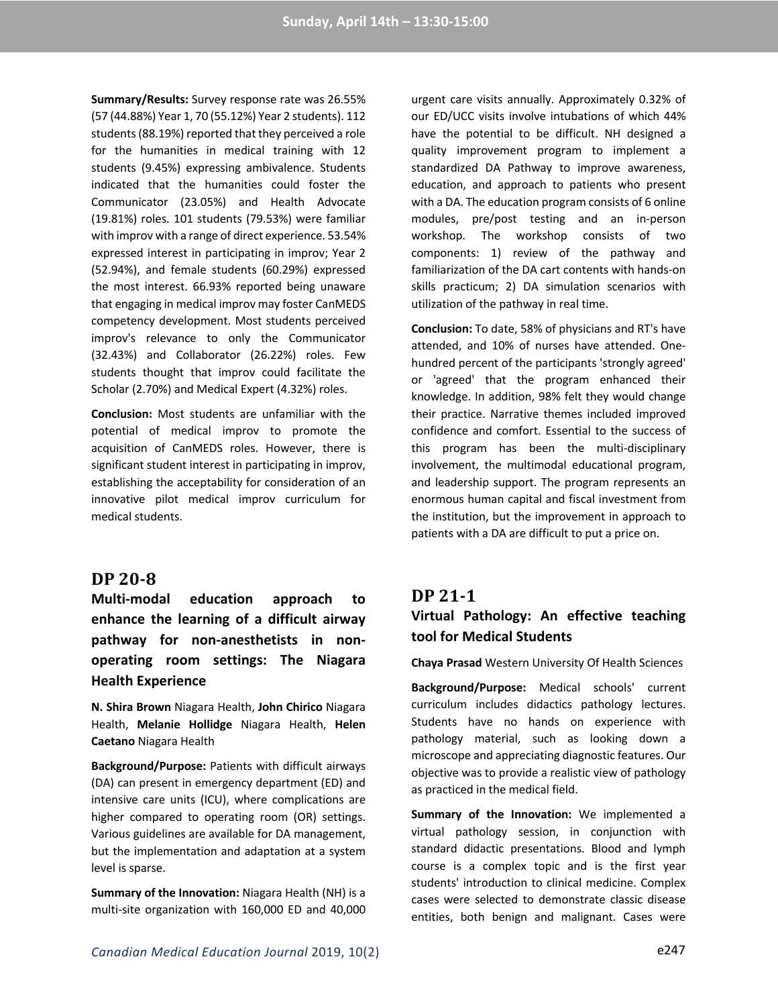**Summary/Results:** Survey response rate was 26.55% (57 (44.88%) Year 1, 70 (55.12%) Year 2 students). 112 students(88.19%) reported that they perceived a role for the humanities in medical training with 12 students (9.45%) expressing ambivalence. Students indicated that the humanities could foster the Communicator (23.05%) and Health Advocate (19.81%) roles. 101 students (79.53%) were familiar with improv with a range of direct experience. 53.54% expressed interest in participating in improv; Year 2 (52.94%), and female students (60.29%) expressed the most interest. 66.93% reported being unaware that engaging in medical improv may foster CanMEDS competency development. Most students perceived improv's relevance to only the Communicator (32.43%) and Collaborator (26.22%) roles. Few students thought that improv could facilitate the Scholar (2.70%) and Medical Expert (4.32%) roles.

**Conclusion:** Most students are unfamiliar with the potential of medical improv to promote the acquisition of CanMEDS roles. However, there is significant student interest in participating in improv, establishing the acceptability for consideration of an innovative pilot medical improv curriculum for medical students.

#### **DP 20-8**

**Multi-modal education approach to enhance the learning of a difficult airway pathway for non-anesthetists in nonoperating room settings: The Niagara Health Experience**

**N. Shira Brown** Niagara Health, **John Chirico** Niagara Health, **Melanie Hollidge** Niagara Health, **Helen Caetano** Niagara Health

**Background/Purpose:** Patients with difficult airways (DA) can present in emergency department (ED) and intensive care units (ICU), where complications are higher compared to operating room (OR) settings. Various guidelines are available for DA management, but the implementation and adaptation at a system level is sparse.

**Summary of the Innovation:** Niagara Health (NH) is a multi-site organization with 160,000 ED and 40,000 urgent care visits annually. Approximately 0.32% of our ED/UCC visits involve intubations of which 44% have the potential to be difficult. NH designed a quality improvement program to implement a standardized DA Pathway to improve awareness, education, and approach to patients who present with a DA. The education program consists of 6 online modules, pre/post testing and an in-person workshop. The workshop consists of two components: 1) review of the pathway and familiarization of the DA cart contents with hands-on skills practicum; 2) DA simulation scenarios with utilization of the pathway in real time.

**Conclusion:** To date, 58% of physicians and RT's have attended, and 10% of nurses have attended. Onehundred percent of the participants 'strongly agreed' or 'agreed' that the program enhanced their knowledge. In addition, 98% felt they would change their practice. Narrative themes included improved confidence and comfort. Essential to the success of this program has been the multi-disciplinary involvement, the multimodal educational program, and leadership support. The program represents an enormous human capital and fiscal investment from the institution, but the improvement in approach to patients with a DA are difficult to put a price on.

#### **DP 21-1**

## **Virtual Pathology: An effective teaching tool for Medical Students**

**Chaya Prasad** Western University Of Health Sciences

**Background/Purpose:** Medical schools' current curriculum includes didactics pathology lectures. Students have no hands on experience with pathology material, such as looking down a microscope and appreciating diagnostic features. Our objective was to provide a realistic view of pathology as practiced in the medical field.

**Summary of the Innovation:** We implemented a virtual pathology session, in conjunction with standard didactic presentations. Blood and lymph course is a complex topic and is the first year students' introduction to clinical medicine. Complex cases were selected to demonstrate classic disease entities, both benign and malignant. Cases were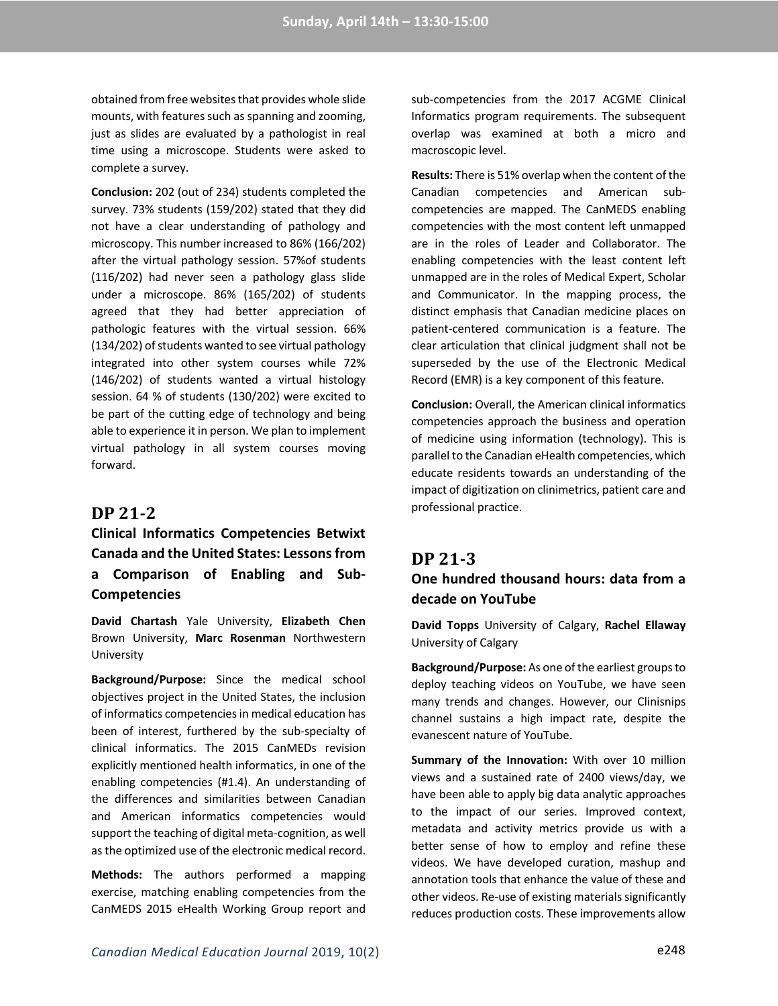obtained from free websites that provides whole slide mounts, with features such as spanning and zooming, just as slides are evaluated by a pathologist in real time using a microscope. Students were asked to complete a survey.

**Conclusion:** 202 (out of 234) students completed the survey. 73% students (159/202) stated that they did not have a clear understanding of pathology and microscopy. This number increased to 86% (166/202) after the virtual pathology session. 57%of students (116/202) had never seen a pathology glass slide under a microscope. 86% (165/202) of students agreed that they had better appreciation of pathologic features with the virtual session. 66% (134/202) of students wanted to see virtual pathology integrated into other system courses while 72% (146/202) of students wanted a virtual histology session. 64 % of students (130/202) were excited to be part of the cutting edge of technology and being able to experience it in person. We plan to implement virtual pathology in all system courses moving forward.

#### **DP 21-2**

# **Clinical Informatics Competencies Betwixt Canada and the United States: Lessons from a Comparison of Enabling and Sub-Competencies**

**David Chartash** Yale University, **Elizabeth Chen** Brown University, **Marc Rosenman** Northwestern University

**Background/Purpose:** Since the medical school objectives project in the United States, the inclusion of informatics competencies in medical education has been of interest, furthered by the sub-specialty of clinical informatics. The 2015 CanMEDs revision explicitly mentioned health informatics, in one of the enabling competencies (#1.4). An understanding of the differences and similarities between Canadian and American informatics competencies would support the teaching of digital meta-cognition, as well as the optimized use of the electronic medical record.

**Methods:** The authors performed a mapping exercise, matching enabling competencies from the CanMEDS 2015 eHealth Working Group report and

sub-competencies from the 2017 ACGME Clinical Informatics program requirements. The subsequent overlap was examined at both a micro and macroscopic level.

**Results:** There is 51% overlap when the content of the Canadian competencies and American subcompetencies are mapped. The CanMEDS enabling competencies with the most content left unmapped are in the roles of Leader and Collaborator. The enabling competencies with the least content left unmapped are in the roles of Medical Expert, Scholar and Communicator. In the mapping process, the distinct emphasis that Canadian medicine places on patient-centered communication is a feature. The clear articulation that clinical judgment shall not be superseded by the use of the Electronic Medical Record (EMR) is a key component of this feature.

**Conclusion:** Overall, the American clinical informatics competencies approach the business and operation of medicine using information (technology). This is parallel to the Canadian eHealth competencies, which educate residents towards an understanding of the impact of digitization on clinimetrics, patient care and professional practice.

#### **DP 21-3**

## **One hundred thousand hours: data from a decade on YouTube**

**David Topps** University of Calgary, **Rachel Ellaway** University of Calgary

**Background/Purpose:** As one of the earliest groups to deploy teaching videos on YouTube, we have seen many trends and changes. However, our Clinisnips channel sustains a high impact rate, despite the evanescent nature of YouTube.

**Summary of the Innovation:** With over 10 million views and a sustained rate of 2400 views/day, we have been able to apply big data analytic approaches to the impact of our series. Improved context, metadata and activity metrics provide us with a better sense of how to employ and refine these videos. We have developed curation, mashup and annotation tools that enhance the value of these and other videos. Re-use of existing materials significantly reduces production costs. These improvements allow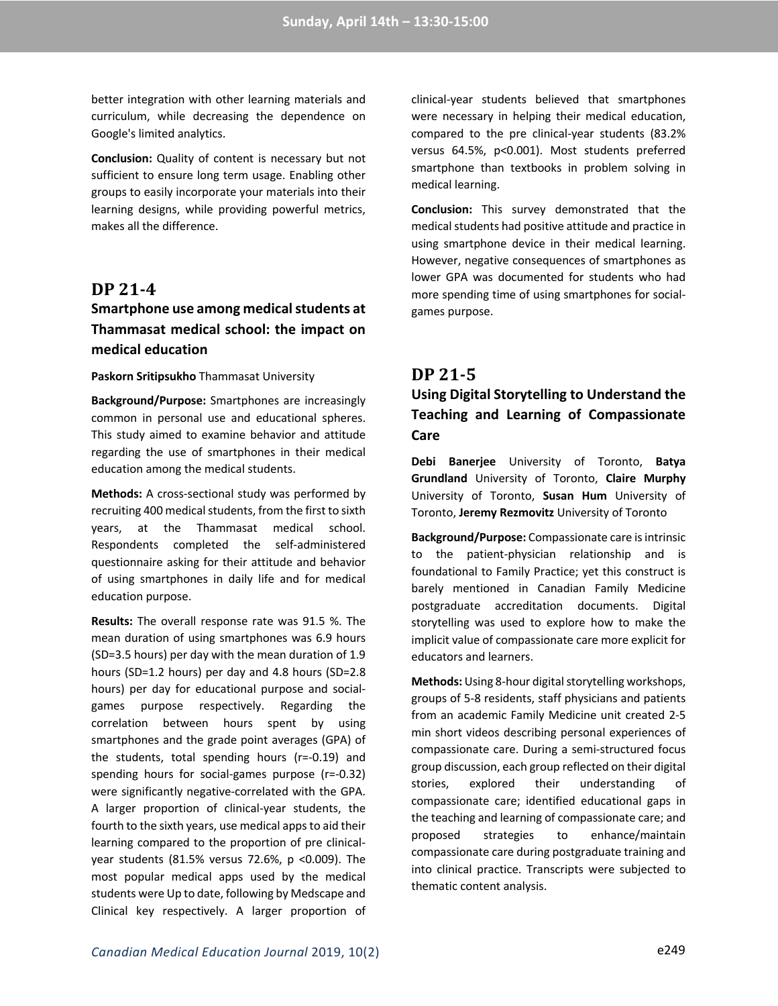better integration with other learning materials and curriculum, while decreasing the dependence on Google's limited analytics.

**Conclusion:** Quality of content is necessary but not sufficient to ensure long term usage. Enabling other groups to easily incorporate your materials into their learning designs, while providing powerful metrics, makes all the difference.

### **DP 21-4**

## **Smartphone use among medical students at Thammasat medical school: the impact on medical education**

#### **Paskorn Sritipsukho** Thammasat University

**Background/Purpose:** Smartphones are increasingly common in personal use and educational spheres. This study aimed to examine behavior and attitude regarding the use of smartphones in their medical education among the medical students.

**Methods:** A cross-sectional study was performed by recruiting 400 medical students, from the first to sixth years, at the Thammasat medical school. Respondents completed the self-administered questionnaire asking for their attitude and behavior of using smartphones in daily life and for medical education purpose.

**Results:** The overall response rate was 91.5 %. The mean duration of using smartphones was 6.9 hours (SD=3.5 hours) per day with the mean duration of 1.9 hours (SD=1.2 hours) per day and 4.8 hours (SD=2.8 hours) per day for educational purpose and socialgames purpose respectively. Regarding the correlation between hours spent by using smartphones and the grade point averages (GPA) of the students, total spending hours (r=-0.19) and spending hours for social-games purpose (r=-0.32) were significantly negative-correlated with the GPA. A larger proportion of clinical-year students, the fourth to the sixth years, use medical apps to aid their learning compared to the proportion of pre clinicalyear students (81.5% versus 72.6%, p <0.009). The most popular medical apps used by the medical students were Up to date, following by Medscape and Clinical key respectively. A larger proportion of

clinical-year students believed that smartphones were necessary in helping their medical education, compared to the pre clinical-year students (83.2% versus 64.5%, p<0.001). Most students preferred smartphone than textbooks in problem solving in medical learning.

**Conclusion:** This survey demonstrated that the medical students had positive attitude and practice in using smartphone device in their medical learning. However, negative consequences of smartphones as lower GPA was documented for students who had more spending time of using smartphones for socialgames purpose.

### **DP 21-5**

## **Using Digital Storytelling to Understand the Teaching and Learning of Compassionate Care**

**Debi Banerjee** University of Toronto, **Batya Grundland** University of Toronto, **Claire Murphy** University of Toronto, **Susan Hum** University of Toronto, **Jeremy Rezmovitz** University of Toronto

**Background/Purpose:** Compassionate care is intrinsic to the patient-physician relationship and is foundational to Family Practice; yet this construct is barely mentioned in Canadian Family Medicine postgraduate accreditation documents. Digital storytelling was used to explore how to make the implicit value of compassionate care more explicit for educators and learners.

**Methods:** Using 8-hour digital storytelling workshops, groups of 5-8 residents, staff physicians and patients from an academic Family Medicine unit created 2-5 min short videos describing personal experiences of compassionate care. During a semi-structured focus group discussion, each group reflected on their digital stories, explored their understanding of compassionate care; identified educational gaps in the teaching and learning of compassionate care; and proposed strategies to enhance/maintain compassionate care during postgraduate training and into clinical practice. Transcripts were subjected to thematic content analysis.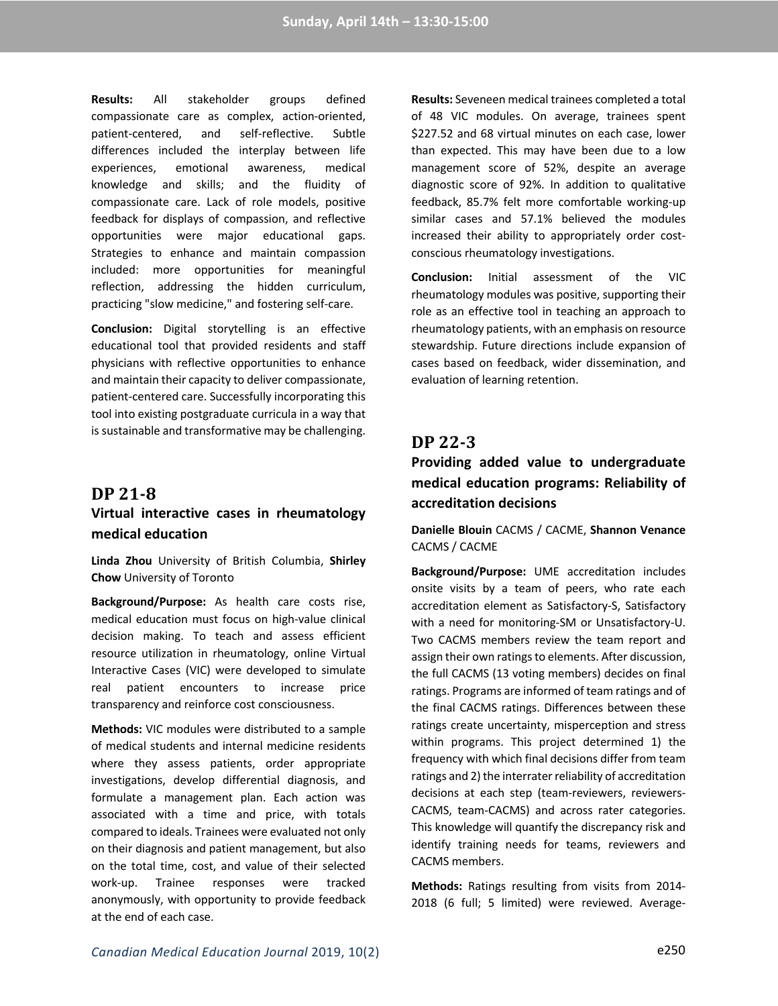**Results:** All stakeholder groups defined compassionate care as complex, action-oriented, patient-centered, and self-reflective. Subtle differences included the interplay between life experiences, emotional awareness, medical knowledge and skills; and the fluidity of compassionate care. Lack of role models, positive feedback for displays of compassion, and reflective opportunities were major educational gaps. Strategies to enhance and maintain compassion included: more opportunities for meaningful reflection, addressing the hidden curriculum, practicing "slow medicine," and fostering self-care.

**Conclusion:** Digital storytelling is an effective educational tool that provided residents and staff physicians with reflective opportunities to enhance and maintain their capacity to deliver compassionate, patient-centered care. Successfully incorporating this tool into existing postgraduate curricula in a way that is sustainable and transformative may be challenging.

### **DP 21-8**

## **Virtual interactive cases in rheumatology medical education**

**Linda Zhou** University of British Columbia, **Shirley Chow** University of Toronto

**Background/Purpose:** As health care costs rise, medical education must focus on high-value clinical decision making. To teach and assess efficient resource utilization in rheumatology, online Virtual Interactive Cases (VIC) were developed to simulate real patient encounters to increase price transparency and reinforce cost consciousness.

**Methods:** VIC modules were distributed to a sample of medical students and internal medicine residents where they assess patients, order appropriate investigations, develop differential diagnosis, and formulate a management plan. Each action was associated with a time and price, with totals compared to ideals. Trainees were evaluated not only on their diagnosis and patient management, but also on the total time, cost, and value of their selected work-up. Trainee responses were tracked anonymously, with opportunity to provide feedback at the end of each case.

**Results:** Seveneen medical trainees completed a total of 48 VIC modules. On average, trainees spent \$227.52 and 68 virtual minutes on each case, lower than expected. This may have been due to a low management score of 52%, despite an average diagnostic score of 92%. In addition to qualitative feedback, 85.7% felt more comfortable working-up similar cases and 57.1% believed the modules increased their ability to appropriately order costconscious rheumatology investigations.

**Conclusion:** Initial assessment of the VIC rheumatology modules was positive, supporting their role as an effective tool in teaching an approach to rheumatology patients, with an emphasis on resource stewardship. Future directions include expansion of cases based on feedback, wider dissemination, and evaluation of learning retention.

## **DP 22-3**

## **Providing added value to undergraduate medical education programs: Reliability of accreditation decisions**

**Danielle Blouin** CACMS / CACME, **Shannon Venance** CACMS / CACME

**Background/Purpose:** UME accreditation includes onsite visits by a team of peers, who rate each accreditation element as Satisfactory-S, Satisfactory with a need for monitoring-SM or Unsatisfactory-U. Two CACMS members review the team report and assign their own ratings to elements. After discussion, the full CACMS (13 voting members) decides on final ratings. Programs are informed of team ratings and of the final CACMS ratings. Differences between these ratings create uncertainty, misperception and stress within programs. This project determined 1) the frequency with which final decisions differ from team ratings and 2) the interrater reliability of accreditation decisions at each step (team-reviewers, reviewers-CACMS, team-CACMS) and across rater categories. This knowledge will quantify the discrepancy risk and identify training needs for teams, reviewers and CACMS members.

**Methods:** Ratings resulting from visits from 2014- 2018 (6 full; 5 limited) were reviewed. Average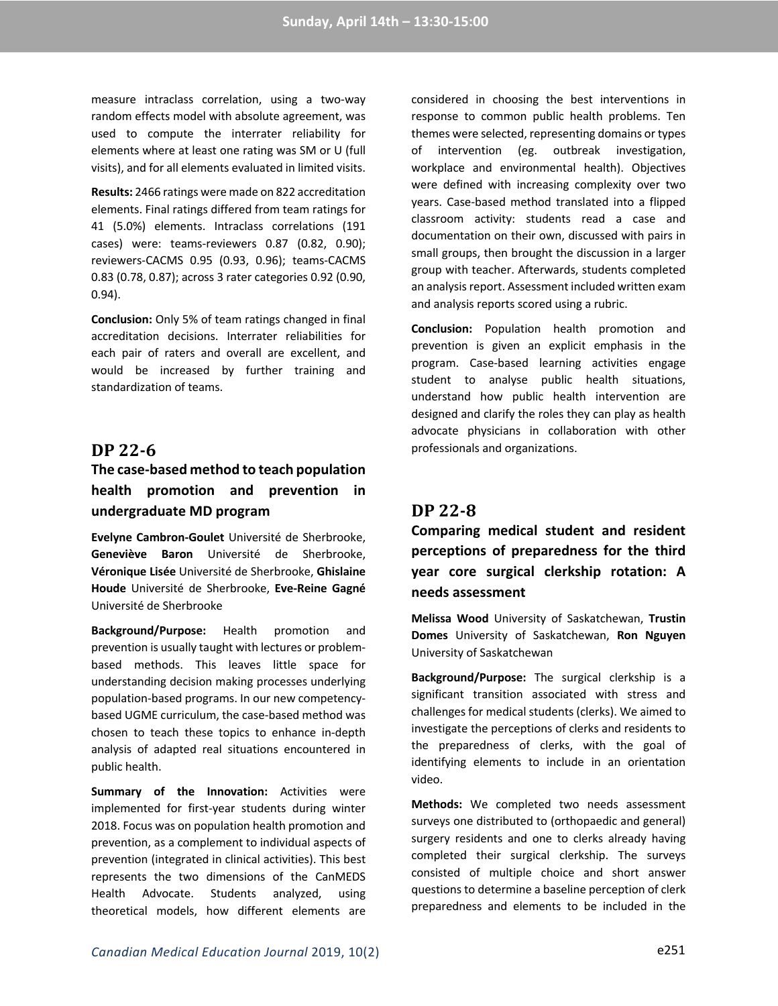measure intraclass correlation, using a two-way random effects model with absolute agreement, was used to compute the interrater reliability for elements where at least one rating was SM or U (full visits), and for all elements evaluated in limited visits.

**Results:** 2466 ratings were made on 822 accreditation elements. Final ratings differed from team ratings for 41 (5.0%) elements. Intraclass correlations (191 cases) were: teams-reviewers 0.87 (0.82, 0.90); reviewers-CACMS 0.95 (0.93, 0.96); teams-CACMS 0.83 (0.78, 0.87); across 3 rater categories 0.92 (0.90, 0.94).

**Conclusion:** Only 5% of team ratings changed in final accreditation decisions. Interrater reliabilities for each pair of raters and overall are excellent, and would be increased by further training and standardization of teams.

### **DP 22-6**

## **The case-based method to teach population health promotion and prevention in undergraduate MD program**

**Evelyne Cambron-Goulet** Université de Sherbrooke, **Geneviève Baron** Université de Sherbrooke, **Véronique Lisée** Université de Sherbrooke, **Ghislaine Houde** Université de Sherbrooke, **Eve-Reine Gagné** Université de Sherbrooke

**Background/Purpose:** Health promotion and prevention is usually taught with lectures or problembased methods. This leaves little space for understanding decision making processes underlying population-based programs. In our new competencybased UGME curriculum, the case-based method was chosen to teach these topics to enhance in-depth analysis of adapted real situations encountered in public health.

**Summary of the Innovation:** Activities were implemented for first-year students during winter 2018. Focus was on population health promotion and prevention, as a complement to individual aspects of prevention (integrated in clinical activities). This best represents the two dimensions of the CanMEDS Health Advocate. Students analyzed, using theoretical models, how different elements are

considered in choosing the best interventions in response to common public health problems. Ten themes were selected, representing domains or types of intervention (eg. outbreak investigation, workplace and environmental health). Objectives were defined with increasing complexity over two years. Case-based method translated into a flipped classroom activity: students read a case and documentation on their own, discussed with pairs in small groups, then brought the discussion in a larger group with teacher. Afterwards, students completed an analysis report. Assessment included written exam and analysis reports scored using a rubric.

**Conclusion:** Population health promotion and prevention is given an explicit emphasis in the program. Case-based learning activities engage student to analyse public health situations, understand how public health intervention are designed and clarify the roles they can play as health advocate physicians in collaboration with other professionals and organizations.

### **DP 22-8**

**Comparing medical student and resident perceptions of preparedness for the third year core surgical clerkship rotation: A needs assessment**

**Melissa Wood** University of Saskatchewan, **Trustin Domes** University of Saskatchewan, **Ron Nguyen** University of Saskatchewan

**Background/Purpose:** The surgical clerkship is a significant transition associated with stress and challenges for medical students (clerks). We aimed to investigate the perceptions of clerks and residents to the preparedness of clerks, with the goal of identifying elements to include in an orientation video.

**Methods:** We completed two needs assessment surveys one distributed to (orthopaedic and general) surgery residents and one to clerks already having completed their surgical clerkship. The surveys consisted of multiple choice and short answer questions to determine a baseline perception of clerk preparedness and elements to be included in the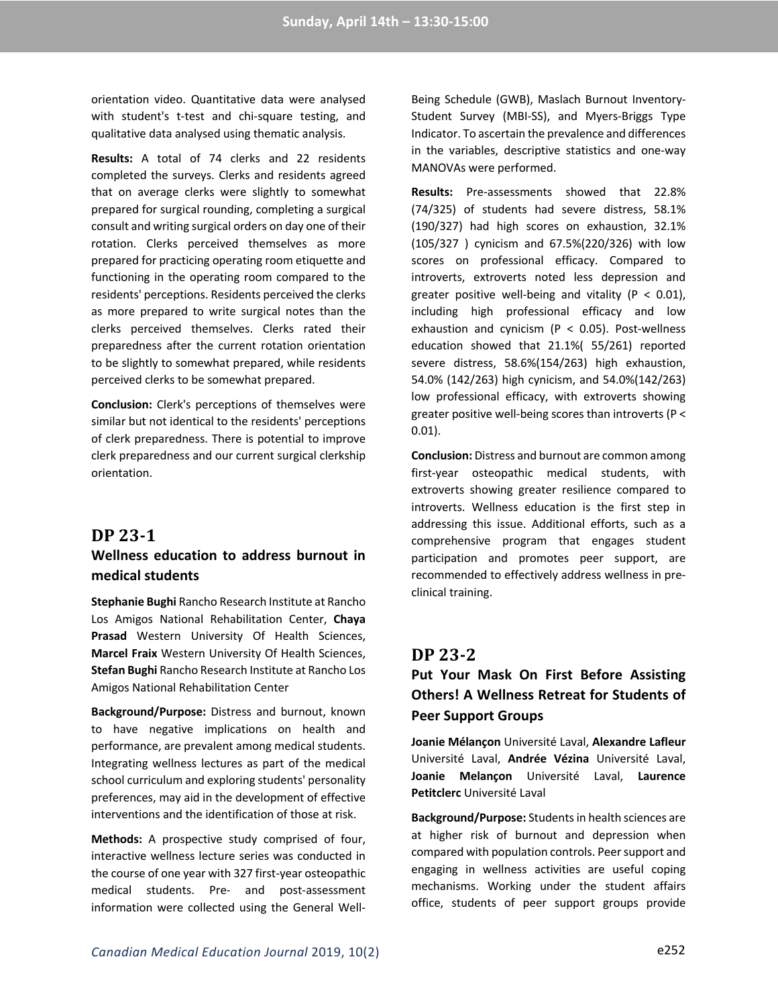orientation video. Quantitative data were analysed with student's t-test and chi-square testing, and qualitative data analysed using thematic analysis.

**Results:** A total of 74 clerks and 22 residents completed the surveys. Clerks and residents agreed that on average clerks were slightly to somewhat prepared for surgical rounding, completing a surgical consult and writing surgical orders on day one of their rotation. Clerks perceived themselves as more prepared for practicing operating room etiquette and functioning in the operating room compared to the residents' perceptions. Residents perceived the clerks as more prepared to write surgical notes than the clerks perceived themselves. Clerks rated their preparedness after the current rotation orientation to be slightly to somewhat prepared, while residents perceived clerks to be somewhat prepared.

**Conclusion:** Clerk's perceptions of themselves were similar but not identical to the residents' perceptions of clerk preparedness. There is potential to improve clerk preparedness and our current surgical clerkship orientation.

### **DP 23-1**

## **Wellness education to address burnout in medical students**

**Stephanie Bughi** Rancho Research Institute at Rancho Los Amigos National Rehabilitation Center, **Chaya Prasad** Western University Of Health Sciences, **Marcel Fraix** Western University Of Health Sciences, **Stefan Bughi** Rancho Research Institute at Rancho Los Amigos National Rehabilitation Center

**Background/Purpose:** Distress and burnout, known to have negative implications on health and performance, are prevalent among medical students. Integrating wellness lectures as part of the medical school curriculum and exploring students' personality preferences, may aid in the development of effective interventions and the identification of those at risk.

**Methods:** A prospective study comprised of four, interactive wellness lecture series was conducted in the course of one year with 327 first-year osteopathic medical students. Pre- and post-assessment information were collected using the General Well-

Being Schedule (GWB), Maslach Burnout Inventory-Student Survey (MBI-SS), and Myers-Briggs Type Indicator. To ascertain the prevalence and differences in the variables, descriptive statistics and one-way MANOVAs were performed.

**Results:** Pre-assessments showed that 22.8% (74/325) of students had severe distress, 58.1% (190/327) had high scores on exhaustion, 32.1% (105/327 ) cynicism and 67.5%(220/326) with low scores on professional efficacy. Compared to introverts, extroverts noted less depression and greater positive well-being and vitality ( $P < 0.01$ ), including high professional efficacy and low exhaustion and cynicism ( $P < 0.05$ ). Post-wellness education showed that 21.1%( 55/261) reported severe distress, 58.6%(154/263) high exhaustion, 54.0% (142/263) high cynicism, and 54.0%(142/263) low professional efficacy, with extroverts showing greater positive well-being scores than introverts (P < 0.01).

**Conclusion:** Distress and burnout are common among first-year osteopathic medical students, with extroverts showing greater resilience compared to introverts. Wellness education is the first step in addressing this issue. Additional efforts, such as a comprehensive program that engages student participation and promotes peer support, are recommended to effectively address wellness in preclinical training.

## **DP 23-2**

## **Put Your Mask On First Before Assisting Others! A Wellness Retreat for Students of Peer Support Groups**

**Joanie Mélançon** Université Laval, **Alexandre Lafleur** Université Laval, **Andrée Vézina** Université Laval, **Joanie Melançon** Université Laval, **Laurence Petitclerc** Université Laval

**Background/Purpose:** Students in health sciences are at higher risk of burnout and depression when compared with population controls. Peer support and engaging in wellness activities are useful coping mechanisms. Working under the student affairs office, students of peer support groups provide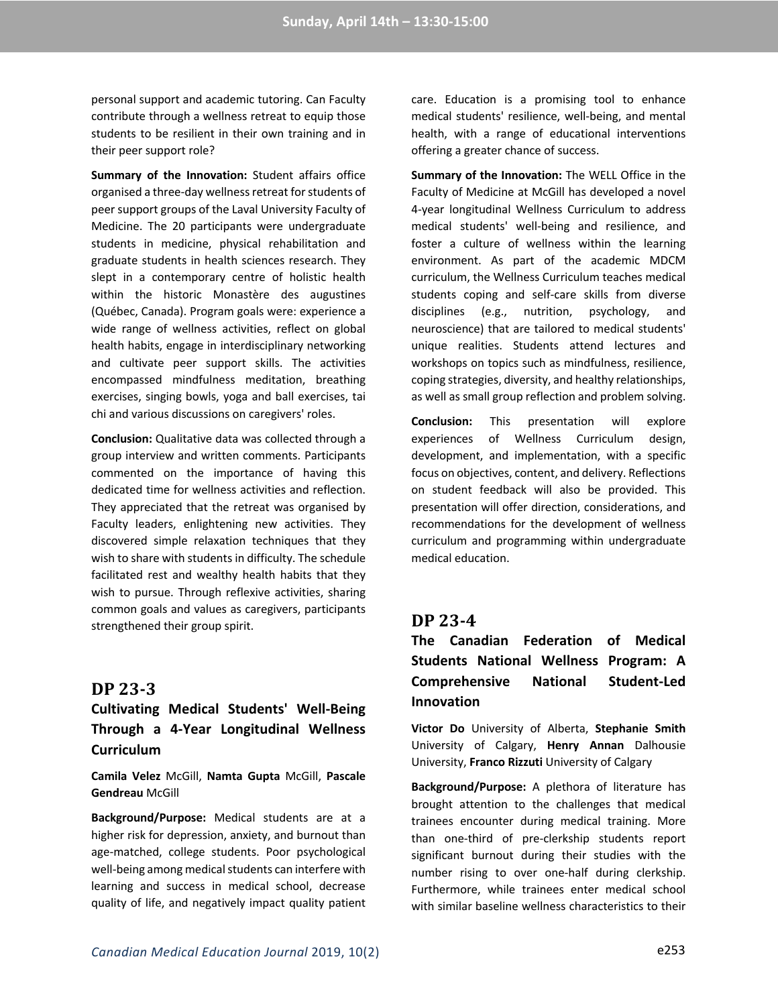personal support and academic tutoring. Can Faculty contribute through a wellness retreat to equip those students to be resilient in their own training and in their peer support role?

**Summary of the Innovation:** Student affairs office organised a three-day wellness retreat for students of peer support groups of the Laval University Faculty of Medicine. The 20 participants were undergraduate students in medicine, physical rehabilitation and graduate students in health sciences research. They slept in a contemporary centre of holistic health within the historic Monastère des augustines (Québec, Canada). Program goals were: experience a wide range of wellness activities, reflect on global health habits, engage in interdisciplinary networking and cultivate peer support skills. The activities encompassed mindfulness meditation, breathing exercises, singing bowls, yoga and ball exercises, tai chi and various discussions on caregivers' roles.

**Conclusion:** Qualitative data was collected through a group interview and written comments. Participants commented on the importance of having this dedicated time for wellness activities and reflection. They appreciated that the retreat was organised by Faculty leaders, enlightening new activities. They discovered simple relaxation techniques that they wish to share with students in difficulty. The schedule facilitated rest and wealthy health habits that they wish to pursue. Through reflexive activities, sharing common goals and values as caregivers, participants strengthened their group spirit.

#### **DP 23-3**

## **Cultivating Medical Students' Well-Being Through a 4-Year Longitudinal Wellness Curriculum**

**Camila Velez** McGill, **Namta Gupta** McGill, **Pascale Gendreau** McGill

**Background/Purpose:** Medical students are at a higher risk for depression, anxiety, and burnout than age-matched, college students. Poor psychological well-being among medical students can interfere with learning and success in medical school, decrease quality of life, and negatively impact quality patient

care. Education is a promising tool to enhance medical students' resilience, well-being, and mental health, with a range of educational interventions offering a greater chance of success.

**Summary of the Innovation:** The WELL Office in the Faculty of Medicine at McGill has developed a novel 4-year longitudinal Wellness Curriculum to address medical students' well-being and resilience, and foster a culture of wellness within the learning environment. As part of the academic MDCM curriculum, the Wellness Curriculum teaches medical students coping and self-care skills from diverse disciplines (e.g., nutrition, psychology, and neuroscience) that are tailored to medical students' unique realities. Students attend lectures and workshops on topics such as mindfulness, resilience, coping strategies, diversity, and healthy relationships, as well as small group reflection and problem solving.

**Conclusion:** This presentation will explore experiences of Wellness Curriculum design, development, and implementation, with a specific focus on objectives, content, and delivery. Reflections on student feedback will also be provided. This presentation will offer direction, considerations, and recommendations for the development of wellness curriculum and programming within undergraduate medical education.

#### **DP 23-4**

**The Canadian Federation of Medical Students National Wellness Program: A Comprehensive National Student-Led Innovation**

**Victor Do** University of Alberta, **Stephanie Smith** University of Calgary, **Henry Annan** Dalhousie University, **Franco Rizzuti** University of Calgary

**Background/Purpose:** A plethora of literature has brought attention to the challenges that medical trainees encounter during medical training. More than one-third of pre-clerkship students report significant burnout during their studies with the number rising to over one-half during clerkship. Furthermore, while trainees enter medical school with similar baseline wellness characteristics to their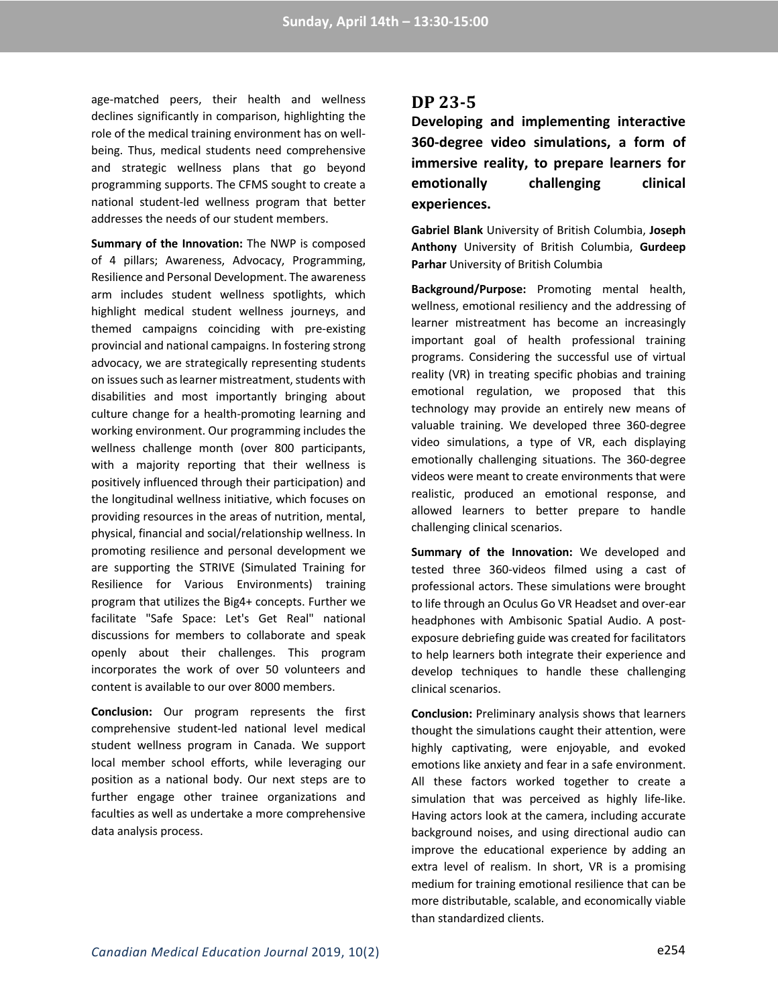age-matched peers, their health and wellness declines significantly in comparison, highlighting the role of the medical training environment has on wellbeing. Thus, medical students need comprehensive and strategic wellness plans that go beyond programming supports. The CFMS sought to create a national student-led wellness program that better addresses the needs of our student members.

**Summary of the Innovation:** The NWP is composed of 4 pillars; Awareness, Advocacy, Programming, Resilience and Personal Development. The awareness arm includes student wellness spotlights, which highlight medical student wellness journeys, and themed campaigns coinciding with pre-existing provincial and national campaigns. In fostering strong advocacy, we are strategically representing students on issues such as learner mistreatment, students with disabilities and most importantly bringing about culture change for a health-promoting learning and working environment. Our programming includes the wellness challenge month (over 800 participants, with a majority reporting that their wellness is positively influenced through their participation) and the longitudinal wellness initiative, which focuses on providing resources in the areas of nutrition, mental, physical, financial and social/relationship wellness. In promoting resilience and personal development we are supporting the STRIVE (Simulated Training for Resilience for Various Environments) training program that utilizes the Big4+ concepts. Further we facilitate "Safe Space: Let's Get Real" national discussions for members to collaborate and speak openly about their challenges. This program incorporates the work of over 50 volunteers and content is available to our over 8000 members.

**Conclusion:** Our program represents the first comprehensive student-led national level medical student wellness program in Canada. We support local member school efforts, while leveraging our position as a national body. Our next steps are to further engage other trainee organizations and faculties as well as undertake a more comprehensive data analysis process.

## **DP 23-5**

**Developing and implementing interactive 360-degree video simulations, a form of immersive reality, to prepare learners for emotionally challenging clinical experiences.**

**Gabriel Blank** University of British Columbia, **Joseph Anthony** University of British Columbia, **Gurdeep Parhar** University of British Columbia

**Background/Purpose:** Promoting mental health, wellness, emotional resiliency and the addressing of learner mistreatment has become an increasingly important goal of health professional training programs. Considering the successful use of virtual reality (VR) in treating specific phobias and training emotional regulation, we proposed that this technology may provide an entirely new means of valuable training. We developed three 360-degree video simulations, a type of VR, each displaying emotionally challenging situations. The 360-degree videos were meant to create environments that were realistic, produced an emotional response, and allowed learners to better prepare to handle challenging clinical scenarios.

**Summary of the Innovation:** We developed and tested three 360-videos filmed using a cast of professional actors. These simulations were brought to life through an Oculus Go VR Headset and over-ear headphones with Ambisonic Spatial Audio. A postexposure debriefing guide was created for facilitators to help learners both integrate their experience and develop techniques to handle these challenging clinical scenarios.

**Conclusion:** Preliminary analysis shows that learners thought the simulations caught their attention, were highly captivating, were enjoyable, and evoked emotions like anxiety and fear in a safe environment. All these factors worked together to create a simulation that was perceived as highly life-like. Having actors look at the camera, including accurate background noises, and using directional audio can improve the educational experience by adding an extra level of realism. In short, VR is a promising medium for training emotional resilience that can be more distributable, scalable, and economically viable than standardized clients.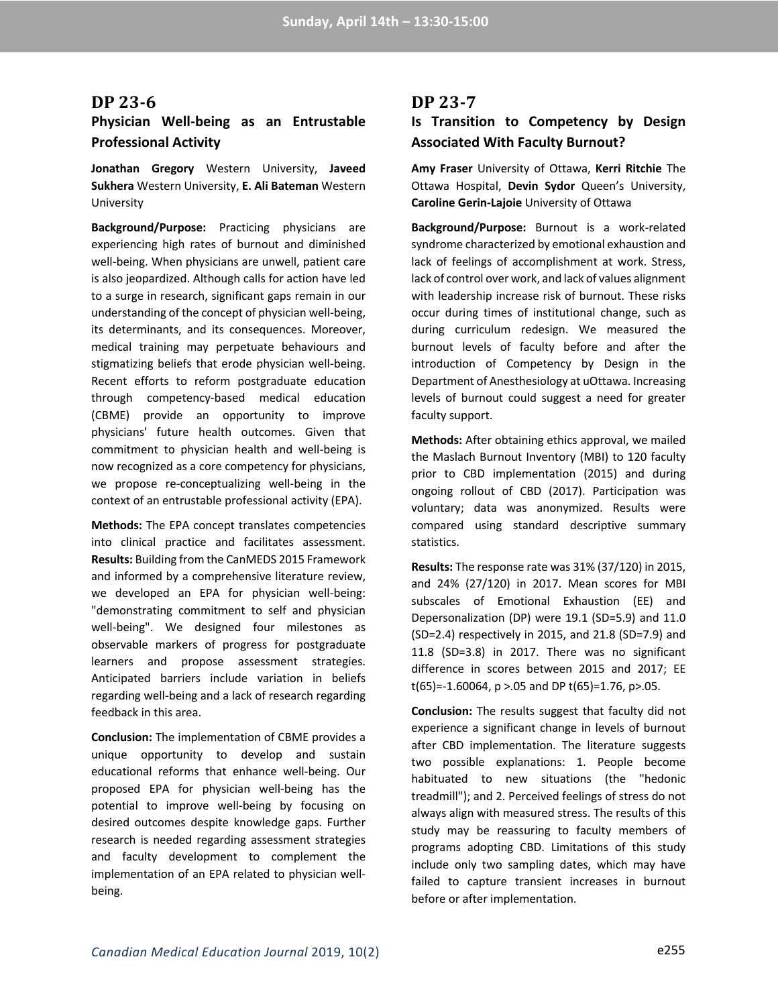#### **DP 23-6**

## **Physician Well-being as an Entrustable Professional Activity**

**Jonathan Gregory** Western University, **Javeed Sukhera** Western University, **E. Ali Bateman** Western University

**Background/Purpose:** Practicing physicians are experiencing high rates of burnout and diminished well-being. When physicians are unwell, patient care is also jeopardized. Although calls for action have led to a surge in research, significant gaps remain in our understanding of the concept of physician well-being, its determinants, and its consequences. Moreover, medical training may perpetuate behaviours and stigmatizing beliefs that erode physician well-being. Recent efforts to reform postgraduate education through competency-based medical education (CBME) provide an opportunity to improve physicians' future health outcomes. Given that commitment to physician health and well-being is now recognized as a core competency for physicians, we propose re-conceptualizing well-being in the context of an entrustable professional activity (EPA).

**Methods:** The EPA concept translates competencies into clinical practice and facilitates assessment. **Results:** Building from the CanMEDS 2015 Framework and informed by a comprehensive literature review, we developed an EPA for physician well-being: "demonstrating commitment to self and physician well-being". We designed four milestones as observable markers of progress for postgraduate learners and propose assessment strategies. Anticipated barriers include variation in beliefs regarding well-being and a lack of research regarding feedback in this area.

**Conclusion:** The implementation of CBME provides a unique opportunity to develop and sustain educational reforms that enhance well-being. Our proposed EPA for physician well-being has the potential to improve well-being by focusing on desired outcomes despite knowledge gaps. Further research is needed regarding assessment strategies and faculty development to complement the implementation of an EPA related to physician wellbeing.

### **DP 23-7**

## **Is Transition to Competency by Design Associated With Faculty Burnout?**

**Amy Fraser** University of Ottawa, **Kerri Ritchie** The Ottawa Hospital, **Devin Sydor** Queen's University, **Caroline Gerin-Lajoie** University of Ottawa

**Background/Purpose:** Burnout is a work-related syndrome characterized by emotional exhaustion and lack of feelings of accomplishment at work. Stress, lack of control over work, and lack of values alignment with leadership increase risk of burnout. These risks occur during times of institutional change, such as during curriculum redesign. We measured the burnout levels of faculty before and after the introduction of Competency by Design in the Department of Anesthesiology at uOttawa. Increasing levels of burnout could suggest a need for greater faculty support.

**Methods:** After obtaining ethics approval, we mailed the Maslach Burnout Inventory (MBI) to 120 faculty prior to CBD implementation (2015) and during ongoing rollout of CBD (2017). Participation was voluntary; data was anonymized. Results were compared using standard descriptive summary statistics.

**Results:** The response rate was 31% (37/120) in 2015, and 24% (27/120) in 2017. Mean scores for MBI subscales of Emotional Exhaustion (EE) and Depersonalization (DP) were 19.1 (SD=5.9) and 11.0 (SD=2.4) respectively in 2015, and 21.8 (SD=7.9) and 11.8 (SD=3.8) in 2017. There was no significant difference in scores between 2015 and 2017; EE t(65)=-1.60064,  $p > 05$  and DP t(65)=1.76,  $p > 05$ .

**Conclusion:** The results suggest that faculty did not experience a significant change in levels of burnout after CBD implementation. The literature suggests two possible explanations: 1. People become habituated to new situations (the "hedonic treadmill"); and 2. Perceived feelings of stress do not always align with measured stress. The results of this study may be reassuring to faculty members of programs adopting CBD. Limitations of this study include only two sampling dates, which may have failed to capture transient increases in burnout before or after implementation.